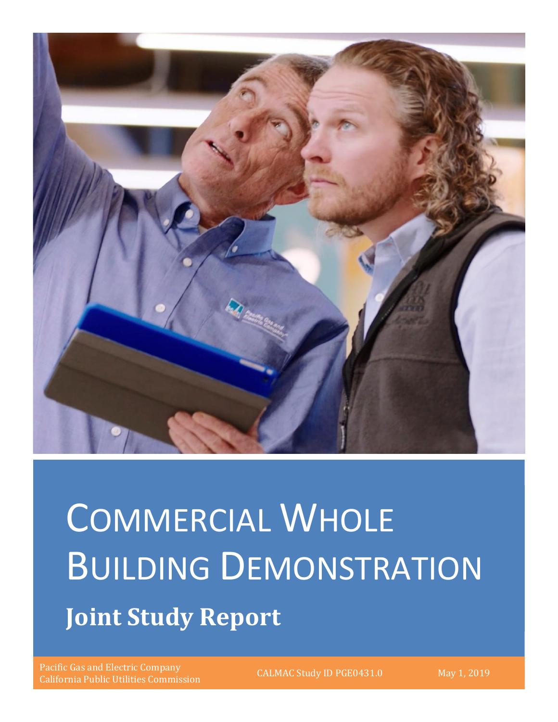

# COMMERCIAL WHOLE BUILDING DEMONSTRATION **Joint Study Report**

Pacific Gas and Electric Company California Public Utilities Commission CALMAC Study ID PGE0431.0 May 1, 2019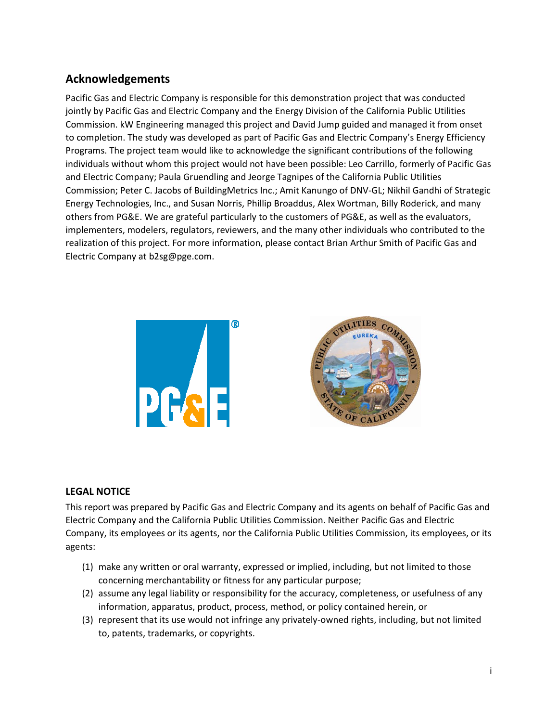## <span id="page-1-0"></span>**Acknowledgements**

Pacific Gas and Electric Company is responsible for this demonstration project that was conducted jointly by Pacific Gas and Electric Company and the Energy Division of the California Public Utilities Commission. kW Engineering managed this project and David Jump guided and managed it from onset to completion. The study was developed as part of Pacific Gas and Electric Company's Energy Efficiency Programs. The project team would like to acknowledge the significant contributions of the following individuals without whom this project would not have been possible: Leo Carrillo, formerly of Pacific Gas and Electric Company; Paula Gruendling and Jeorge Tagnipes of the California Public Utilities Commission; Peter C. Jacobs of BuildingMetrics Inc.; Amit Kanungo of DNV-GL; Nikhil Gandhi of Strategic Energy Technologies, Inc., and Susan Norris, Phillip Broaddus, Alex Wortman, Billy Roderick, and many others from PG&E. We are grateful particularly to the customers of PG&E, as well as the evaluators, implementers, modelers, regulators, reviewers, and the many other individuals who contributed to the realization of this project. For more information, please contact Brian Arthur Smith of Pacific Gas and Electric Company at b2sg@pge.com.





## **LEGAL NOTICE**

This report was prepared by Pacific Gas and Electric Company and its agents on behalf of Pacific Gas and Electric Company and the California Public Utilities Commission. Neither Pacific Gas and Electric Company, its employees or its agents, nor the California Public Utilities Commission, its employees, or its agents:

- (1) make any written or oral warranty, expressed or implied, including, but not limited to those concerning merchantability or fitness for any particular purpose;
- (2) assume any legal liability or responsibility for the accuracy, completeness, or usefulness of any information, apparatus, product, process, method, or policy contained herein, or
- (3) represent that its use would not infringe any privately-owned rights, including, but not limited to, patents, trademarks, or copyrights.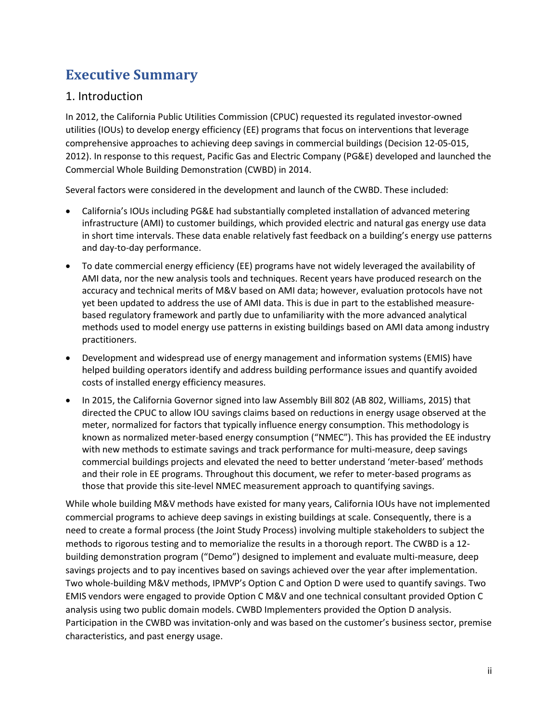# <span id="page-2-0"></span>**Executive Summary**

## <span id="page-2-1"></span>1. Introduction

In 2012, the California Public Utilities Commission (CPUC) requested its regulated investor-owned utilities (IOUs) to develop energy efficiency (EE) programs that focus on interventions that leverage comprehensive approaches to achieving deep savings in commercial buildings (Decision 12-05-015, 2012). In response to this request, Pacific Gas and Electric Company (PG&E) developed and launched the Commercial Whole Building Demonstration (CWBD) in 2014.

Several factors were considered in the development and launch of the CWBD. These included:

- California's IOUs including PG&E had substantially completed installation of advanced metering infrastructure (AMI) to customer buildings, which provided electric and natural gas energy use data in short time intervals. These data enable relatively fast feedback on a building's energy use patterns and day-to-day performance.
- To date commercial energy efficiency (EE) programs have not widely leveraged the availability of AMI data, nor the new analysis tools and techniques. Recent years have produced research on the accuracy and technical merits of M&V based on AMI data; however, evaluation protocols have not yet been updated to address the use of AMI data. This is due in part to the established measurebased regulatory framework and partly due to unfamiliarity with the more advanced analytical methods used to model energy use patterns in existing buildings based on AMI data among industry practitioners.
- Development and widespread use of energy management and information systems (EMIS) have helped building operators identify and address building performance issues and quantify avoided costs of installed energy efficiency measures.
- In 2015, the California Governor signed into law Assembly Bill 802 (AB 802, Williams, 2015) that directed the CPUC to allow IOU savings claims based on reductions in energy usage observed at the meter, normalized for factors that typically influence energy consumption. This methodology is known as normalized meter-based energy consumption ("NMEC"). This has provided the EE industry with new methods to estimate savings and track performance for multi-measure, deep savings commercial buildings projects and elevated the need to better understand 'meter-based' methods and their role in EE programs. Throughout this document, we refer to meter-based programs as those that provide this site-level NMEC measurement approach to quantifying savings.

While whole building M&V methods have existed for many years, California IOUs have not implemented commercial programs to achieve deep savings in existing buildings at scale. Consequently, there is a need to create a formal process (the Joint Study Process) involving multiple stakeholders to subject the methods to rigorous testing and to memorialize the results in a thorough report. The CWBD is a 12 building demonstration program ("Demo") designed to implement and evaluate multi-measure, deep savings projects and to pay incentives based on savings achieved over the year after implementation. Two whole-building M&V methods, IPMVP's Option C and Option D were used to quantify savings. Two EMIS vendors were engaged to provide Option C M&V and one technical consultant provided Option C analysis using two public domain models. CWBD Implementers provided the Option D analysis. Participation in the CWBD was invitation-only and was based on the customer's business sector, premise characteristics, and past energy usage.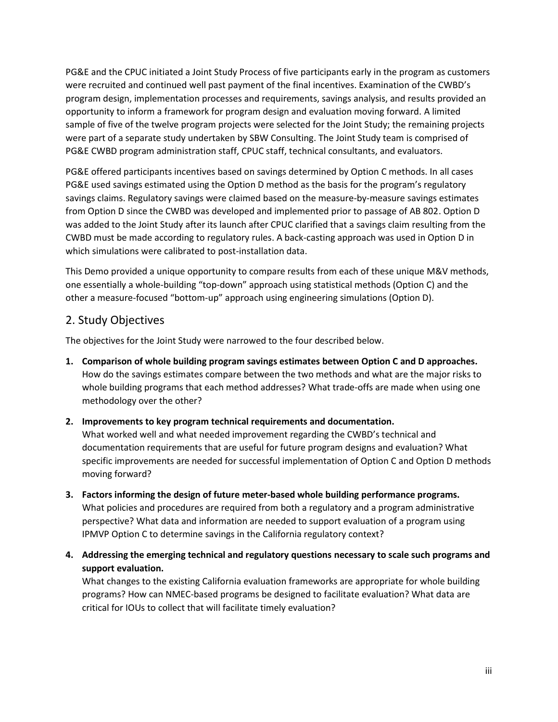PG&E and the CPUC initiated a Joint Study Process of five participants early in the program as customers were recruited and continued well past payment of the final incentives. Examination of the CWBD's program design, implementation processes and requirements, savings analysis, and results provided an opportunity to inform a framework for program design and evaluation moving forward. A limited sample of five of the twelve program projects were selected for the Joint Study; the remaining projects were part of a separate study undertaken by SBW Consulting. The Joint Study team is comprised of PG&E CWBD program administration staff, CPUC staff, technical consultants, and evaluators.

PG&E offered participants incentives based on savings determined by Option C methods. In all cases PG&E used savings estimated using the Option D method as the basis for the program's regulatory savings claims. Regulatory savings were claimed based on the measure-by-measure savings estimates from Option D since the CWBD was developed and implemented prior to passage of AB 802. Option D was added to the Joint Study after its launch after CPUC clarified that a savings claim resulting from the CWBD must be made according to regulatory rules. A back-casting approach was used in Option D in which simulations were calibrated to post-installation data.

This Demo provided a unique opportunity to compare results from each of these unique M&V methods, one essentially a whole-building "top-down" approach using statistical methods (Option C) and the other a measure-focused "bottom-up" approach using engineering simulations (Option D).

## <span id="page-3-0"></span>2. Study Objectives

The objectives for the Joint Study were narrowed to the four described below.

**1. Comparison of whole building program savings estimates between Option C and D approaches.** How do the savings estimates compare between the two methods and what are the major risks to whole building programs that each method addresses? What trade-offs are made when using one methodology over the other?

#### **2. Improvements to key program technical requirements and documentation.**

What worked well and what needed improvement regarding the CWBD's technical and documentation requirements that are useful for future program designs and evaluation? What specific improvements are needed for successful implementation of Option C and Option D methods moving forward?

- **3. Factors informing the design of future meter-based whole building performance programs.**  What policies and procedures are required from both a regulatory and a program administrative perspective? What data and information are needed to support evaluation of a program using IPMVP Option C to determine savings in the California regulatory context?
- **4. Addressing the emerging technical and regulatory questions necessary to scale such programs and support evaluation.**

What changes to the existing California evaluation frameworks are appropriate for whole building programs? How can NMEC-based programs be designed to facilitate evaluation? What data are critical for IOUs to collect that will facilitate timely evaluation?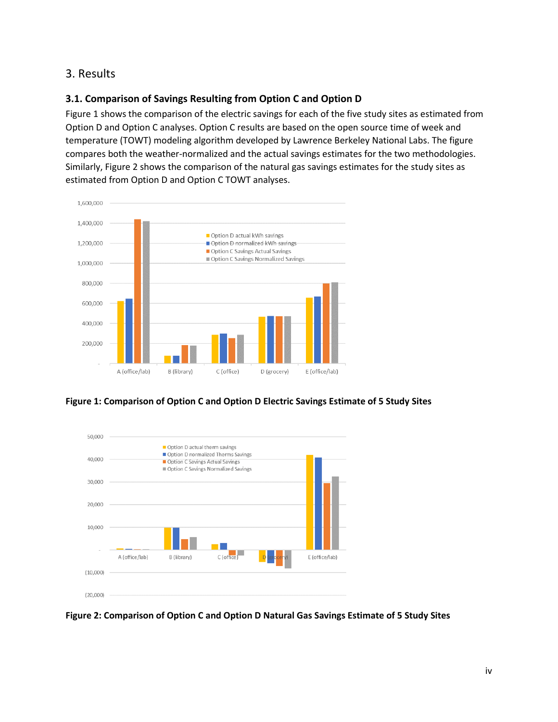## <span id="page-4-0"></span>3. Results

## **3.1. Comparison of Savings Resulting from Option C and Option D**

Figure 1 shows the comparison of the electric savings for each of the five study sites as estimated from Option D and Option C analyses. Option C results are based on the open source time of week and temperature (TOWT) modeling algorithm developed by Lawrence Berkeley National Labs. The figure compares both the weather-normalized and the actual savings estimates for the two methodologies. Similarly, Figure 2 shows the comparison of the natural gas savings estimates for the study sites as estimated from Option D and Option C TOWT analyses.







**Figure 2: Comparison of Option C and Option D Natural Gas Savings Estimate of 5 Study Sites**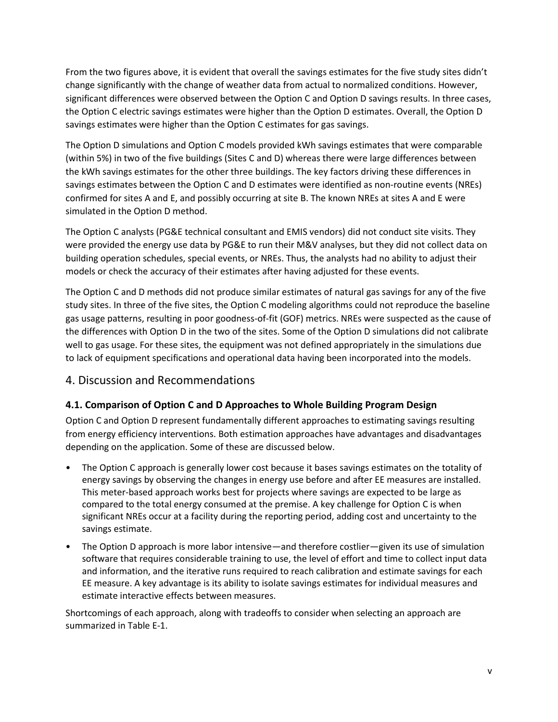From the two figures above, it is evident that overall the savings estimates for the five study sites didn't change significantly with the change of weather data from actual to normalized conditions. However, significant differences were observed between the Option C and Option D savings results. In three cases, the Option C electric savings estimates were higher than the Option D estimates. Overall, the Option D savings estimates were higher than the Option C estimates for gas savings.

The Option D simulations and Option C models provided kWh savings estimates that were comparable (within 5%) in two of the five buildings (Sites C and D) whereas there were large differences between the kWh savings estimates for the other three buildings. The key factors driving these differences in savings estimates between the Option C and D estimates were identified as non-routine events (NREs) confirmed for sites A and E, and possibly occurring at site B. The known NREs at sites A and E were simulated in the Option D method.

The Option C analysts (PG&E technical consultant and EMIS vendors) did not conduct site visits. They were provided the energy use data by PG&E to run their M&V analyses, but they did not collect data on building operation schedules, special events, or NREs. Thus, the analysts had no ability to adjust their models or check the accuracy of their estimates after having adjusted for these events.

The Option C and D methods did not produce similar estimates of natural gas savings for any of the five study sites. In three of the five sites, the Option C modeling algorithms could not reproduce the baseline gas usage patterns, resulting in poor goodness-of-fit (GOF) metrics. NREs were suspected as the cause of the differences with Option D in the two of the sites. Some of the Option D simulations did not calibrate well to gas usage. For these sites, the equipment was not defined appropriately in the simulations due to lack of equipment specifications and operational data having been incorporated into the models.

## <span id="page-5-0"></span>4. Discussion and Recommendations

## **4.1. Comparison of Option C and D Approaches to Whole Building Program Design**

Option C and Option D represent fundamentally different approaches to estimating savings resulting from energy efficiency interventions. Both estimation approaches have advantages and disadvantages depending on the application. Some of these are discussed below.

- The Option C approach is generally lower cost because it bases savings estimates on the totality of energy savings by observing the changes in energy use before and after EE measures are installed. This meter-based approach works best for projects where savings are expected to be large as compared to the total energy consumed at the premise. A key challenge for Option C is when significant NREs occur at a facility during the reporting period, adding cost and uncertainty to the savings estimate.
- The Option D approach is more labor intensive—and therefore costlier—given its use of simulation software that requires considerable training to use, the level of effort and time to collect input data and information, and the iterative runs required to reach calibration and estimate savings for each EE measure. A key advantage is its ability to isolate savings estimates for individual measures and estimate interactive effects between measures.

Shortcomings of each approach, along with tradeoffs to consider when selecting an approach are summarized in Table E-1.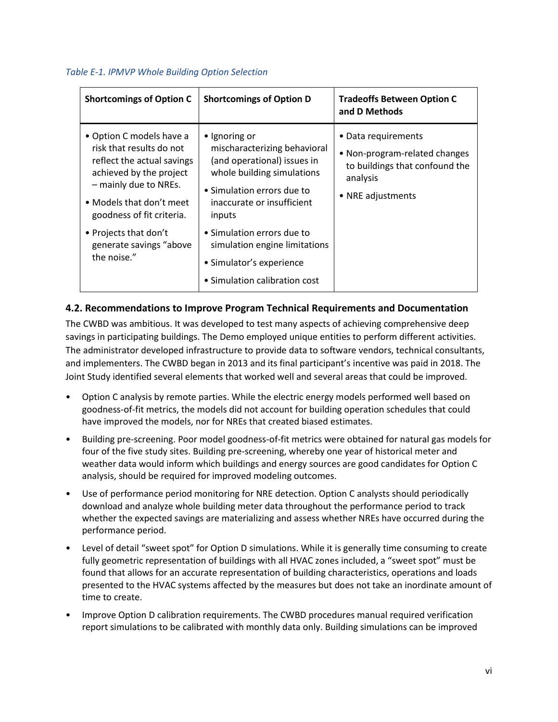#### *Table E-1. IPMVP Whole Building Option Selection*

| <b>Shortcomings of Option C</b>                                                                                                                                                                 | <b>Shortcomings of Option D</b>                                                                                                                                                  | <b>Tradeoffs Between Option C</b><br>and D Methods                                                                      |
|-------------------------------------------------------------------------------------------------------------------------------------------------------------------------------------------------|----------------------------------------------------------------------------------------------------------------------------------------------------------------------------------|-------------------------------------------------------------------------------------------------------------------------|
| • Option C models have a<br>risk that results do not<br>reflect the actual savings<br>achieved by the project<br>- mainly due to NREs.<br>• Models that don't meet<br>goodness of fit criteria. | • Ignoring or<br>mischaracterizing behavioral<br>(and operational) issues in<br>whole building simulations<br>• Simulation errors due to<br>inaccurate or insufficient<br>inputs | • Data requirements<br>• Non-program-related changes<br>to buildings that confound the<br>analysis<br>• NRE adjustments |
| • Projects that don't<br>generate savings "above<br>the noise."                                                                                                                                 | • Simulation errors due to<br>simulation engine limitations<br>• Simulator's experience<br>• Simulation calibration cost                                                         |                                                                                                                         |

## **4.2. Recommendations to Improve Program Technical Requirements and Documentation**

The CWBD was ambitious. It was developed to test many aspects of achieving comprehensive deep savings in participating buildings. The Demo employed unique entities to perform different activities. The administrator developed infrastructure to provide data to software vendors, technical consultants, and implementers. The CWBD began in 2013 and its final participant's incentive was paid in 2018. The Joint Study identified several elements that worked well and several areas that could be improved.

- Option C analysis by remote parties. While the electric energy models performed well based on goodness-of-fit metrics, the models did not account for building operation schedules that could have improved the models, nor for NREs that created biased estimates.
- Building pre-screening. Poor model goodness-of-fit metrics were obtained for natural gas models for four of the five study sites. Building pre-screening, whereby one year of historical meter and weather data would inform which buildings and energy sources are good candidates for Option C analysis, should be required for improved modeling outcomes.
- Use of performance period monitoring for NRE detection. Option C analysts should periodically download and analyze whole building meter data throughout the performance period to track whether the expected savings are materializing and assess whether NREs have occurred during the performance period.
- Level of detail "sweet spot" for Option D simulations. While it is generally time consuming to create fully geometric representation of buildings with all HVAC zones included, a "sweet spot" must be found that allows for an accurate representation of building characteristics, operations and loads presented to the HVAC systems affected by the measures but does not take an inordinate amount of time to create.
- Improve Option D calibration requirements. The CWBD procedures manual required verification report simulations to be calibrated with monthly data only. Building simulations can be improved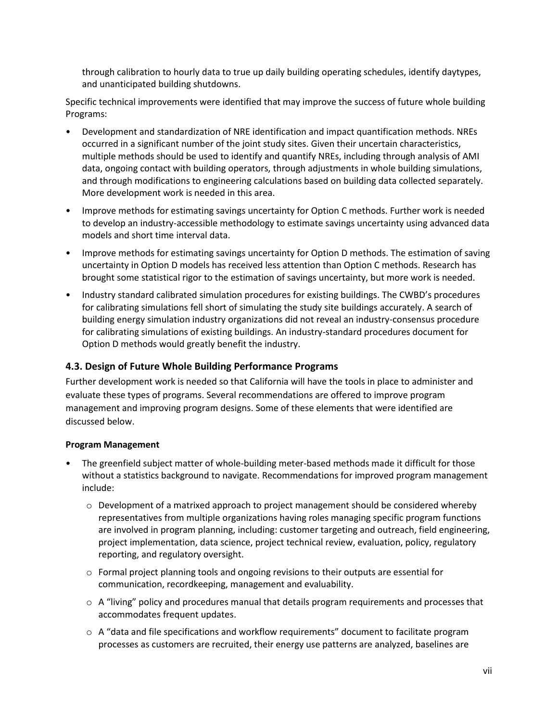through calibration to hourly data to true up daily building operating schedules, identify daytypes, and unanticipated building shutdowns.

Specific technical improvements were identified that may improve the success of future whole building Programs:

- Development and standardization of NRE identification and impact quantification methods. NREs occurred in a significant number of the joint study sites. Given their uncertain characteristics, multiple methods should be used to identify and quantify NREs, including through analysis of AMI data, ongoing contact with building operators, through adjustments in whole building simulations, and through modifications to engineering calculations based on building data collected separately. More development work is needed in this area.
- Improve methods for estimating savings uncertainty for Option C methods. Further work is needed to develop an industry-accessible methodology to estimate savings uncertainty using advanced data models and short time interval data.
- Improve methods for estimating savings uncertainty for Option D methods. The estimation of saving uncertainty in Option D models has received less attention than Option C methods. Research has brought some statistical rigor to the estimation of savings uncertainty, but more work is needed.
- Industry standard calibrated simulation procedures for existing buildings. The CWBD's procedures for calibrating simulations fell short of simulating the study site buildings accurately. A search of building energy simulation industry organizations did not reveal an industry-consensus procedure for calibrating simulations of existing buildings. An industry-standard procedures document for Option D methods would greatly benefit the industry.

## **4.3. Design of Future Whole Building Performance Programs**

Further development work is needed so that California will have the tools in place to administer and evaluate these types of programs. Several recommendations are offered to improve program management and improving program designs. Some of these elements that were identified are discussed below.

#### **Program Management**

- The greenfield subject matter of whole-building meter-based methods made it difficult for those without a statistics background to navigate. Recommendations for improved program management include:
	- $\circ$  Development of a matrixed approach to project management should be considered whereby representatives from multiple organizations having roles managing specific program functions are involved in program planning, including: customer targeting and outreach, field engineering, project implementation, data science, project technical review, evaluation, policy, regulatory reporting, and regulatory oversight.
	- o Formal project planning tools and ongoing revisions to their outputs are essential for communication, recordkeeping, management and evaluability.
	- $\circ$  A "living" policy and procedures manual that details program requirements and processes that accommodates frequent updates.
	- o A "data and file specifications and workflow requirements" document to facilitate program processes as customers are recruited, their energy use patterns are analyzed, baselines are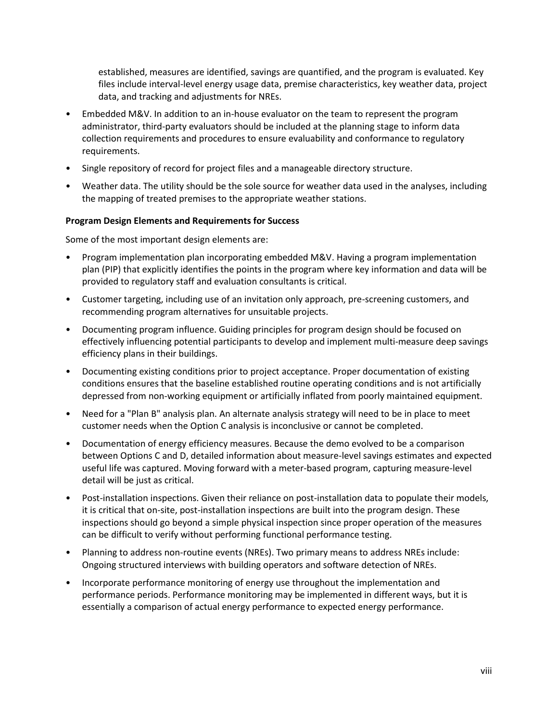established, measures are identified, savings are quantified, and the program is evaluated. Key files include interval-level energy usage data, premise characteristics, key weather data, project data, and tracking and adjustments for NREs.

- Embedded M&V. In addition to an in-house evaluator on the team to represent the program administrator, third-party evaluators should be included at the planning stage to inform data collection requirements and procedures to ensure evaluability and conformance to regulatory requirements.
- Single repository of record for project files and a manageable directory structure.
- Weather data. The utility should be the sole source for weather data used in the analyses, including the mapping of treated premises to the appropriate weather stations.

#### **Program Design Elements and Requirements for Success**

Some of the most important design elements are:

- Program implementation plan incorporating embedded M&V. Having a program implementation plan (PIP) that explicitly identifies the points in the program where key information and data will be provided to regulatory staff and evaluation consultants is critical.
- Customer targeting, including use of an invitation only approach, pre-screening customers, and recommending program alternatives for unsuitable projects.
- Documenting program influence. Guiding principles for program design should be focused on effectively influencing potential participants to develop and implement multi-measure deep savings efficiency plans in their buildings.
- Documenting existing conditions prior to project acceptance. Proper documentation of existing conditions ensures that the baseline established routine operating conditions and is not artificially depressed from non-working equipment or artificially inflated from poorly maintained equipment.
- Need for a "Plan B" analysis plan. An alternate analysis strategy will need to be in place to meet customer needs when the Option C analysis is inconclusive or cannot be completed.
- Documentation of energy efficiency measures. Because the demo evolved to be a comparison between Options C and D, detailed information about measure-level savings estimates and expected useful life was captured. Moving forward with a meter-based program, capturing measure-level detail will be just as critical.
- Post-installation inspections. Given their reliance on post-installation data to populate their models, it is critical that on-site, post-installation inspections are built into the program design. These inspections should go beyond a simple physical inspection since proper operation of the measures can be difficult to verify without performing functional performance testing.
- Planning to address non-routine events (NREs). Two primary means to address NREs include: Ongoing structured interviews with building operators and software detection of NREs.
- Incorporate performance monitoring of energy use throughout the implementation and performance periods. Performance monitoring may be implemented in different ways, but it is essentially a comparison of actual energy performance to expected energy performance.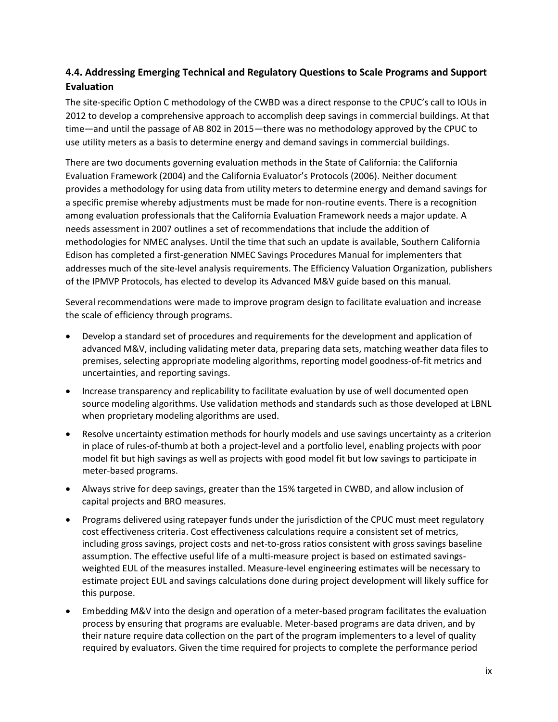## **4.4. Addressing Emerging Technical and Regulatory Questions to Scale Programs and Support Evaluation**

The site-specific Option C methodology of the CWBD was a direct response to the CPUC's call to IOUs in 2012 to develop a comprehensive approach to accomplish deep savings in commercial buildings. At that time—and until the passage of AB 802 in 2015—there was no methodology approved by the CPUC to use utility meters as a basis to determine energy and demand savings in commercial buildings.

There are two documents governing evaluation methods in the State of California: the California Evaluation Framework (2004) and the California Evaluator's Protocols (2006). Neither document provides a methodology for using data from utility meters to determine energy and demand savings for a specific premise whereby adjustments must be made for non-routine events. There is a recognition among evaluation professionals that the California Evaluation Framework needs a major update. A needs assessment in 2007 outlines a set of recommendations that include the addition of methodologies for NMEC analyses. Until the time that such an update is available, Southern California Edison has completed a first-generation NMEC Savings Procedures Manual for implementers that addresses much of the site-level analysis requirements. The Efficiency Valuation Organization, publishers of the IPMVP Protocols, has elected to develop its Advanced M&V guide based on this manual.

Several recommendations were made to improve program design to facilitate evaluation and increase the scale of efficiency through programs.

- Develop a standard set of procedures and requirements for the development and application of advanced M&V, including validating meter data, preparing data sets, matching weather data files to premises, selecting appropriate modeling algorithms, reporting model goodness-of-fit metrics and uncertainties, and reporting savings.
- Increase transparency and replicability to facilitate evaluation by use of well documented open source modeling algorithms. Use validation methods and standards such as those developed at LBNL when proprietary modeling algorithms are used.
- Resolve uncertainty estimation methods for hourly models and use savings uncertainty as a criterion in place of rules-of-thumb at both a project-level and a portfolio level, enabling projects with poor model fit but high savings as well as projects with good model fit but low savings to participate in meter-based programs.
- Always strive for deep savings, greater than the 15% targeted in CWBD, and allow inclusion of capital projects and BRO measures.
- Programs delivered using ratepayer funds under the jurisdiction of the CPUC must meet regulatory cost effectiveness criteria. Cost effectiveness calculations require a consistent set of metrics, including gross savings, project costs and net-to-gross ratios consistent with gross savings baseline assumption. The effective useful life of a multi-measure project is based on estimated savingsweighted EUL of the measures installed. Measure-level engineering estimates will be necessary to estimate project EUL and savings calculations done during project development will likely suffice for this purpose.
- Embedding M&V into the design and operation of a meter-based program facilitates the evaluation process by ensuring that programs are evaluable. Meter-based programs are data driven, and by their nature require data collection on the part of the program implementers to a level of quality required by evaluators. Given the time required for projects to complete the performance period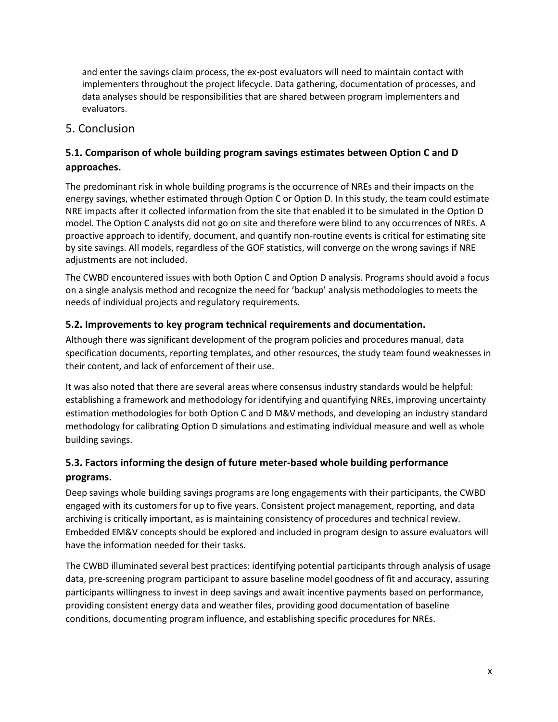and enter the savings claim process, the ex-post evaluators will need to maintain contact with implementers throughout the project lifecycle. Data gathering, documentation of processes, and data analyses should be responsibilities that are shared between program implementers and evaluators.

## <span id="page-10-0"></span>5. Conclusion

## **5.1. Comparison of whole building program savings estimates between Option C and D approaches.**

The predominant risk in whole building programs is the occurrence of NREs and their impacts on the energy savings, whether estimated through Option C or Option D. In this study, the team could estimate NRE impacts after it collected information from the site that enabled it to be simulated in the Option D model. The Option C analysts did not go on site and therefore were blind to any occurrences of NREs. A proactive approach to identify, document, and quantify non-routine events is critical for estimating site by site savings. All models, regardless of the GOF statistics, will converge on the wrong savings if NRE adjustments are not included.

The CWBD encountered issues with both Option C and Option D analysis. Programs should avoid a focus on a single analysis method and recognize the need for 'backup' analysis methodologies to meets the needs of individual projects and regulatory requirements.

## **5.2. Improvements to key program technical requirements and documentation.**

Although there was significant development of the program policies and procedures manual, data specification documents, reporting templates, and other resources, the study team found weaknesses in their content, and lack of enforcement of their use.

It was also noted that there are several areas where consensus industry standards would be helpful: establishing a framework and methodology for identifying and quantifying NREs, improving uncertainty estimation methodologies for both Option C and D M&V methods, and developing an industry standard methodology for calibrating Option D simulations and estimating individual measure and well as whole building savings.

## **5.3. Factors informing the design of future meter-based whole building performance programs.**

Deep savings whole building savings programs are long engagements with their participants, the CWBD engaged with its customers for up to five years. Consistent project management, reporting, and data archiving is critically important, as is maintaining consistency of procedures and technical review. Embedded EM&V concepts should be explored and included in program design to assure evaluators will have the information needed for their tasks.

The CWBD illuminated several best practices: identifying potential participants through analysis of usage data, pre-screening program participant to assure baseline model goodness of fit and accuracy, assuring participants willingness to invest in deep savings and await incentive payments based on performance, providing consistent energy data and weather files, providing good documentation of baseline conditions, documenting program influence, and establishing specific procedures for NREs.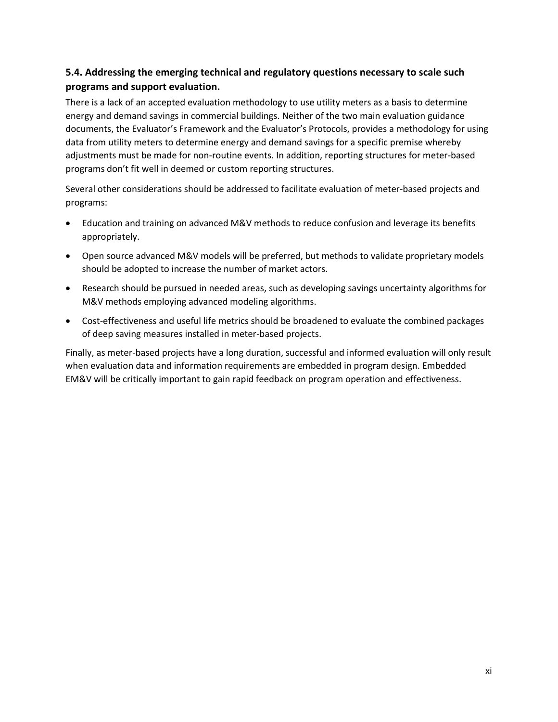## **5.4. Addressing the emerging technical and regulatory questions necessary to scale such programs and support evaluation.**

There is a lack of an accepted evaluation methodology to use utility meters as a basis to determine energy and demand savings in commercial buildings. Neither of the two main evaluation guidance documents, the Evaluator's Framework and the Evaluator's Protocols, provides a methodology for using data from utility meters to determine energy and demand savings for a specific premise whereby adjustments must be made for non-routine events. In addition, reporting structures for meter-based programs don't fit well in deemed or custom reporting structures.

Several other considerations should be addressed to facilitate evaluation of meter-based projects and programs:

- Education and training on advanced M&V methods to reduce confusion and leverage its benefits appropriately.
- Open source advanced M&V models will be preferred, but methods to validate proprietary models should be adopted to increase the number of market actors.
- Research should be pursued in needed areas, such as developing savings uncertainty algorithms for M&V methods employing advanced modeling algorithms.
- Cost-effectiveness and useful life metrics should be broadened to evaluate the combined packages of deep saving measures installed in meter-based projects.

Finally, as meter-based projects have a long duration, successful and informed evaluation will only result when evaluation data and information requirements are embedded in program design. Embedded EM&V will be critically important to gain rapid feedback on program operation and effectiveness.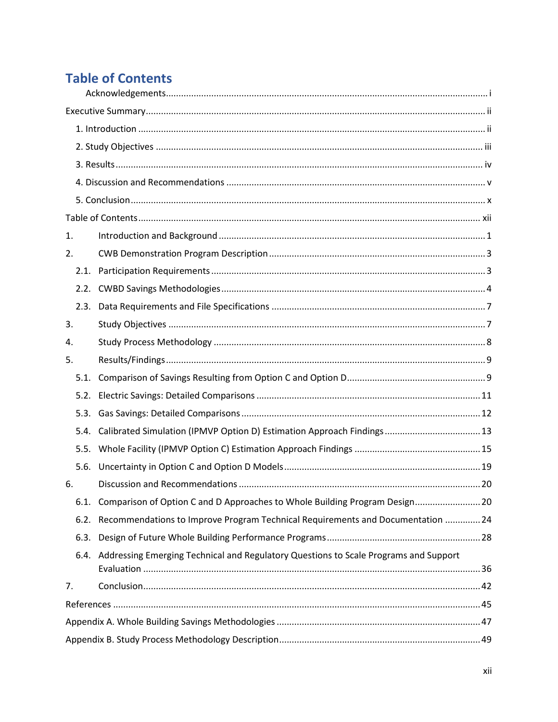# <span id="page-12-0"></span>**Table of Contents**

| 1.   |      |                                                                                           |  |
|------|------|-------------------------------------------------------------------------------------------|--|
| 2.   |      |                                                                                           |  |
|      | 2.1. |                                                                                           |  |
|      |      |                                                                                           |  |
|      |      |                                                                                           |  |
| 3.   |      |                                                                                           |  |
| 4.   |      |                                                                                           |  |
| 5.   |      |                                                                                           |  |
|      |      |                                                                                           |  |
| 5.2. |      |                                                                                           |  |
|      | 5.3. |                                                                                           |  |
| 5.4. |      |                                                                                           |  |
|      |      |                                                                                           |  |
| 5.6. |      |                                                                                           |  |
| 6.   |      |                                                                                           |  |
|      |      | 6.1. Comparison of Option C and D Approaches to Whole Building Program Design 20          |  |
| 6.2. |      | Recommendations to Improve Program Technical Requirements and Documentation  24           |  |
|      | 6.3. |                                                                                           |  |
|      |      | 6.4. Addressing Emerging Technical and Regulatory Questions to Scale Programs and Support |  |
| 7.   |      |                                                                                           |  |
|      |      |                                                                                           |  |
|      |      |                                                                                           |  |
|      |      |                                                                                           |  |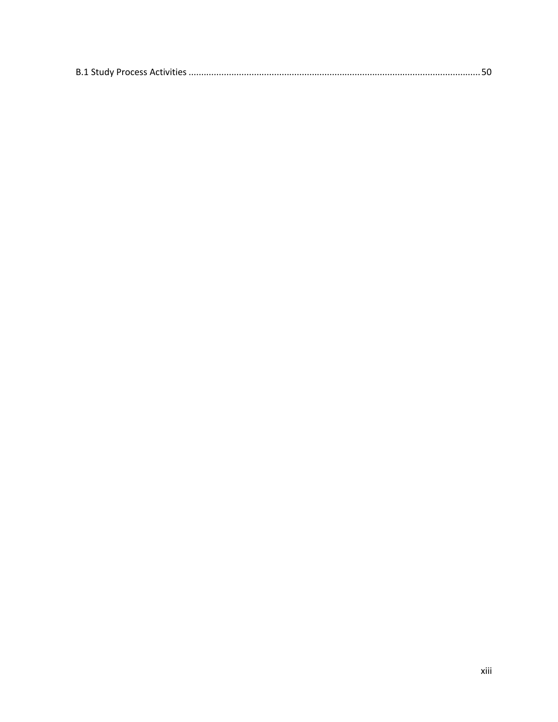|--|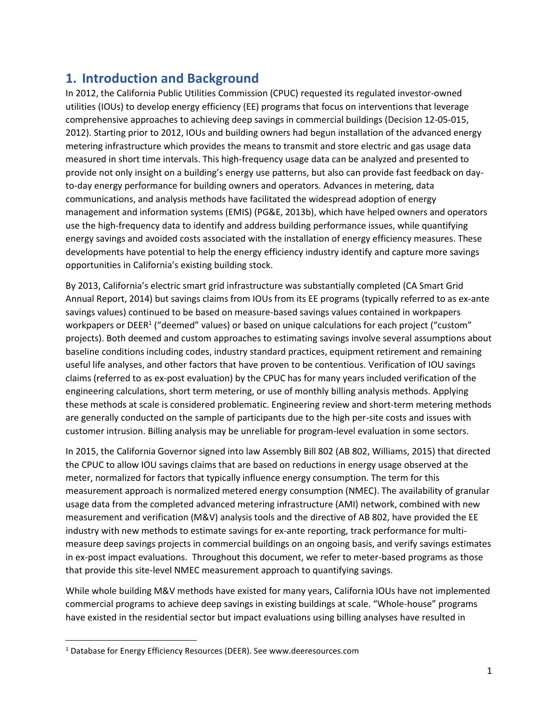## <span id="page-14-0"></span>**1. Introduction and Background**

In 2012, the California Public Utilities Commission (CPUC) requested its regulated investor-owned utilities (IOUs) to develop energy efficiency (EE) programs that focus on interventions that leverage comprehensive approaches to achieving deep savings in commercial buildings (Decision 12-05-015, 2012). Starting prior to 2012, IOUs and building owners had begun installation of the advanced energy metering infrastructure which provides the means to transmit and store electric and gas usage data measured in short time intervals. This high-frequency usage data can be analyzed and presented to provide not only insight on a building's energy use patterns, but also can provide fast feedback on dayto-day energy performance for building owners and operators. Advances in metering, data communications, and analysis methods have facilitated the widespread adoption of energy management and information systems (EMIS) (PG&E, 2013b), which have helped owners and operators use the high-frequency data to identify and address building performance issues, while quantifying energy savings and avoided costs associated with the installation of energy efficiency measures. These developments have potential to help the energy efficiency industry identify and capture more savings opportunities in California's existing building stock.

By 2013, California's electric smart grid infrastructure was substantially completed (CA Smart Grid Annual Report, 2014) but savings claims from IOUs from its EE programs (typically referred to as ex-ante savings values) continued to be based on measure-based savings values contained in workpapers workpapers or DEER<sup>1</sup> ("deemed" values) or based on unique calculations for each project ("custom" projects). Both deemed and custom approaches to estimating savings involve several assumptions about baseline conditions including codes, industry standard practices, equipment retirement and remaining useful life analyses, and other factors that have proven to be contentious. Verification of IOU savings claims (referred to as ex-post evaluation) by the CPUC has for many years included verification of the engineering calculations, short term metering, or use of monthly billing analysis methods. Applying these methods at scale is considered problematic. Engineering review and short-term metering methods are generally conducted on the sample of participants due to the high per-site costs and issues with customer intrusion. Billing analysis may be unreliable for program-level evaluation in some sectors.

In 2015, the California Governor signed into law Assembly Bill 802 (AB 802, Williams, 2015) that directed the CPUC to allow IOU savings claims that are based on reductions in energy usage observed at the meter, normalized for factors that typically influence energy consumption. The term for this measurement approach is normalized metered energy consumption (NMEC). The availability of granular usage data from the completed advanced metering infrastructure (AMI) network, combined with new measurement and verification (M&V) analysis tools and the directive of AB 802, have provided the EE industry with new methods to estimate savings for ex-ante reporting, track performance for multimeasure deep savings projects in commercial buildings on an ongoing basis, and verify savings estimates in ex-post impact evaluations. Throughout this document, we refer to meter-based programs as those that provide this site-level NMEC measurement approach to quantifying savings.

While whole building M&V methods have existed for many years, California IOUs have not implemented commercial programs to achieve deep savings in existing buildings at scale. "Whole-house" programs have existed in the residential sector but impact evaluations using billing analyses have resulted in

 $\overline{\phantom{a}}$ 

<sup>&</sup>lt;sup>1</sup> Database for Energy Efficiency Resources (DEER). See www.deeresources.com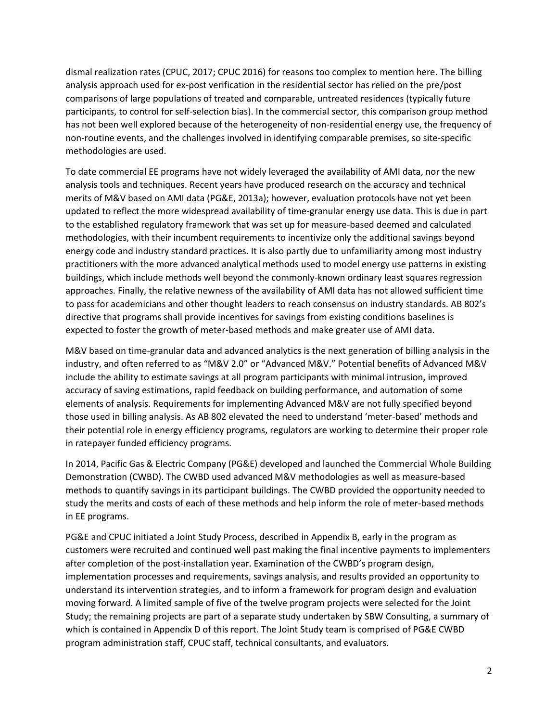dismal realization rates (CPUC, 2017; CPUC 2016) for reasons too complex to mention here. The billing analysis approach used for ex-post verification in the residential sector has relied on the pre/post comparisons of large populations of treated and comparable, untreated residences (typically future participants, to control for self-selection bias). In the commercial sector, this comparison group method has not been well explored because of the heterogeneity of non-residential energy use, the frequency of non-routine events, and the challenges involved in identifying comparable premises, so site-specific methodologies are used.

To date commercial EE programs have not widely leveraged the availability of AMI data, nor the new analysis tools and techniques. Recent years have produced research on the accuracy and technical merits of M&V based on AMI data (PG&E, 2013a); however, evaluation protocols have not yet been updated to reflect the more widespread availability of time-granular energy use data. This is due in part to the established regulatory framework that was set up for measure-based deemed and calculated methodologies, with their incumbent requirements to incentivize only the additional savings beyond energy code and industry standard practices. It is also partly due to unfamiliarity among most industry practitioners with the more advanced analytical methods used to model energy use patterns in existing buildings, which include methods well beyond the commonly-known ordinary least squares regression approaches. Finally, the relative newness of the availability of AMI data has not allowed sufficient time to pass for academicians and other thought leaders to reach consensus on industry standards. AB 802's directive that programs shall provide incentives for savings from existing conditions baselines is expected to foster the growth of meter-based methods and make greater use of AMI data.

M&V based on time-granular data and advanced analytics is the next generation of billing analysis in the industry, and often referred to as "M&V 2.0" or "Advanced M&V." Potential benefits of Advanced M&V include the ability to estimate savings at all program participants with minimal intrusion, improved accuracy of saving estimations, rapid feedback on building performance, and automation of some elements of analysis. Requirements for implementing Advanced M&V are not fully specified beyond those used in billing analysis. As AB 802 elevated the need to understand 'meter-based' methods and their potential role in energy efficiency programs, regulators are working to determine their proper role in ratepayer funded efficiency programs.

In 2014, Pacific Gas & Electric Company (PG&E) developed and launched the Commercial Whole Building Demonstration (CWBD). The CWBD used advanced M&V methodologies as well as measure-based methods to quantify savings in its participant buildings. The CWBD provided the opportunity needed to study the merits and costs of each of these methods and help inform the role of meter-based methods in EE programs.

PG&E and CPUC initiated a Joint Study Process, described in Appendix B, early in the program as customers were recruited and continued well past making the final incentive payments to implementers after completion of the post-installation year. Examination of the CWBD's program design, implementation processes and requirements, savings analysis, and results provided an opportunity to understand its intervention strategies, and to inform a framework for program design and evaluation moving forward. A limited sample of five of the twelve program projects were selected for the Joint Study; the remaining projects are part of a separate study undertaken by SBW Consulting, a summary of which is contained in Appendix D of this report. The Joint Study team is comprised of PG&E CWBD program administration staff, CPUC staff, technical consultants, and evaluators.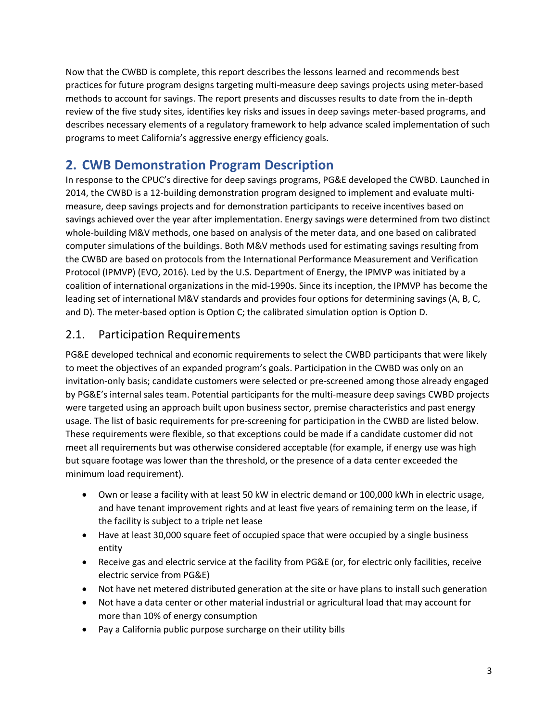Now that the CWBD is complete, this report describes the lessons learned and recommends best practices for future program designs targeting multi-measure deep savings projects using meter-based methods to account for savings. The report presents and discusses results to date from the in-depth review of the five study sites, identifies key risks and issues in deep savings meter-based programs, and describes necessary elements of a regulatory framework to help advance scaled implementation of such programs to meet California's aggressive energy efficiency goals.

# <span id="page-16-0"></span>**2. CWB Demonstration Program Description**

In response to the CPUC's directive for deep savings programs, PG&E developed the CWBD. Launched in 2014, the CWBD is a 12-building demonstration program designed to implement and evaluate multimeasure, deep savings projects and for demonstration participants to receive incentives based on savings achieved over the year after implementation. Energy savings were determined from two distinct whole-building M&V methods, one based on analysis of the meter data, and one based on calibrated computer simulations of the buildings. Both M&V methods used for estimating savings resulting from the CWBD are based on protocols from the International Performance Measurement and Verification Protocol (IPMVP) (EVO, 2016). Led by the U.S. Department of Energy, the IPMVP was initiated by a coalition of international organizations in the mid-1990s. Since its inception, the IPMVP has become the leading set of international M&V standards and provides four options for determining savings (A, B, C, and D). The meter-based option is Option C; the calibrated simulation option is Option D.

## <span id="page-16-1"></span>2.1. Participation Requirements

PG&E developed technical and economic requirements to select the CWBD participants that were likely to meet the objectives of an expanded program's goals. Participation in the CWBD was only on an invitation-only basis; candidate customers were selected or pre-screened among those already engaged by PG&E's internal sales team. Potential participants for the multi-measure deep savings CWBD projects were targeted using an approach built upon business sector, premise characteristics and past energy usage. The list of basic requirements for pre-screening for participation in the CWBD are listed below. These requirements were flexible, so that exceptions could be made if a candidate customer did not meet all requirements but was otherwise considered acceptable (for example, if energy use was high but square footage was lower than the threshold, or the presence of a data center exceeded the minimum load requirement).

- Own or lease a facility with at least 50 kW in electric demand or 100,000 kWh in electric usage, and have tenant improvement rights and at least five years of remaining term on the lease, if the facility is subject to a triple net lease
- Have at least 30,000 square feet of occupied space that were occupied by a single business entity
- Receive gas and electric service at the facility from PG&E (or, for electric only facilities, receive electric service from PG&E)
- Not have net metered distributed generation at the site or have plans to install such generation
- Not have a data center or other material industrial or agricultural load that may account for more than 10% of energy consumption
- Pay a California public purpose surcharge on their utility bills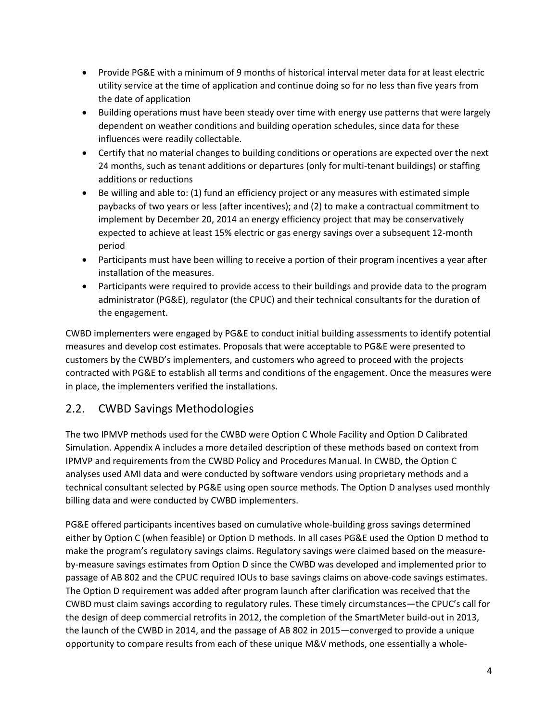- Provide PG&E with a minimum of 9 months of historical interval meter data for at least electric utility service at the time of application and continue doing so for no less than five years from the date of application
- Building operations must have been steady over time with energy use patterns that were largely dependent on weather conditions and building operation schedules, since data for these influences were readily collectable.
- Certify that no material changes to building conditions or operations are expected over the next 24 months, such as tenant additions or departures (only for multi-tenant buildings) or staffing additions or reductions
- Be willing and able to: (1) fund an efficiency project or any measures with estimated simple paybacks of two years or less (after incentives); and (2) to make a contractual commitment to implement by December 20, 2014 an energy efficiency project that may be conservatively expected to achieve at least 15% electric or gas energy savings over a subsequent 12-month period
- Participants must have been willing to receive a portion of their program incentives a year after installation of the measures.
- Participants were required to provide access to their buildings and provide data to the program administrator (PG&E), regulator (the CPUC) and their technical consultants for the duration of the engagement.

CWBD implementers were engaged by PG&E to conduct initial building assessments to identify potential measures and develop cost estimates. Proposals that were acceptable to PG&E were presented to customers by the CWBD's implementers, and customers who agreed to proceed with the projects contracted with PG&E to establish all terms and conditions of the engagement. Once the measures were in place, the implementers verified the installations.

## <span id="page-17-0"></span>2.2. CWBD Savings Methodologies

The two IPMVP methods used for the CWBD were Option C Whole Facility and Option D Calibrated Simulation. Appendix A includes a more detailed description of these methods based on context from IPMVP and requirements from the CWBD Policy and Procedures Manual. In CWBD, the Option C analyses used AMI data and were conducted by software vendors using proprietary methods and a technical consultant selected by PG&E using open source methods. The Option D analyses used monthly billing data and were conducted by CWBD implementers.

PG&E offered participants incentives based on cumulative whole-building gross savings determined either by Option C (when feasible) or Option D methods. In all cases PG&E used the Option D method to make the program's regulatory savings claims. Regulatory savings were claimed based on the measureby-measure savings estimates from Option D since the CWBD was developed and implemented prior to passage of AB 802 and the CPUC required IOUs to base savings claims on above-code savings estimates. The Option D requirement was added after program launch after clarification was received that the CWBD must claim savings according to regulatory rules. These timely circumstances—the CPUC's call for the design of deep commercial retrofits in 2012, the completion of the SmartMeter build-out in 2013, the launch of the CWBD in 2014, and the passage of AB 802 in 2015—converged to provide a unique opportunity to compare results from each of these unique M&V methods, one essentially a whole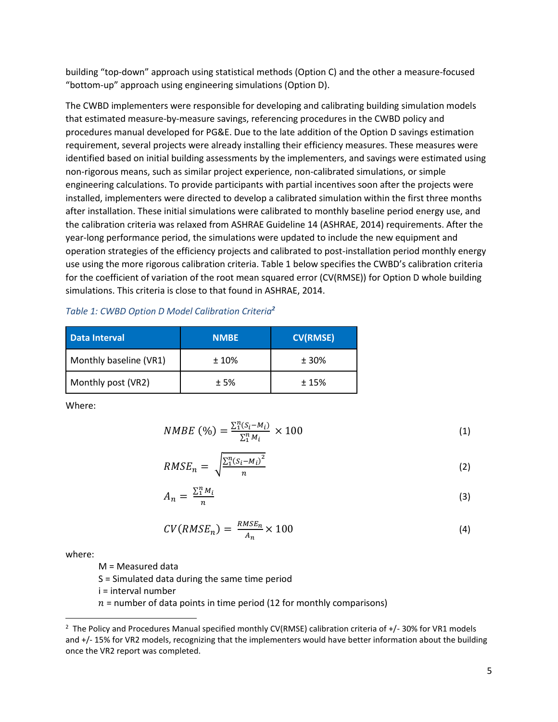building "top-down" approach using statistical methods (Option C) and the other a measure-focused "bottom-up" approach using engineering simulations (Option D).

The CWBD implementers were responsible for developing and calibrating building simulation models that estimated measure-by-measure savings, referencing procedures in the CWBD policy and procedures manual developed for PG&E. Due to the late addition of the Option D savings estimation requirement, several projects were already installing their efficiency measures. These measures were identified based on initial building assessments by the implementers, and savings were estimated using non-rigorous means, such as similar project experience, non-calibrated simulations, or simple engineering calculations. To provide participants with partial incentives soon after the projects were installed, implementers were directed to develop a calibrated simulation within the first three months after installation. These initial simulations were calibrated to monthly baseline period energy use, and the calibration criteria was relaxed from ASHRAE Guideline 14 (ASHRAE, 2014) requirements. After the year-long performance period, the simulations were updated to include the new equipment and operation strategies of the efficiency projects and calibrated to post-installation period monthly energy use using the more rigorous calibration criteria[. Table 1](#page-18-0) below specifies the CWBD's calibration criteria for the coefficient of variation of the root mean squared error (CV(RMSE)) for Option D whole building simulations. This criteria is close to that found in ASHRAE, 2014.

#### <span id="page-18-0"></span>*Table 1: CWBD Option D Model Calibration Criteria<sup>2</sup>*

| Data Interval          | <b>NMBE</b> | <b>CV(RMSE)</b> |
|------------------------|-------------|-----------------|
| Monthly baseline (VR1) | $±10\%$     | ± 30%           |
| Monthly post (VR2)     | ±5%         | ±15%            |

Where:

$$
NMBE\ (%) = \frac{\sum_{i=1}^{n} (S_i - M_i)}{\sum_{i=1}^{n} M_i} \times 100\tag{1}
$$

$$
RMSE_n = \sqrt{\frac{\sum_{1}^{n}(S_i - M_i)^2}{n}}
$$
 (2)

$$
A_n = \frac{\sum_{i=1}^{n} M_i}{n} \tag{3}
$$

$$
CV(RMSE_n) = \frac{RMSE_n}{A_n} \times 100
$$
\n(4)

where:

 $\overline{a}$ 

M = Measured data

S = Simulated data during the same time period

i = interval number

 $n =$  number of data points in time period (12 for monthly comparisons)

<sup>&</sup>lt;sup>2</sup> The Policy and Procedures Manual specified monthly CV(RMSE) calibration criteria of +/- 30% for VR1 models and +/- 15% for VR2 models, recognizing that the implementers would have better information about the building once the VR2 report was completed.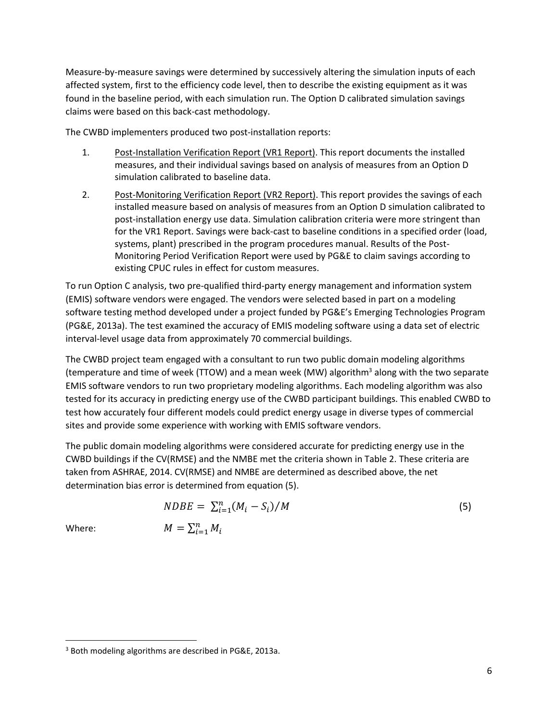Measure-by-measure savings were determined by successively altering the simulation inputs of each affected system, first to the efficiency code level, then to describe the existing equipment as it was found in the baseline period, with each simulation run. The Option D calibrated simulation savings claims were based on this back-cast methodology.

The CWBD implementers produced two post-installation reports:

- 1. Post-Installation Verification Report (VR1 Report). This report documents the installed measures, and their individual savings based on analysis of measures from an Option D simulation calibrated to baseline data.
- 2. Post-Monitoring Verification Report (VR2 Report). This report provides the savings of each installed measure based on analysis of measures from an Option D simulation calibrated to post-installation energy use data. Simulation calibration criteria were more stringent than for the VR1 Report. Savings were back-cast to baseline conditions in a specified order (load, systems, plant) prescribed in the program procedures manual. Results of the Post-Monitoring Period Verification Report were used by PG&E to claim savings according to existing CPUC rules in effect for custom measures.

To run Option C analysis, two pre-qualified third-party energy management and information system (EMIS) software vendors were engaged. The vendors were selected based in part on a modeling software testing method developed under a project funded by PG&E's Emerging Technologies Program (PG&E, 2013a). The test examined the accuracy of EMIS modeling software using a data set of electric interval-level usage data from approximately 70 commercial buildings.

The CWBD project team engaged with a consultant to run two public domain modeling algorithms (temperature and time of week (TTOW) and a mean week (MW) algorithm<sup>3</sup> along with the two separate EMIS software vendors to run two proprietary modeling algorithms. Each modeling algorithm was also tested for its accuracy in predicting energy use of the CWBD participant buildings. This enabled CWBD to test how accurately four different models could predict energy usage in diverse types of commercial sites and provide some experience with working with EMIS software vendors.

The public domain modeling algorithms were considered accurate for predicting energy use in the CWBD buildings if the CV(RMSE) and the NMBE met the criteria shown in Table 2. These criteria are taken from ASHRAE, 2014. CV(RMSE) and NMBE are determined as described above, the net determination bias error is determined from equation (5).

$$
NDBE = \sum_{i=1}^{n} (M_i - S_i) / M
$$
\n
$$
M = \sum_{i=1}^{n} M_i
$$
\n(5)

Where:

 $\overline{\phantom{a}}$ 

<sup>3</sup> Both modeling algorithms are described in PG&E, 2013a.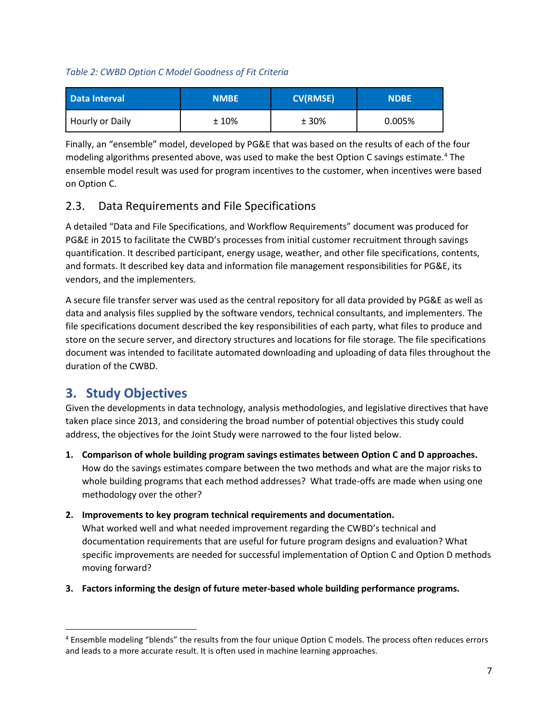## *Table 2: CWBD Option C Model Goodness of Fit Criteria*

| Data Interval   | <b>NMBE</b> | <b>CV(RMSE)</b> | <b>NDBE</b> |
|-----------------|-------------|-----------------|-------------|
| Hourly or Daily | $±10\%$     | ± 30%           | 0.005%      |

Finally, an "ensemble" model, developed by PG&E that was based on the results of each of the four modeling algorithms presented above, was used to make the best Option C savings estimate.<sup>4</sup> The ensemble model result was used for program incentives to the customer, when incentives were based on Option C.

## <span id="page-20-0"></span>2.3. Data Requirements and File Specifications

A detailed "Data and File Specifications, and Workflow Requirements" document was produced for PG&E in 2015 to facilitate the CWBD's processes from initial customer recruitment through savings quantification. It described participant, energy usage, weather, and other file specifications, contents, and formats. It described key data and information file management responsibilities for PG&E, its vendors, and the implementers.

A secure file transfer server was used as the central repository for all data provided by PG&E as well as data and analysis files supplied by the software vendors, technical consultants, and implementers. The file specifications document described the key responsibilities of each party, what files to produce and store on the secure server, and directory structures and locations for file storage. The file specifications document was intended to facilitate automated downloading and uploading of data files throughout the duration of the CWBD.

## <span id="page-20-1"></span>**3. Study Objectives**

 $\overline{\phantom{a}}$ 

Given the developments in data technology, analysis methodologies, and legislative directives that have taken place since 2013, and considering the broad number of potential objectives this study could address, the objectives for the Joint Study were narrowed to the four listed below.

**1. Comparison of whole building program savings estimates between Option C and D approaches.** How do the savings estimates compare between the two methods and what are the major risks to whole building programs that each method addresses? What trade-offs are made when using one methodology over the other?

## **2. Improvements to key program technical requirements and documentation.**

What worked well and what needed improvement regarding the CWBD's technical and documentation requirements that are useful for future program designs and evaluation? What specific improvements are needed for successful implementation of Option C and Option D methods moving forward?

**3. Factors informing the design of future meter-based whole building performance programs.** 

<sup>4</sup> Ensemble modeling "blends" the results from the four unique Option C models. The process often reduces errors and leads to a more accurate result. It is often used in machine learning approaches.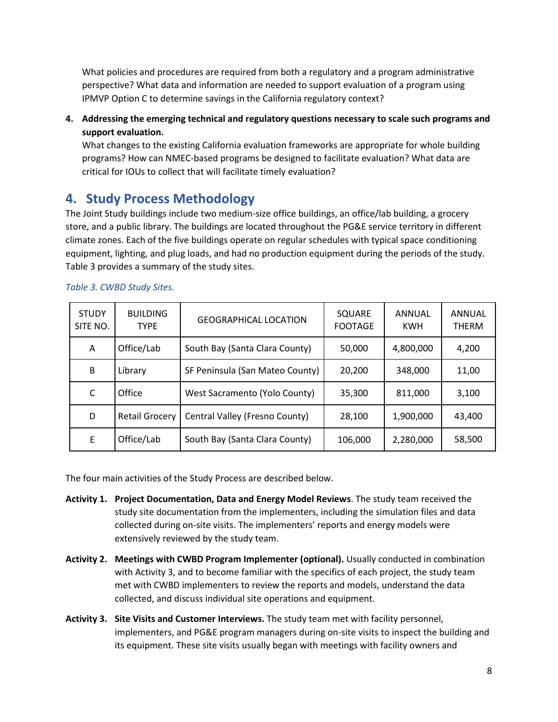What policies and procedures are required from both a regulatory and a program administrative perspective? What data and information are needed to support evaluation of a program using IPMVP Option C to determine savings in the California regulatory context?

**4. Addressing the emerging technical and regulatory questions necessary to scale such programs and support evaluation.**

What changes to the existing California evaluation frameworks are appropriate for whole building programs? How can NMEC-based programs be designed to facilitate evaluation? What data are critical for IOUs to collect that will facilitate timely evaluation?

## <span id="page-21-0"></span>**4. Study Process Methodology**

The Joint Study buildings include two medium-size office buildings, an office/lab building, a grocery store, and a public library. The buildings are located throughout the PG&E service territory in different climate zones. Each of the five buildings operate on regular schedules with typical space conditioning equipment, lighting, and plug loads, and had no production equipment during the periods of the study. Table 3 provides a summary of the study sites.

| <b>STUDY</b><br>SITE NO. | <b>BUILDING</b><br><b>TYPE</b> | <b>GEOGRAPHICAL LOCATION</b>    | SQUARE<br><b>FOOTAGE</b> | ANNUAL<br><b>KWH</b> | ANNUAL<br><b>THERM</b> |
|--------------------------|--------------------------------|---------------------------------|--------------------------|----------------------|------------------------|
| A                        | Office/Lab                     | South Bay (Santa Clara County)  | 50,000                   | 4,800,000            | 4,200                  |
| B                        | Library                        | SF Peninsula (San Mateo County) | 20,200                   | 348,000              | 11,00                  |
| C                        | Office                         | West Sacramento (Yolo County)   | 35,300                   | 811,000              | 3,100                  |
| D                        | <b>Retail Grocery</b>          | Central Valley (Fresno County)  | 28.100                   | 1,900,000            | 43,400                 |
| E                        | Office/Lab                     | South Bay (Santa Clara County)  | 106,000                  | 2,280,000            | 58,500                 |

#### *Table 3. CWBD Study Sites.*

The four main activities of the Study Process are described below.

- **Activity 1. Project Documentation, Data and Energy Model Reviews**. The study team received the study site documentation from the implementers, including the simulation files and data collected during on-site visits. The implementers' reports and energy models were extensively reviewed by the study team.
- **Activity 2. Meetings with CWBD Program Implementer (optional).** Usually conducted in combination with Activity 3, and to become familiar with the specifics of each project, the study team met with CWBD implementers to review the reports and models, understand the data collected, and discuss individual site operations and equipment.
- **Activity 3. Site Visits and Customer Interviews.** The study team met with facility personnel, implementers, and PG&E program managers during on-site visits to inspect the building and its equipment. These site visits usually began with meetings with facility owners and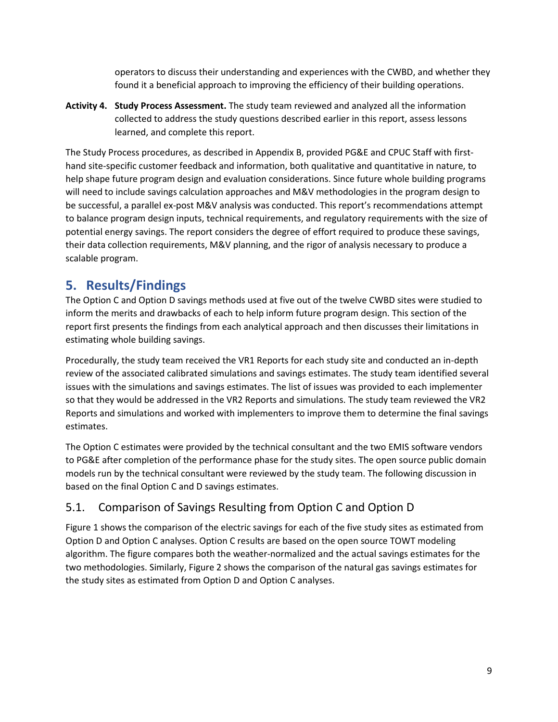operators to discuss their understanding and experiences with the CWBD, and whether they found it a beneficial approach to improving the efficiency of their building operations.

**Activity 4. Study Process Assessment.** The study team reviewed and analyzed all the information collected to address the study questions described earlier in this report, assess lessons learned, and complete this report.

The Study Process procedures, as described in Appendix B, provided PG&E and CPUC Staff with firsthand site-specific customer feedback and information, both qualitative and quantitative in nature, to help shape future program design and evaluation considerations. Since future whole building programs will need to include savings calculation approaches and M&V methodologies in the program design to be successful, a parallel ex-post M&V analysis was conducted. This report's recommendations attempt to balance program design inputs, technical requirements, and regulatory requirements with the size of potential energy savings. The report considers the degree of effort required to produce these savings, their data collection requirements, M&V planning, and the rigor of analysis necessary to produce a scalable program.

## <span id="page-22-0"></span>**5. Results/Findings**

The Option C and Option D savings methods used at five out of the twelve CWBD sites were studied to inform the merits and drawbacks of each to help inform future program design. This section of the report first presents the findings from each analytical approach and then discusses their limitations in estimating whole building savings.

Procedurally, the study team received the VR1 Reports for each study site and conducted an in-depth review of the associated calibrated simulations and savings estimates. The study team identified several issues with the simulations and savings estimates. The list of issues was provided to each implementer so that they would be addressed in the VR2 Reports and simulations. The study team reviewed the VR2 Reports and simulations and worked with implementers to improve them to determine the final savings estimates.

The Option C estimates were provided by the technical consultant and the two EMIS software vendors to PG&E after completion of the performance phase for the study sites. The open source public domain models run by the technical consultant were reviewed by the study team. The following discussion in based on the final Option C and D savings estimates.

## <span id="page-22-1"></span>5.1. Comparison of Savings Resulting from Option C and Option D

Figure 1 shows the comparison of the electric savings for each of the five study sites as estimated from Option D and Option C analyses. Option C results are based on the open source TOWT modeling algorithm. The figure compares both the weather-normalized and the actual savings estimates for the two methodologies. Similarly, Figure 2 shows the comparison of the natural gas savings estimates for the study sites as estimated from Option D and Option C analyses.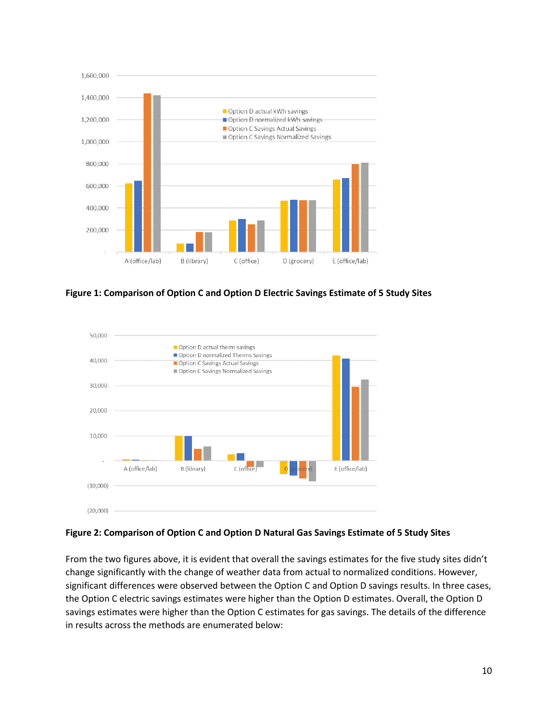

**Figure 1: Comparison of Option C and Option D Electric Savings Estimate of 5 Study Sites**



#### **Figure 2: Comparison of Option C and Option D Natural Gas Savings Estimate of 5 Study Sites**

From the two figures above, it is evident that overall the savings estimates for the five study sites didn't change significantly with the change of weather data from actual to normalized conditions. However, significant differences were observed between the Option C and Option D savings results. In three cases, the Option C electric savings estimates were higher than the Option D estimates. Overall, the Option D savings estimates were higher than the Option C estimates for gas savings. The details of the difference in results across the methods are enumerated below: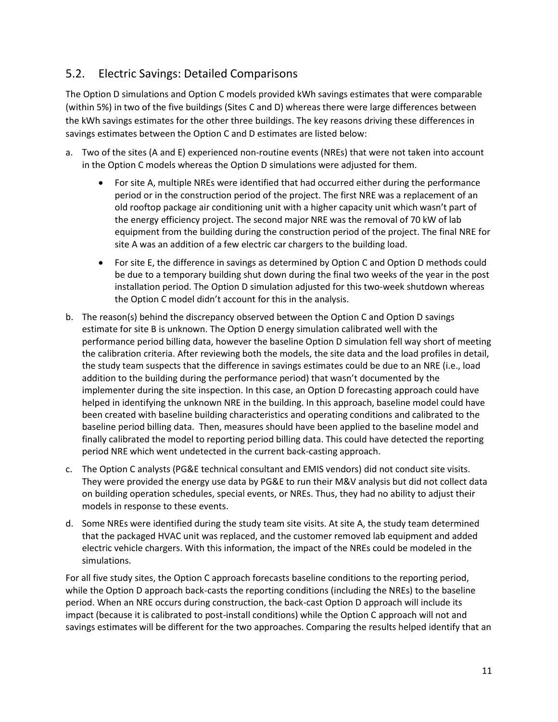## <span id="page-24-0"></span>5.2. Electric Savings: Detailed Comparisons

The Option D simulations and Option C models provided kWh savings estimates that were comparable (within 5%) in two of the five buildings (Sites C and D) whereas there were large differences between the kWh savings estimates for the other three buildings. The key reasons driving these differences in savings estimates between the Option C and D estimates are listed below:

- a. Two of the sites (A and E) experienced non-routine events (NREs) that were not taken into account in the Option C models whereas the Option D simulations were adjusted for them.
	- For site A, multiple NREs were identified that had occurred either during the performance period or in the construction period of the project. The first NRE was a replacement of an old rooftop package air conditioning unit with a higher capacity unit which wasn't part of the energy efficiency project. The second major NRE was the removal of 70 kW of lab equipment from the building during the construction period of the project. The final NRE for site A was an addition of a few electric car chargers to the building load.
	- For site E, the difference in savings as determined by Option C and Option D methods could be due to a temporary building shut down during the final two weeks of the year in the post installation period. The Option D simulation adjusted for this two-week shutdown whereas the Option C model didn't account for this in the analysis.
- b. The reason(s) behind the discrepancy observed between the Option C and Option D savings estimate for site B is unknown. The Option D energy simulation calibrated well with the performance period billing data, however the baseline Option D simulation fell way short of meeting the calibration criteria. After reviewing both the models, the site data and the load profiles in detail, the study team suspects that the difference in savings estimates could be due to an NRE (i.e., load addition to the building during the performance period) that wasn't documented by the implementer during the site inspection. In this case, an Option D forecasting approach could have helped in identifying the unknown NRE in the building. In this approach, baseline model could have been created with baseline building characteristics and operating conditions and calibrated to the baseline period billing data. Then, measures should have been applied to the baseline model and finally calibrated the model to reporting period billing data. This could have detected the reporting period NRE which went undetected in the current back-casting approach.
- c. The Option C analysts (PG&E technical consultant and EMIS vendors) did not conduct site visits. They were provided the energy use data by PG&E to run their M&V analysis but did not collect data on building operation schedules, special events, or NREs. Thus, they had no ability to adjust their models in response to these events.
- d. Some NREs were identified during the study team site visits. At site A, the study team determined that the packaged HVAC unit was replaced, and the customer removed lab equipment and added electric vehicle chargers. With this information, the impact of the NREs could be modeled in the simulations.

For all five study sites, the Option C approach forecasts baseline conditions to the reporting period, while the Option D approach back-casts the reporting conditions (including the NREs) to the baseline period. When an NRE occurs during construction, the back-cast Option D approach will include its impact (because it is calibrated to post-install conditions) while the Option C approach will not and savings estimates will be different for the two approaches. Comparing the results helped identify that an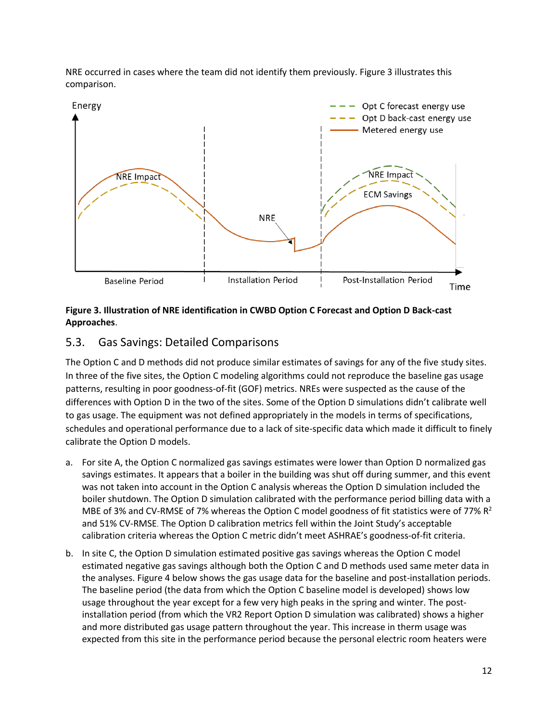NRE occurred in cases where the team did not identify them previously. Figure 3 illustrates this comparison.



## **Figure 3. Illustration of NRE identification in CWBD Option C Forecast and Option D Back-cast Approaches**.

## <span id="page-25-0"></span>5.3. Gas Savings: Detailed Comparisons

The Option C and D methods did not produce similar estimates of savings for any of the five study sites. In three of the five sites, the Option C modeling algorithms could not reproduce the baseline gas usage patterns, resulting in poor goodness-of-fit (GOF) metrics. NREs were suspected as the cause of the differences with Option D in the two of the sites. Some of the Option D simulations didn't calibrate well to gas usage. The equipment was not defined appropriately in the models in terms of specifications, schedules and operational performance due to a lack of site-specific data which made it difficult to finely calibrate the Option D models.

- a. For site A, the Option C normalized gas savings estimates were lower than Option D normalized gas savings estimates. It appears that a boiler in the building was shut off during summer, and this event was not taken into account in the Option C analysis whereas the Option D simulation included the boiler shutdown. The Option D simulation calibrated with the performance period billing data with a MBE of 3% and CV-RMSE of 7% whereas the Option C model goodness of fit statistics were of 77%  $R^2$ and 51% CV-RMSE. The Option D calibration metrics fell within the Joint Study's acceptable calibration criteria whereas the Option C metric didn't meet ASHRAE's goodness-of-fit criteria.
- b. In site C, the Option D simulation estimated positive gas savings whereas the Option C model estimated negative gas savings although both the Option C and D methods used same meter data in the analyses. Figure 4 below shows the gas usage data for the baseline and post-installation periods. The baseline period (the data from which the Option C baseline model is developed) shows low usage throughout the year except for a few very high peaks in the spring and winter. The postinstallation period (from which the VR2 Report Option D simulation was calibrated) shows a higher and more distributed gas usage pattern throughout the year. This increase in therm usage was expected from this site in the performance period because the personal electric room heaters were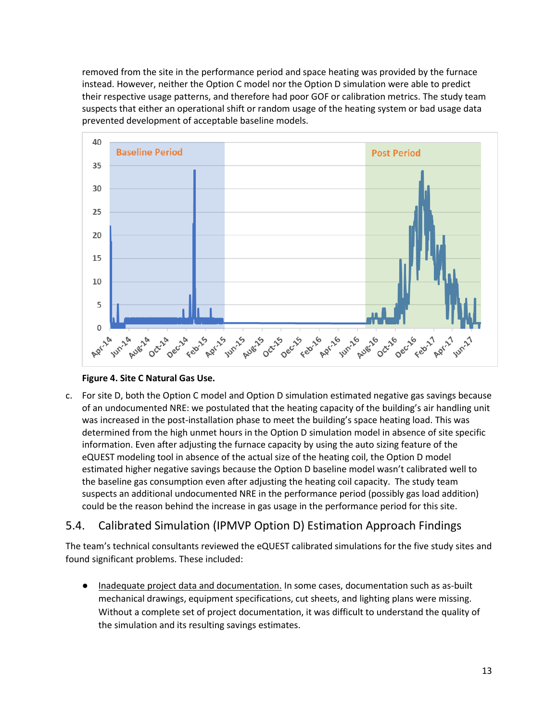removed from the site in the performance period and space heating was provided by the furnace instead. However, neither the Option C model nor the Option D simulation were able to predict their respective usage patterns, and therefore had poor GOF or calibration metrics. The study team suspects that either an operational shift or random usage of the heating system or bad usage data prevented development of acceptable baseline models.



## **Figure 4. Site C Natural Gas Use.**

c. For site D, both the Option C model and Option D simulation estimated negative gas savings because of an undocumented NRE: we postulated that the heating capacity of the building's air handling unit was increased in the post-installation phase to meet the building's space heating load. This was determined from the high unmet hours in the Option D simulation model in absence of site specific information. Even after adjusting the furnace capacity by using the auto sizing feature of the eQUEST modeling tool in absence of the actual size of the heating coil, the Option D model estimated higher negative savings because the Option D baseline model wasn't calibrated well to the baseline gas consumption even after adjusting the heating coil capacity. The study team suspects an additional undocumented NRE in the performance period (possibly gas load addition) could be the reason behind the increase in gas usage in the performance period for this site.

## <span id="page-26-0"></span>5.4. Calibrated Simulation (IPMVP Option D) Estimation Approach Findings

The team's technical consultants reviewed the eQUEST calibrated simulations for the five study sites and found significant problems. These included:

Inadequate project data and documentation. In some cases, documentation such as as-built mechanical drawings, equipment specifications, cut sheets, and lighting plans were missing. Without a complete set of project documentation, it was difficult to understand the quality of the simulation and its resulting savings estimates.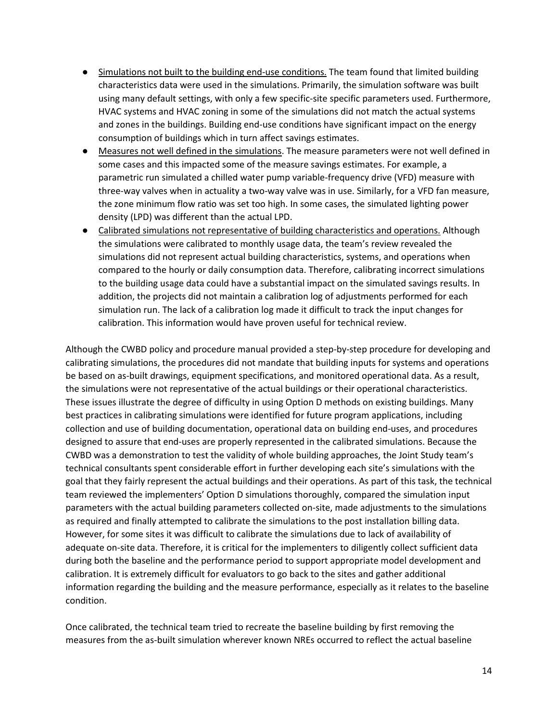- Simulations not built to the building end-use conditions. The team found that limited building characteristics data were used in the simulations. Primarily, the simulation software was built using many default settings, with only a few specific-site specific parameters used. Furthermore, HVAC systems and HVAC zoning in some of the simulations did not match the actual systems and zones in the buildings. Building end-use conditions have significant impact on the energy consumption of buildings which in turn affect savings estimates.
- Measures not well defined in the simulations. The measure parameters were not well defined in some cases and this impacted some of the measure savings estimates. For example, a parametric run simulated a chilled water pump variable-frequency drive (VFD) measure with three-way valves when in actuality a two-way valve was in use. Similarly, for a VFD fan measure, the zone minimum flow ratio was set too high. In some cases, the simulated lighting power density (LPD) was different than the actual LPD.
- Calibrated simulations not representative of building characteristics and operations. Although the simulations were calibrated to monthly usage data, the team's review revealed the simulations did not represent actual building characteristics, systems, and operations when compared to the hourly or daily consumption data. Therefore, calibrating incorrect simulations to the building usage data could have a substantial impact on the simulated savings results. In addition, the projects did not maintain a calibration log of adjustments performed for each simulation run. The lack of a calibration log made it difficult to track the input changes for calibration. This information would have proven useful for technical review.

Although the CWBD policy and procedure manual provided a step-by-step procedure for developing and calibrating simulations, the procedures did not mandate that building inputs for systems and operations be based on as-built drawings, equipment specifications, and monitored operational data. As a result, the simulations were not representative of the actual buildings or their operational characteristics. These issues illustrate the degree of difficulty in using Option D methods on existing buildings. Many best practices in calibrating simulations were identified for future program applications, including collection and use of building documentation, operational data on building end-uses, and procedures designed to assure that end-uses are properly represented in the calibrated simulations. Because the CWBD was a demonstration to test the validity of whole building approaches, the Joint Study team's technical consultants spent considerable effort in further developing each site's simulations with the goal that they fairly represent the actual buildings and their operations. As part of this task, the technical team reviewed the implementers' Option D simulations thoroughly, compared the simulation input parameters with the actual building parameters collected on-site, made adjustments to the simulations as required and finally attempted to calibrate the simulations to the post installation billing data. However, for some sites it was difficult to calibrate the simulations due to lack of availability of adequate on-site data. Therefore, it is critical for the implementers to diligently collect sufficient data during both the baseline and the performance period to support appropriate model development and calibration. It is extremely difficult for evaluators to go back to the sites and gather additional information regarding the building and the measure performance, especially as it relates to the baseline condition.

Once calibrated, the technical team tried to recreate the baseline building by first removing the measures from the as-built simulation wherever known NREs occurred to reflect the actual baseline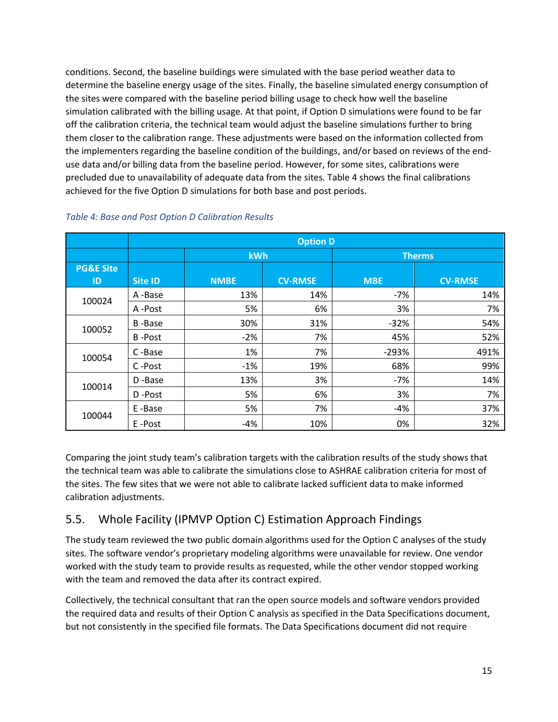conditions. Second, the baseline buildings were simulated with the base period weather data to determine the baseline energy usage of the sites. Finally, the baseline simulated energy consumption of the sites were compared with the baseline period billing usage to check how well the baseline simulation calibrated with the billing usage. At that point, if Option D simulations were found to be far off the calibration criteria, the technical team would adjust the baseline simulations further to bring them closer to the calibration range. These adjustments were based on the information collected from the implementers regarding the baseline condition of the buildings, and/or based on reviews of the enduse data and/or billing data from the baseline period. However, for some sites, calibrations were precluded due to unavailability of adequate data from the sites. Table 4 shows the final calibrations achieved for the five Option D simulations for both base and post periods.

|                            | <b>Option D</b> |             |                |            |                |  |  |  |  |  |
|----------------------------|-----------------|-------------|----------------|------------|----------------|--|--|--|--|--|
|                            |                 | <b>kWh</b>  |                |            | <b>Therms</b>  |  |  |  |  |  |
| <b>PG&amp;E Site</b><br>ID | <b>Site ID</b>  | <b>NMBE</b> | <b>CV-RMSE</b> | <b>MBE</b> | <b>CV-RMSE</b> |  |  |  |  |  |
| 100024                     | A-Base          | 13%         | 14%            | -7%        | 14%            |  |  |  |  |  |
|                            | A-Post          | 5%          | 6%             | 3%         | 7%             |  |  |  |  |  |
| 100052                     | <b>B-Base</b>   | 30%         | 31%            | $-32%$     | 54%            |  |  |  |  |  |
|                            | <b>B-Post</b>   | $-2%$       | 7%             | 45%        | 52%            |  |  |  |  |  |
| 100054                     | C-Base          | 1%          | 7%             | $-293%$    | 491%           |  |  |  |  |  |
|                            | C-Post          | $-1%$       | 19%            | 68%        | 99%            |  |  |  |  |  |
| 100014                     | D-Base          | 13%         | 3%             | $-7%$      | 14%            |  |  |  |  |  |
|                            | D-Post          | 5%          | 6%             | 3%         | 7%             |  |  |  |  |  |
|                            | E-Base          | 5%          | 7%             | $-4%$      | 37%            |  |  |  |  |  |
| 100044                     | E-Post          | $-4%$       | 10%            | 0%         | 32%            |  |  |  |  |  |

#### *Table 4: Base and Post Option D Calibration Results*

Comparing the joint study team's calibration targets with the calibration results of the study shows that the technical team was able to calibrate the simulations close to ASHRAE calibration criteria for most of the sites. The few sites that we were not able to calibrate lacked sufficient data to make informed calibration adjustments.

## <span id="page-28-0"></span>5.5. Whole Facility (IPMVP Option C) Estimation Approach Findings

The study team reviewed the two public domain algorithms used for the Option C analyses of the study sites. The software vendor's proprietary modeling algorithms were unavailable for review. One vendor worked with the study team to provide results as requested, while the other vendor stopped working with the team and removed the data after its contract expired.

Collectively, the technical consultant that ran the open source models and software vendors provided the required data and results of their Option C analysis as specified in the Data Specifications document, but not consistently in the specified file formats. The Data Specifications document did not require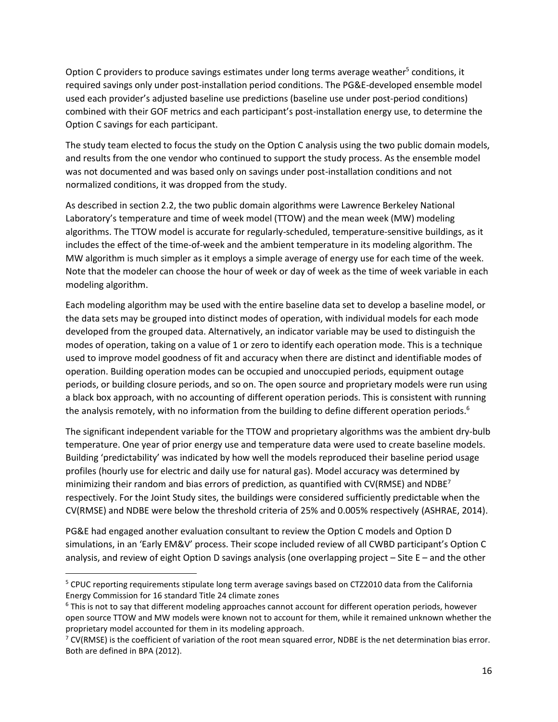Option C providers to produce savings estimates under long terms average weather<sup>5</sup> conditions, it required savings only under post-installation period conditions. The PG&E-developed ensemble model used each provider's adjusted baseline use predictions (baseline use under post-period conditions) combined with their GOF metrics and each participant's post-installation energy use, to determine the Option C savings for each participant.

The study team elected to focus the study on the Option C analysis using the two public domain models, and results from the one vendor who continued to support the study process. As the ensemble model was not documented and was based only on savings under post-installation conditions and not normalized conditions, it was dropped from the study.

As described in section 2.2, the two public domain algorithms were Lawrence Berkeley National Laboratory's temperature and time of week model (TTOW) and the mean week (MW) modeling algorithms. The TTOW model is accurate for regularly-scheduled, temperature-sensitive buildings, as it includes the effect of the time-of-week and the ambient temperature in its modeling algorithm. The MW algorithm is much simpler as it employs a simple average of energy use for each time of the week. Note that the modeler can choose the hour of week or day of week as the time of week variable in each modeling algorithm.

Each modeling algorithm may be used with the entire baseline data set to develop a baseline model, or the data sets may be grouped into distinct modes of operation, with individual models for each mode developed from the grouped data. Alternatively, an indicator variable may be used to distinguish the modes of operation, taking on a value of 1 or zero to identify each operation mode. This is a technique used to improve model goodness of fit and accuracy when there are distinct and identifiable modes of operation. Building operation modes can be occupied and unoccupied periods, equipment outage periods, or building closure periods, and so on. The open source and proprietary models were run using a black box approach, with no accounting of different operation periods. This is consistent with running the analysis remotely, with no information from the building to define different operation periods.<sup>6</sup>

The significant independent variable for the TTOW and proprietary algorithms was the ambient dry-bulb temperature. One year of prior energy use and temperature data were used to create baseline models. Building 'predictability' was indicated by how well the models reproduced their baseline period usage profiles (hourly use for electric and daily use for natural gas). Model accuracy was determined by minimizing their random and bias errors of prediction, as quantified with CV(RMSE) and NDBE<sup>7</sup> respectively. For the Joint Study sites, the buildings were considered sufficiently predictable when the CV(RMSE) and NDBE were below the threshold criteria of 25% and 0.005% respectively (ASHRAE, 2014).

PG&E had engaged another evaluation consultant to review the Option C models and Option D simulations, in an 'Early EM&V' process. Their scope included review of all CWBD participant's Option C analysis, and review of eight Option D savings analysis (one overlapping project – Site E – and the other

 $\overline{\phantom{a}}$ 

<sup>5</sup> CPUC reporting requirements stipulate long term average savings based on CTZ2010 data from the California Energy Commission for 16 standard Title 24 climate zones

<sup>&</sup>lt;sup>6</sup> This is not to say that different modeling approaches cannot account for different operation periods, however open source TTOW and MW models were known not to account for them, while it remained unknown whether the proprietary model accounted for them in its modeling approach.

 $7$  CV(RMSE) is the coefficient of variation of the root mean squared error, NDBE is the net determination bias error. Both are defined in BPA (2012).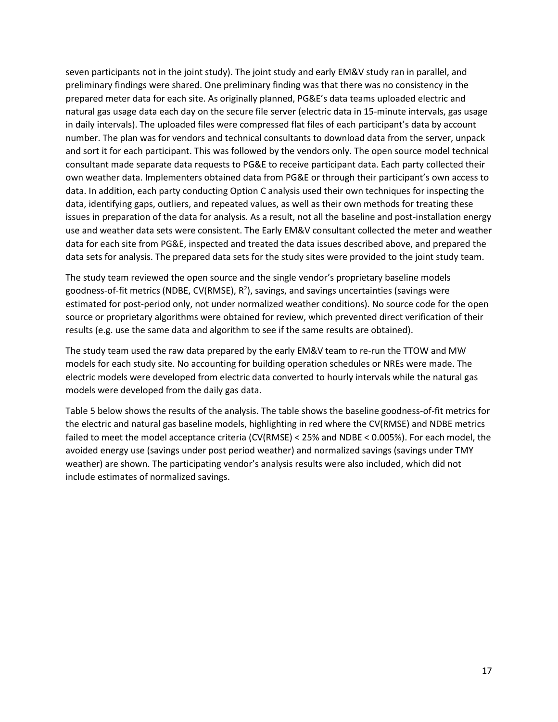seven participants not in the joint study). The joint study and early EM&V study ran in parallel, and preliminary findings were shared. One preliminary finding was that there was no consistency in the prepared meter data for each site. As originally planned, PG&E's data teams uploaded electric and natural gas usage data each day on the secure file server (electric data in 15-minute intervals, gas usage in daily intervals). The uploaded files were compressed flat files of each participant's data by account number. The plan was for vendors and technical consultants to download data from the server, unpack and sort it for each participant. This was followed by the vendors only. The open source model technical consultant made separate data requests to PG&E to receive participant data. Each party collected their own weather data. Implementers obtained data from PG&E or through their participant's own access to data. In addition, each party conducting Option C analysis used their own techniques for inspecting the data, identifying gaps, outliers, and repeated values, as well as their own methods for treating these issues in preparation of the data for analysis. As a result, not all the baseline and post-installation energy use and weather data sets were consistent. The Early EM&V consultant collected the meter and weather data for each site from PG&E, inspected and treated the data issues described above, and prepared the data sets for analysis. The prepared data sets for the study sites were provided to the joint study team.

The study team reviewed the open source and the single vendor's proprietary baseline models goodness-of-fit metrics (NDBE, CV(RMSE),  $R^2$ ), savings, and savings uncertainties (savings were estimated for post-period only, not under normalized weather conditions). No source code for the open source or proprietary algorithms were obtained for review, which prevented direct verification of their results (e.g. use the same data and algorithm to see if the same results are obtained).

The study team used the raw data prepared by the early EM&V team to re-run the TTOW and MW models for each study site. No accounting for building operation schedules or NREs were made. The electric models were developed from electric data converted to hourly intervals while the natural gas models were developed from the daily gas data.

Table 5 below shows the results of the analysis. The table shows the baseline goodness-of-fit metrics for the electric and natural gas baseline models, highlighting in red where the CV(RMSE) and NDBE metrics failed to meet the model acceptance criteria (CV(RMSE) < 25% and NDBE < 0.005%). For each model, the avoided energy use (savings under post period weather) and normalized savings (savings under TMY weather) are shown. The participating vendor's analysis results were also included, which did not include estimates of normalized savings.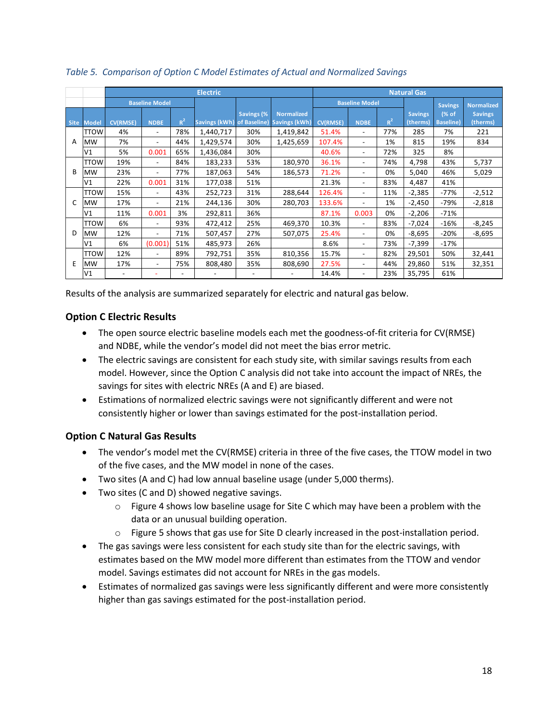|   | Table 5. Comparison of Option C Model Estimates of Actual and Normalized Savings |                 |                          |       |                                          |            |                   |                    |                          |       |                            |                            |                            |
|---|----------------------------------------------------------------------------------|-----------------|--------------------------|-------|------------------------------------------|------------|-------------------|--------------------|--------------------------|-------|----------------------------|----------------------------|----------------------------|
|   |                                                                                  | <b>Electric</b> |                          |       |                                          |            |                   | <b>Natural Gas</b> |                          |       |                            |                            |                            |
|   |                                                                                  |                 | <b>Baseline Model</b>    |       |                                          |            |                   |                    | <b>Baseline Model</b>    |       |                            | <b>Savings</b>             | <b>Normalized</b>          |
|   | Site Model                                                                       | <b>CV(RMSE)</b> | <b>NDBE</b>              | $R^2$ | Savings (kWh) of Baseline) Savings (kWh) | Savings (% | <b>Normalized</b> | <b>CV(RMSE)</b>    | <b>NDBE</b>              | $R^2$ | <b>Savings</b><br>(therms) | (% of<br><b>Baseline</b> ) | <b>Savings</b><br>(therms) |
|   | <b>TTOW</b>                                                                      | 4%              | $\overline{\phantom{a}}$ | 78%   | 1,440,717                                | 30%        | 1,419,842         | 51.4%              | $\overline{\phantom{0}}$ | 77%   | 285                        | 7%                         | 221                        |
| A | <b>MW</b>                                                                        | 7%              | $\overline{\phantom{0}}$ | 44%   | 1,429,574                                | 30%        | 1,425,659         | 107.4%             |                          | 1%    | 815                        | 19%                        | 834                        |
|   | V1                                                                               | 5%              | 0.001                    | 65%   | 1,436,084                                | 30%        |                   | 40.6%              | $\overline{\phantom{0}}$ | 72%   | 325                        | 8%                         |                            |
|   | TTOW                                                                             | 19%             | $\overline{\phantom{a}}$ | 84%   | 183,233                                  | 53%        | 180,970           | 36.1%              | $\overline{\phantom{0}}$ | 74%   | 4,798                      | 43%                        | 5,737                      |
| B | <b>MW</b>                                                                        | 23%             | $\overline{\phantom{a}}$ | 77%   | 187,063                                  | 54%        | 186,573           | 71.2%              | $\overline{\phantom{0}}$ | 0%    | 5,040                      | 46%                        | 5,029                      |
|   | V1                                                                               | 22%             | 0.001                    | 31%   | 177,038                                  | 51%        |                   | 21.3%              |                          | 83%   | 4,487                      | 41%                        |                            |
|   | <b>TTOW</b>                                                                      | 15%             |                          | 43%   | 252,723                                  | 31%        | 288,644           | 126.4%             |                          | 11%   | $-2,385$                   | $-77%$                     | $-2,512$                   |
| C | <b>MW</b>                                                                        | 17%             |                          | 21%   | 244,136                                  | 30%        | 280,703           | 133.6%             |                          | 1%    | $-2,450$                   | -79%                       | $-2,818$                   |
|   | V1                                                                               | 11%             | 0.001                    | 3%    | 292,811                                  | 36%        |                   | 87.1%              | 0.003                    | 0%    | $-2,206$                   | $-71%$                     |                            |
|   | TTOW                                                                             | 6%              | $\overline{\phantom{a}}$ | 93%   | 472,412                                  | 25%        | 469,370           | 10.3%              | $\overline{\phantom{0}}$ | 83%   | $-7,024$                   | $-16%$                     | $-8,245$                   |
| D | <b>MW</b>                                                                        | 12%             | $\overline{\phantom{a}}$ | 71%   | 507,457                                  | 27%        | 507,075           | 25.4%              |                          | 0%    | $-8,695$                   | $-20%$                     | $-8,695$                   |
|   | V1                                                                               | 6%              | (0.001)                  | 51%   | 485,973                                  | 26%        |                   | 8.6%               |                          | 73%   | $-7,399$                   | $-17%$                     |                            |
|   | <b>TTOW</b>                                                                      | 12%             |                          | 89%   | 792,751                                  | 35%        | 810,356           | 15.7%              |                          | 82%   | 29,501                     | 50%                        | 32,441                     |
| Ε | <b>MW</b>                                                                        | 17%             | $\overline{\phantom{a}}$ | 75%   | 808,480                                  | 35%        | 808,690           | 27.5%              |                          | 44%   | 29,860                     | 51%                        | 32,351                     |
|   | V1                                                                               |                 |                          |       |                                          |            |                   | 14.4%              |                          | 23%   | 35,795                     | 61%                        |                            |

*Table 5. Comparison of Option C Model Estimates of Actual and Normalized Savings*

Results of the analysis are summarized separately for electric and natural gas below.

## **Option C Electric Results**

- The open source electric baseline models each met the goodness-of-fit criteria for CV(RMSE) and NDBE, while the vendor's model did not meet the bias error metric.
- The electric savings are consistent for each study site, with similar savings results from each model. However, since the Option C analysis did not take into account the impact of NREs, the savings for sites with electric NREs (A and E) are biased.
- Estimations of normalized electric savings were not significantly different and were not consistently higher or lower than savings estimated for the post-installation period.

## **Option C Natural Gas Results**

- The vendor's model met the CV(RMSE) criteria in three of the five cases, the TTOW model in two of the five cases, and the MW model in none of the cases.
- Two sites (A and C) had low annual baseline usage (under 5,000 therms).
- Two sites (C and D) showed negative savings.
	- $\circ$  Figure 4 shows low baseline usage for Site C which may have been a problem with the data or an unusual building operation.
	- $\circ$  Figure 5 shows that gas use for Site D clearly increased in the post-installation period.
- The gas savings were less consistent for each study site than for the electric savings, with estimates based on the MW model more different than estimates from the TTOW and vendor model. Savings estimates did not account for NREs in the gas models.
- Estimates of normalized gas savings were less significantly different and were more consistently higher than gas savings estimated for the post-installation period.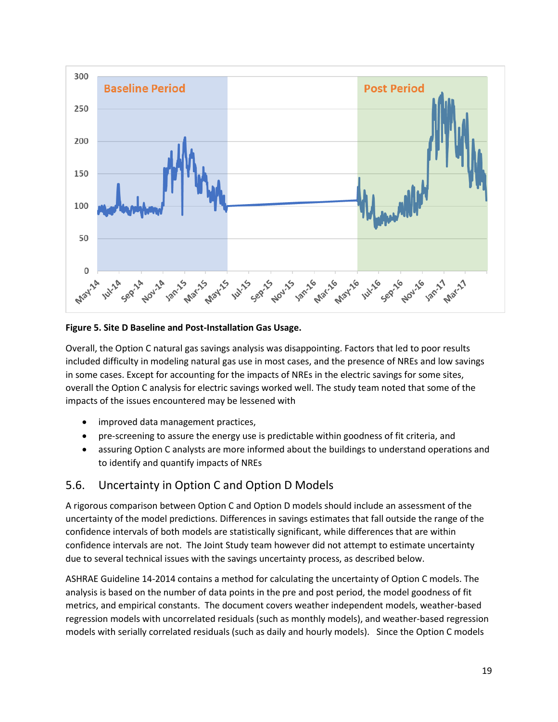

**Figure 5. Site D Baseline and Post-Installation Gas Usage.**

Overall, the Option C natural gas savings analysis was disappointing. Factors that led to poor results included difficulty in modeling natural gas use in most cases, and the presence of NREs and low savings in some cases. Except for accounting for the impacts of NREs in the electric savings for some sites, overall the Option C analysis for electric savings worked well. The study team noted that some of the impacts of the issues encountered may be lessened with

- improved data management practices,
- pre-screening to assure the energy use is predictable within goodness of fit criteria, and
- assuring Option C analysts are more informed about the buildings to understand operations and to identify and quantify impacts of NREs

## <span id="page-32-0"></span>5.6. Uncertainty in Option C and Option D Models

A rigorous comparison between Option C and Option D models should include an assessment of the uncertainty of the model predictions. Differences in savings estimates that fall outside the range of the confidence intervals of both models are statistically significant, while differences that are within confidence intervals are not. The Joint Study team however did not attempt to estimate uncertainty due to several technical issues with the savings uncertainty process, as described below.

ASHRAE Guideline 14-2014 contains a method for calculating the uncertainty of Option C models. The analysis is based on the number of data points in the pre and post period, the model goodness of fit metrics, and empirical constants. The document covers weather independent models, weather-based regression models with uncorrelated residuals (such as monthly models), and weather-based regression models with serially correlated residuals (such as daily and hourly models). Since the Option C models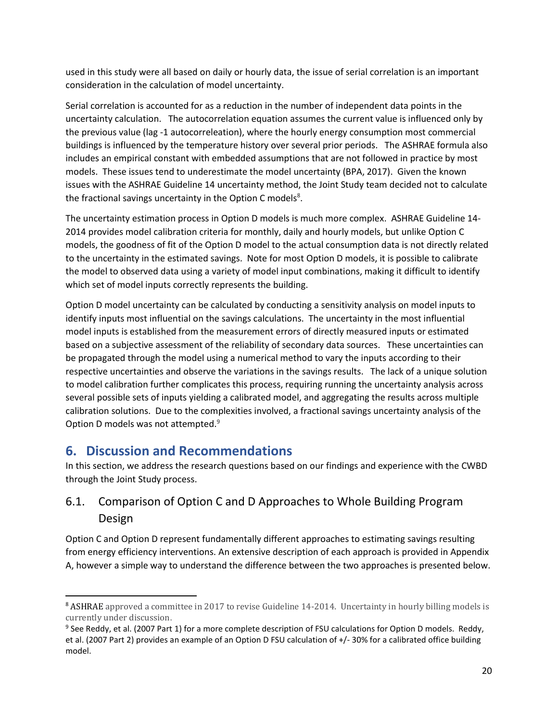used in this study were all based on daily or hourly data, the issue of serial correlation is an important consideration in the calculation of model uncertainty.

Serial correlation is accounted for as a reduction in the number of independent data points in the uncertainty calculation. The autocorrelation equation assumes the current value is influenced only by the previous value (lag -1 autocorreleation), where the hourly energy consumption most commercial buildings is influenced by the temperature history over several prior periods. The ASHRAE formula also includes an empirical constant with embedded assumptions that are not followed in practice by most models. These issues tend to underestimate the model uncertainty (BPA, 2017). Given the known issues with the ASHRAE Guideline 14 uncertainty method, the Joint Study team decided not to calculate the fractional savings uncertainty in the Option C models<sup>8</sup>.

The uncertainty estimation process in Option D models is much more complex. ASHRAE Guideline 14- 2014 provides model calibration criteria for monthly, daily and hourly models, but unlike Option C models, the goodness of fit of the Option D model to the actual consumption data is not directly related to the uncertainty in the estimated savings. Note for most Option D models, it is possible to calibrate the model to observed data using a variety of model input combinations, making it difficult to identify which set of model inputs correctly represents the building.

Option D model uncertainty can be calculated by conducting a sensitivity analysis on model inputs to identify inputs most influential on the savings calculations. The uncertainty in the most influential model inputs is established from the measurement errors of directly measured inputs or estimated based on a subjective assessment of the reliability of secondary data sources. These uncertainties can be propagated through the model using a numerical method to vary the inputs according to their respective uncertainties and observe the variations in the savings results. The lack of a unique solution to model calibration further complicates this process, requiring running the uncertainty analysis across several possible sets of inputs yielding a calibrated model, and aggregating the results across multiple calibration solutions. Due to the complexities involved, a fractional savings uncertainty analysis of the Option D models was not attempted.<sup>9</sup>

## <span id="page-33-0"></span>**6. Discussion and Recommendations**

 $\overline{\phantom{a}}$ 

In this section, we address the research questions based on our findings and experience with the CWBD through the Joint Study process.

## <span id="page-33-1"></span>6.1. Comparison of Option C and D Approaches to Whole Building Program Design

Option C and Option D represent fundamentally different approaches to estimating savings resulting from energy efficiency interventions. An extensive description of each approach is provided in Appendix A, however a simple way to understand the difference between the two approaches is presented below.

<sup>8</sup> ASHRAE approved a committee in 2017 to revise Guideline 14-2014. Uncertainty in hourly billing models is currently under discussion.

<sup>&</sup>lt;sup>9</sup> See Reddy, et al. (2007 Part 1) for a more complete description of FSU calculations for Option D models. Reddy, et al. (2007 Part 2) provides an example of an Option D FSU calculation of +/- 30% for a calibrated office building model.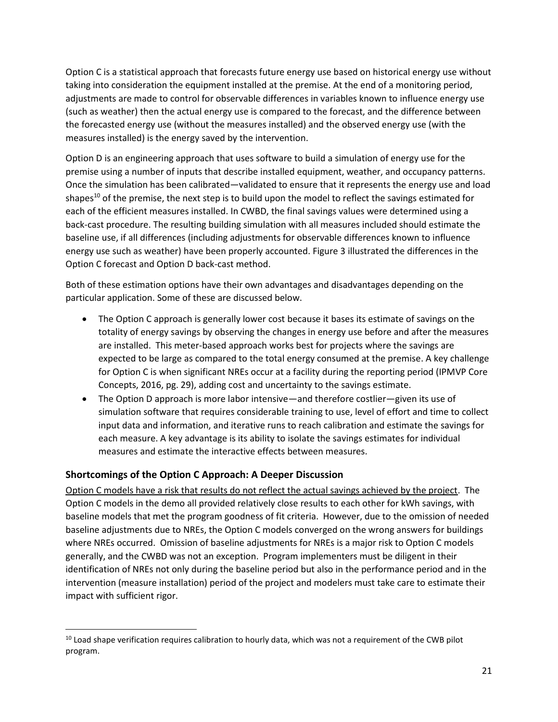Option C is a statistical approach that forecasts future energy use based on historical energy use without taking into consideration the equipment installed at the premise. At the end of a monitoring period, adjustments are made to control for observable differences in variables known to influence energy use (such as weather) then the actual energy use is compared to the forecast, and the difference between the forecasted energy use (without the measures installed) and the observed energy use (with the measures installed) is the energy saved by the intervention.

Option D is an engineering approach that uses software to build a simulation of energy use for the premise using a number of inputs that describe installed equipment, weather, and occupancy patterns. Once the simulation has been calibrated—validated to ensure that it represents the energy use and load shapes<sup>10</sup> of the premise, the next step is to build upon the model to reflect the savings estimated for each of the efficient measures installed. In CWBD, the final savings values were determined using a back-cast procedure. The resulting building simulation with all measures included should estimate the baseline use, if all differences (including adjustments for observable differences known to influence energy use such as weather) have been properly accounted. Figure 3 illustrated the differences in the Option C forecast and Option D back-cast method.

Both of these estimation options have their own advantages and disadvantages depending on the particular application. Some of these are discussed below.

- The Option C approach is generally lower cost because it bases its estimate of savings on the totality of energy savings by observing the changes in energy use before and after the measures are installed. This meter-based approach works best for projects where the savings are expected to be large as compared to the total energy consumed at the premise. A key challenge for Option C is when significant NREs occur at a facility during the reporting period (IPMVP Core Concepts, 2016, pg. 29), adding cost and uncertainty to the savings estimate.
- The Option D approach is more labor intensive—and therefore costlier—given its use of simulation software that requires considerable training to use, level of effort and time to collect input data and information, and iterative runs to reach calibration and estimate the savings for each measure. A key advantage is its ability to isolate the savings estimates for individual measures and estimate the interactive effects between measures.

## **Shortcomings of the Option C Approach: A Deeper Discussion**

 $\overline{\phantom{a}}$ 

Option C models have a risk that results do not reflect the actual savings achieved by the project. The Option C models in the demo all provided relatively close results to each other for kWh savings, with baseline models that met the program goodness of fit criteria. However, due to the omission of needed baseline adjustments due to NREs, the Option C models converged on the wrong answers for buildings where NREs occurred. Omission of baseline adjustments for NREs is a major risk to Option C models generally, and the CWBD was not an exception. Program implementers must be diligent in their identification of NREs not only during the baseline period but also in the performance period and in the intervention (measure installation) period of the project and modelers must take care to estimate their impact with sufficient rigor.

 $10$  Load shape verification requires calibration to hourly data, which was not a requirement of the CWB pilot program.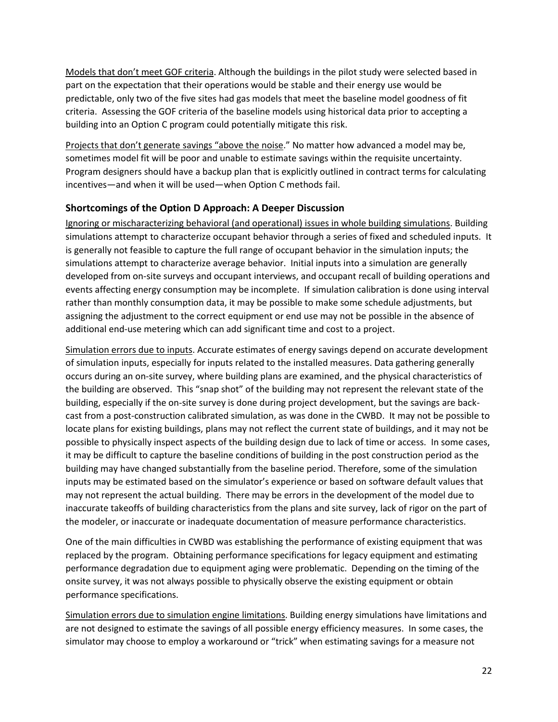Models that don't meet GOF criteria. Although the buildings in the pilot study were selected based in part on the expectation that their operations would be stable and their energy use would be predictable, only two of the five sites had gas models that meet the baseline model goodness of fit criteria. Assessing the GOF criteria of the baseline models using historical data prior to accepting a building into an Option C program could potentially mitigate this risk.

Projects that don't generate savings "above the noise." No matter how advanced a model may be, sometimes model fit will be poor and unable to estimate savings within the requisite uncertainty. Program designers should have a backup plan that is explicitly outlined in contract terms for calculating incentives—and when it will be used—when Option C methods fail.

## **Shortcomings of the Option D Approach: A Deeper Discussion**

Ignoring or mischaracterizing behavioral (and operational) issues in whole building simulations. Building simulations attempt to characterize occupant behavior through a series of fixed and scheduled inputs. It is generally not feasible to capture the full range of occupant behavior in the simulation inputs; the simulations attempt to characterize average behavior. Initial inputs into a simulation are generally developed from on-site surveys and occupant interviews, and occupant recall of building operations and events affecting energy consumption may be incomplete. If simulation calibration is done using interval rather than monthly consumption data, it may be possible to make some schedule adjustments, but assigning the adjustment to the correct equipment or end use may not be possible in the absence of additional end-use metering which can add significant time and cost to a project.

Simulation errors due to inputs. Accurate estimates of energy savings depend on accurate development of simulation inputs, especially for inputs related to the installed measures. Data gathering generally occurs during an on-site survey, where building plans are examined, and the physical characteristics of the building are observed. This "snap shot" of the building may not represent the relevant state of the building, especially if the on-site survey is done during project development, but the savings are backcast from a post-construction calibrated simulation, as was done in the CWBD. It may not be possible to locate plans for existing buildings, plans may not reflect the current state of buildings, and it may not be possible to physically inspect aspects of the building design due to lack of time or access. In some cases, it may be difficult to capture the baseline conditions of building in the post construction period as the building may have changed substantially from the baseline period. Therefore, some of the simulation inputs may be estimated based on the simulator's experience or based on software default values that may not represent the actual building. There may be errors in the development of the model due to inaccurate takeoffs of building characteristics from the plans and site survey, lack of rigor on the part of the modeler, or inaccurate or inadequate documentation of measure performance characteristics.

One of the main difficulties in CWBD was establishing the performance of existing equipment that was replaced by the program. Obtaining performance specifications for legacy equipment and estimating performance degradation due to equipment aging were problematic. Depending on the timing of the onsite survey, it was not always possible to physically observe the existing equipment or obtain performance specifications.

Simulation errors due to simulation engine limitations. Building energy simulations have limitations and are not designed to estimate the savings of all possible energy efficiency measures. In some cases, the simulator may choose to employ a workaround or "trick" when estimating savings for a measure not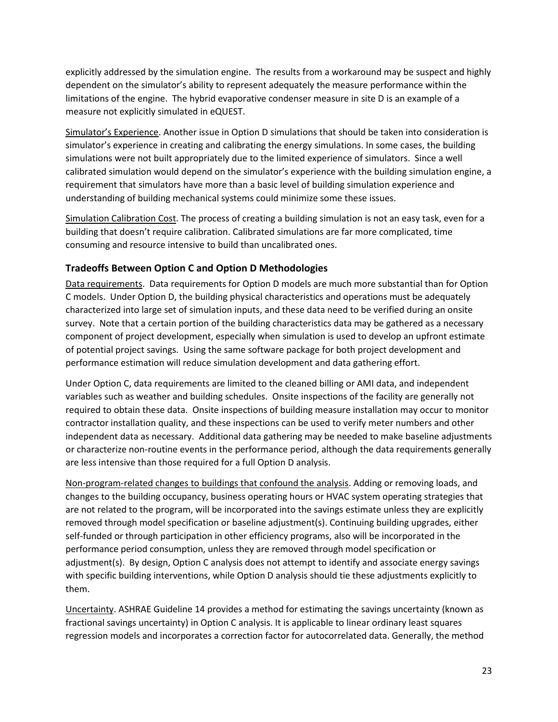explicitly addressed by the simulation engine. The results from a workaround may be suspect and highly dependent on the simulator's ability to represent adequately the measure performance within the limitations of the engine. The hybrid evaporative condenser measure in site D is an example of a measure not explicitly simulated in eQUEST.

Simulator's Experience. Another issue in Option D simulations that should be taken into consideration is simulator's experience in creating and calibrating the energy simulations. In some cases, the building simulations were not built appropriately due to the limited experience of simulators. Since a well calibrated simulation would depend on the simulator's experience with the building simulation engine, a requirement that simulators have more than a basic level of building simulation experience and understanding of building mechanical systems could minimize some these issues.

Simulation Calibration Cost. The process of creating a building simulation is not an easy task, even for a building that doesn't require calibration. Calibrated simulations are far more complicated, time consuming and resource intensive to build than uncalibrated ones.

## **Tradeoffs Between Option C and Option D Methodologies**

Data requirements. Data requirements for Option D models are much more substantial than for Option C models. Under Option D, the building physical characteristics and operations must be adequately characterized into large set of simulation inputs, and these data need to be verified during an onsite survey. Note that a certain portion of the building characteristics data may be gathered as a necessary component of project development, especially when simulation is used to develop an upfront estimate of potential project savings. Using the same software package for both project development and performance estimation will reduce simulation development and data gathering effort.

Under Option C, data requirements are limited to the cleaned billing or AMI data, and independent variables such as weather and building schedules. Onsite inspections of the facility are generally not required to obtain these data. Onsite inspections of building measure installation may occur to monitor contractor installation quality, and these inspections can be used to verify meter numbers and other independent data as necessary. Additional data gathering may be needed to make baseline adjustments or characterize non-routine events in the performance period, although the data requirements generally are less intensive than those required for a full Option D analysis.

Non-program-related changes to buildings that confound the analysis. Adding or removing loads, and changes to the building occupancy, business operating hours or HVAC system operating strategies that are not related to the program, will be incorporated into the savings estimate unless they are explicitly removed through model specification or baseline adjustment(s). Continuing building upgrades, either self-funded or through participation in other efficiency programs, also will be incorporated in the performance period consumption, unless they are removed through model specification or adjustment(s). By design, Option C analysis does not attempt to identify and associate energy savings with specific building interventions, while Option D analysis should tie these adjustments explicitly to them.

Uncertainty. ASHRAE Guideline 14 provides a method for estimating the savings uncertainty (known as fractional savings uncertainty) in Option C analysis. It is applicable to linear ordinary least squares regression models and incorporates a correction factor for autocorrelated data. Generally, the method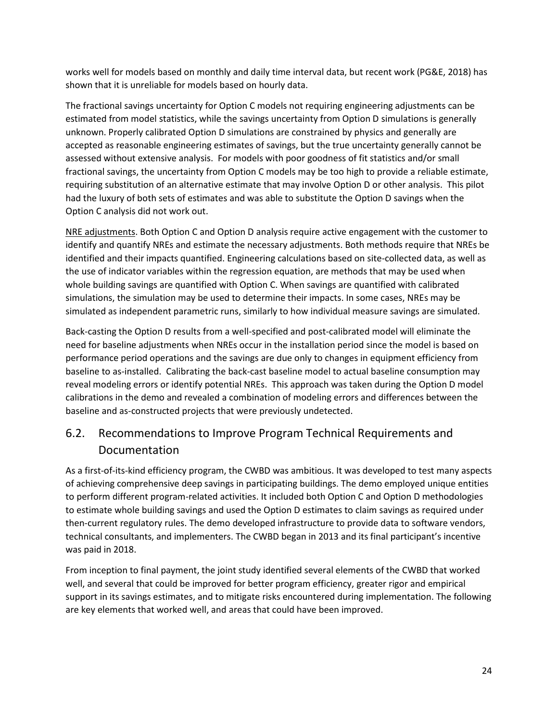works well for models based on monthly and daily time interval data, but recent work (PG&E, 2018) has shown that it is unreliable for models based on hourly data.

The fractional savings uncertainty for Option C models not requiring engineering adjustments can be estimated from model statistics, while the savings uncertainty from Option D simulations is generally unknown. Properly calibrated Option D simulations are constrained by physics and generally are accepted as reasonable engineering estimates of savings, but the true uncertainty generally cannot be assessed without extensive analysis. For models with poor goodness of fit statistics and/or small fractional savings, the uncertainty from Option C models may be too high to provide a reliable estimate, requiring substitution of an alternative estimate that may involve Option D or other analysis. This pilot had the luxury of both sets of estimates and was able to substitute the Option D savings when the Option C analysis did not work out.

NRE adjustments. Both Option C and Option D analysis require active engagement with the customer to identify and quantify NREs and estimate the necessary adjustments. Both methods require that NREs be identified and their impacts quantified. Engineering calculations based on site-collected data, as well as the use of indicator variables within the regression equation, are methods that may be used when whole building savings are quantified with Option C. When savings are quantified with calibrated simulations, the simulation may be used to determine their impacts. In some cases, NREs may be simulated as independent parametric runs, similarly to how individual measure savings are simulated.

Back-casting the Option D results from a well-specified and post-calibrated model will eliminate the need for baseline adjustments when NREs occur in the installation period since the model is based on performance period operations and the savings are due only to changes in equipment efficiency from baseline to as-installed. Calibrating the back-cast baseline model to actual baseline consumption may reveal modeling errors or identify potential NREs. This approach was taken during the Option D model calibrations in the demo and revealed a combination of modeling errors and differences between the baseline and as-constructed projects that were previously undetected.

## <span id="page-37-0"></span>6.2. Recommendations to Improve Program Technical Requirements and Documentation

As a first-of-its-kind efficiency program, the CWBD was ambitious. It was developed to test many aspects of achieving comprehensive deep savings in participating buildings. The demo employed unique entities to perform different program-related activities. It included both Option C and Option D methodologies to estimate whole building savings and used the Option D estimates to claim savings as required under then-current regulatory rules. The demo developed infrastructure to provide data to software vendors, technical consultants, and implementers. The CWBD began in 2013 and its final participant's incentive was paid in 2018.

From inception to final payment, the joint study identified several elements of the CWBD that worked well, and several that could be improved for better program efficiency, greater rigor and empirical support in its savings estimates, and to mitigate risks encountered during implementation. The following are key elements that worked well, and areas that could have been improved.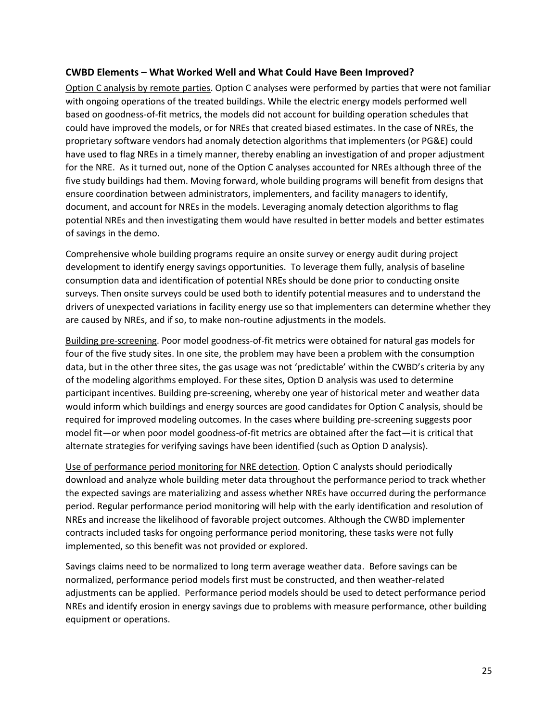#### **CWBD Elements – What Worked Well and What Could Have Been Improved?**

Option C analysis by remote parties. Option C analyses were performed by parties that were not familiar with ongoing operations of the treated buildings. While the electric energy models performed well based on goodness-of-fit metrics, the models did not account for building operation schedules that could have improved the models, or for NREs that created biased estimates. In the case of NREs, the proprietary software vendors had anomaly detection algorithms that implementers (or PG&E) could have used to flag NREs in a timely manner, thereby enabling an investigation of and proper adjustment for the NRE. As it turned out, none of the Option C analyses accounted for NREs although three of the five study buildings had them. Moving forward, whole building programs will benefit from designs that ensure coordination between administrators, implementers, and facility managers to identify, document, and account for NREs in the models. Leveraging anomaly detection algorithms to flag potential NREs and then investigating them would have resulted in better models and better estimates of savings in the demo.

Comprehensive whole building programs require an onsite survey or energy audit during project development to identify energy savings opportunities. To leverage them fully, analysis of baseline consumption data and identification of potential NREs should be done prior to conducting onsite surveys. Then onsite surveys could be used both to identify potential measures and to understand the drivers of unexpected variations in facility energy use so that implementers can determine whether they are caused by NREs, and if so, to make non-routine adjustments in the models.

Building pre-screening. Poor model goodness-of-fit metrics were obtained for natural gas models for four of the five study sites. In one site, the problem may have been a problem with the consumption data, but in the other three sites, the gas usage was not 'predictable' within the CWBD's criteria by any of the modeling algorithms employed. For these sites, Option D analysis was used to determine participant incentives. Building pre-screening, whereby one year of historical meter and weather data would inform which buildings and energy sources are good candidates for Option C analysis, should be required for improved modeling outcomes. In the cases where building pre-screening suggests poor model fit—or when poor model goodness-of-fit metrics are obtained after the fact—it is critical that alternate strategies for verifying savings have been identified (such as Option D analysis).

Use of performance period monitoring for NRE detection. Option C analysts should periodically download and analyze whole building meter data throughout the performance period to track whether the expected savings are materializing and assess whether NREs have occurred during the performance period. Regular performance period monitoring will help with the early identification and resolution of NREs and increase the likelihood of favorable project outcomes. Although the CWBD implementer contracts included tasks for ongoing performance period monitoring, these tasks were not fully implemented, so this benefit was not provided or explored.

Savings claims need to be normalized to long term average weather data. Before savings can be normalized, performance period models first must be constructed, and then weather-related adjustments can be applied. Performance period models should be used to detect performance period NREs and identify erosion in energy savings due to problems with measure performance, other building equipment or operations.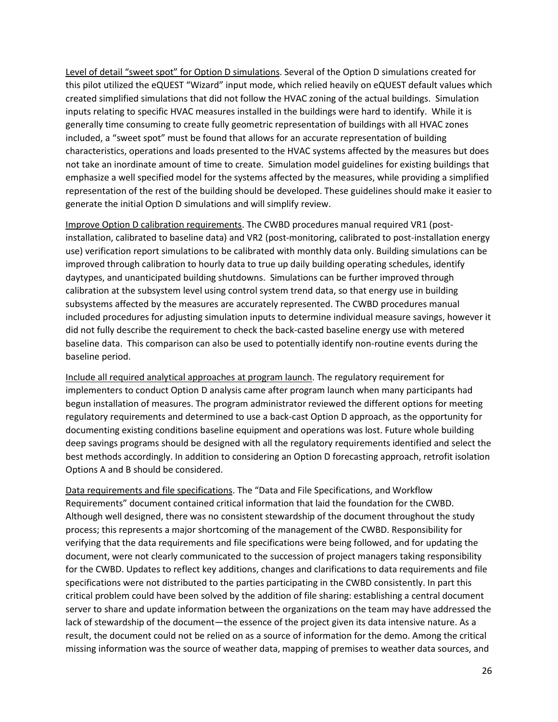Level of detail "sweet spot" for Option D simulations. Several of the Option D simulations created for this pilot utilized the eQUEST "Wizard" input mode, which relied heavily on eQUEST default values which created simplified simulations that did not follow the HVAC zoning of the actual buildings. Simulation inputs relating to specific HVAC measures installed in the buildings were hard to identify. While it is generally time consuming to create fully geometric representation of buildings with all HVAC zones included, a "sweet spot" must be found that allows for an accurate representation of building characteristics, operations and loads presented to the HVAC systems affected by the measures but does not take an inordinate amount of time to create. Simulation model guidelines for existing buildings that emphasize a well specified model for the systems affected by the measures, while providing a simplified representation of the rest of the building should be developed. These guidelines should make it easier to generate the initial Option D simulations and will simplify review.

Improve Option D calibration requirements. The CWBD procedures manual required VR1 (postinstallation, calibrated to baseline data) and VR2 (post-monitoring, calibrated to post-installation energy use) verification report simulations to be calibrated with monthly data only. Building simulations can be improved through calibration to hourly data to true up daily building operating schedules, identify daytypes, and unanticipated building shutdowns. Simulations can be further improved through calibration at the subsystem level using control system trend data, so that energy use in building subsystems affected by the measures are accurately represented. The CWBD procedures manual included procedures for adjusting simulation inputs to determine individual measure savings, however it did not fully describe the requirement to check the back-casted baseline energy use with metered baseline data. This comparison can also be used to potentially identify non-routine events during the baseline period.

Include all required analytical approaches at program launch. The regulatory requirement for implementers to conduct Option D analysis came after program launch when many participants had begun installation of measures. The program administrator reviewed the different options for meeting regulatory requirements and determined to use a back-cast Option D approach, as the opportunity for documenting existing conditions baseline equipment and operations was lost. Future whole building deep savings programs should be designed with all the regulatory requirements identified and select the best methods accordingly. In addition to considering an Option D forecasting approach, retrofit isolation Options A and B should be considered.

Data requirements and file specifications. The "Data and File Specifications, and Workflow Requirements" document contained critical information that laid the foundation for the CWBD. Although well designed, there was no consistent stewardship of the document throughout the study process; this represents a major shortcoming of the management of the CWBD. Responsibility for verifying that the data requirements and file specifications were being followed, and for updating the document, were not clearly communicated to the succession of project managers taking responsibility for the CWBD. Updates to reflect key additions, changes and clarifications to data requirements and file specifications were not distributed to the parties participating in the CWBD consistently. In part this critical problem could have been solved by the addition of file sharing: establishing a central document server to share and update information between the organizations on the team may have addressed the lack of stewardship of the document—the essence of the project given its data intensive nature. As a result, the document could not be relied on as a source of information for the demo. Among the critical missing information was the source of weather data, mapping of premises to weather data sources, and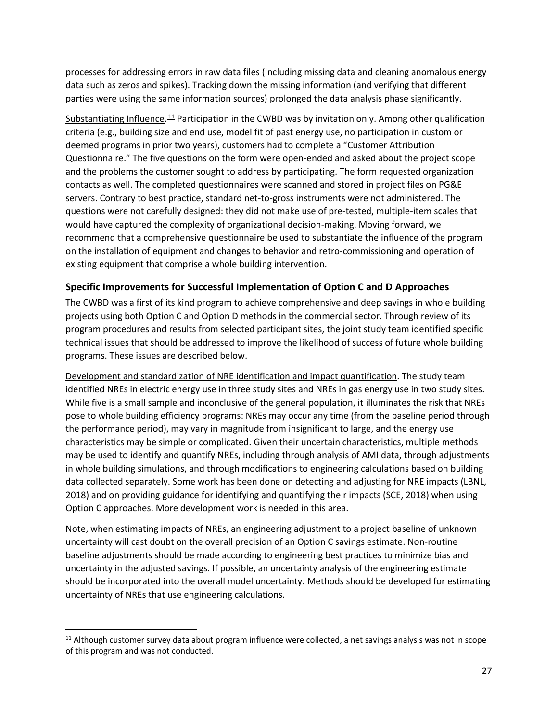processes for addressing errors in raw data files (including missing data and cleaning anomalous energy data such as zeros and spikes). Tracking down the missing information (and verifying that different parties were using the same information sources) prolonged the data analysis phase significantly.

Substantiating Influence.<sup>11</sup> Participation in the CWBD was by invitation only. Among other qualification criteria (e.g., building size and end use, model fit of past energy use, no participation in custom or deemed programs in prior two years), customers had to complete a "Customer Attribution Questionnaire." The five questions on the form were open-ended and asked about the project scope and the problems the customer sought to address by participating. The form requested organization contacts as well. The completed questionnaires were scanned and stored in project files on PG&E servers. Contrary to best practice, standard net-to-gross instruments were not administered. The questions were not carefully designed: they did not make use of pre-tested, multiple-item scales that would have captured the complexity of organizational decision-making. Moving forward, we recommend that a comprehensive questionnaire be used to substantiate the influence of the program on the installation of equipment and changes to behavior and retro-commissioning and operation of existing equipment that comprise a whole building intervention.

## **Specific Improvements for Successful Implementation of Option C and D Approaches**

The CWBD was a first of its kind program to achieve comprehensive and deep savings in whole building projects using both Option C and Option D methods in the commercial sector. Through review of its program procedures and results from selected participant sites, the joint study team identified specific technical issues that should be addressed to improve the likelihood of success of future whole building programs. These issues are described below.

Development and standardization of NRE identification and impact quantification. The study team identified NREs in electric energy use in three study sites and NREs in gas energy use in two study sites. While five is a small sample and inconclusive of the general population, it illuminates the risk that NREs pose to whole building efficiency programs: NREs may occur any time (from the baseline period through the performance period), may vary in magnitude from insignificant to large, and the energy use characteristics may be simple or complicated. Given their uncertain characteristics, multiple methods may be used to identify and quantify NREs, including through analysis of AMI data, through adjustments in whole building simulations, and through modifications to engineering calculations based on building data collected separately. Some work has been done on detecting and adjusting for NRE impacts (LBNL, 2018) and on providing guidance for identifying and quantifying their impacts (SCE, 2018) when using Option C approaches. More development work is needed in this area.

Note, when estimating impacts of NREs, an engineering adjustment to a project baseline of unknown uncertainty will cast doubt on the overall precision of an Option C savings estimate. Non-routine baseline adjustments should be made according to engineering best practices to minimize bias and uncertainty in the adjusted savings. If possible, an uncertainty analysis of the engineering estimate should be incorporated into the overall model uncertainty. Methods should be developed for estimating uncertainty of NREs that use engineering calculations.

 $\overline{\phantom{a}}$ 

 $11$  Although customer survey data about program influence were collected, a net savings analysis was not in scope of this program and was not conducted.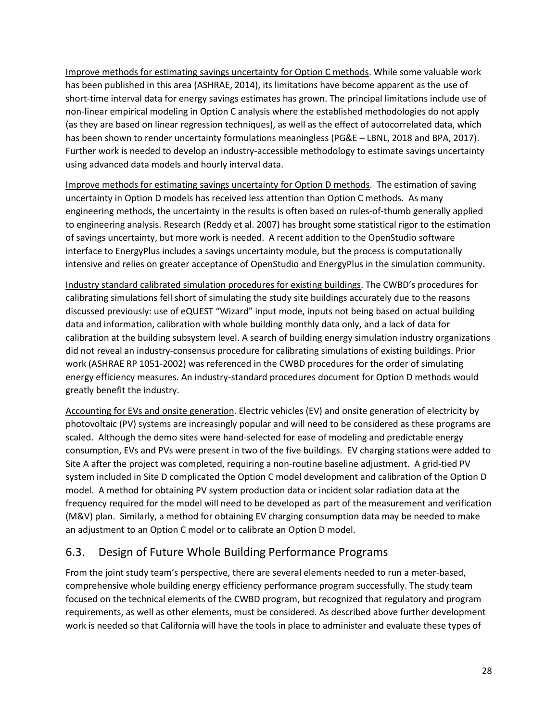Improve methods for estimating savings uncertainty for Option C methods. While some valuable work has been published in this area (ASHRAE, 2014), its limitations have become apparent as the use of short-time interval data for energy savings estimates has grown. The principal limitations include use of non-linear empirical modeling in Option C analysis where the established methodologies do not apply (as they are based on linear regression techniques), as well as the effect of autocorrelated data, which has been shown to render uncertainty formulations meaningless (PG&E – LBNL, 2018 and BPA, 2017). Further work is needed to develop an industry-accessible methodology to estimate savings uncertainty using advanced data models and hourly interval data.

Improve methods for estimating savings uncertainty for Option D methods. The estimation of saving uncertainty in Option D models has received less attention than Option C methods. As many engineering methods, the uncertainty in the results is often based on rules-of-thumb generally applied to engineering analysis. Research (Reddy et al. 2007) has brought some statistical rigor to the estimation of savings uncertainty, but more work is needed. A recent addition to the OpenStudio software interface to EnergyPlus includes a savings uncertainty module, but the process is computationally intensive and relies on greater acceptance of OpenStudio and EnergyPlus in the simulation community.

Industry standard calibrated simulation procedures for existing buildings. The CWBD's procedures for calibrating simulations fell short of simulating the study site buildings accurately due to the reasons discussed previously: use of eQUEST "Wizard" input mode, inputs not being based on actual building data and information, calibration with whole building monthly data only, and a lack of data for calibration at the building subsystem level. A search of building energy simulation industry organizations did not reveal an industry-consensus procedure for calibrating simulations of existing buildings. Prior work (ASHRAE RP 1051-2002) was referenced in the CWBD procedures for the order of simulating energy efficiency measures. An industry-standard procedures document for Option D methods would greatly benefit the industry.

Accounting for EVs and onsite generation. Electric vehicles (EV) and onsite generation of electricity by photovoltaic (PV) systems are increasingly popular and will need to be considered as these programs are scaled. Although the demo sites were hand-selected for ease of modeling and predictable energy consumption, EVs and PVs were present in two of the five buildings. EV charging stations were added to Site A after the project was completed, requiring a non-routine baseline adjustment. A grid-tied PV system included in Site D complicated the Option C model development and calibration of the Option D model. A method for obtaining PV system production data or incident solar radiation data at the frequency required for the model will need to be developed as part of the measurement and verification (M&V) plan. Similarly, a method for obtaining EV charging consumption data may be needed to make an adjustment to an Option C model or to calibrate an Option D model.

## <span id="page-41-0"></span>6.3. Design of Future Whole Building Performance Programs

From the joint study team's perspective, there are several elements needed to run a meter-based, comprehensive whole building energy efficiency performance program successfully. The study team focused on the technical elements of the CWBD program, but recognized that regulatory and program requirements, as well as other elements, must be considered. As described above further development work is needed so that California will have the tools in place to administer and evaluate these types of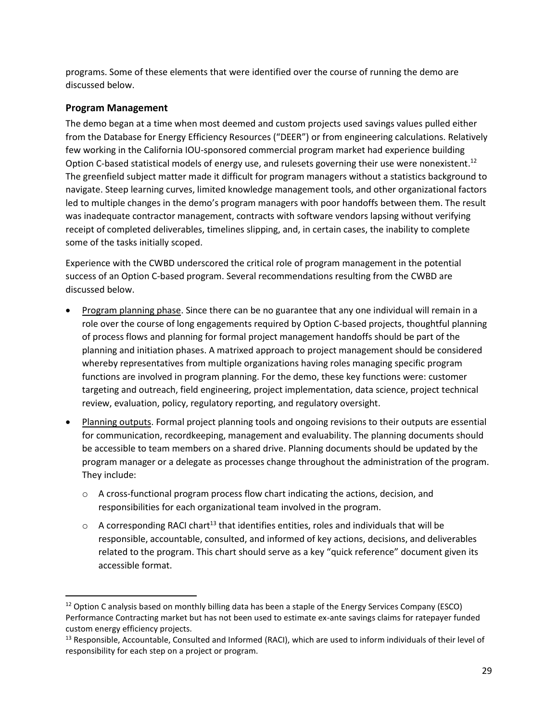programs. Some of these elements that were identified over the course of running the demo are discussed below.

## **Program Management**

 $\overline{\phantom{a}}$ 

The demo began at a time when most deemed and custom projects used savings values pulled either from the Database for Energy Efficiency Resources ("DEER") or from engineering calculations. Relatively few working in the California IOU-sponsored commercial program market had experience building Option C-based statistical models of energy use, and rulesets governing their use were nonexistent.<sup>12</sup> The greenfield subject matter made it difficult for program managers without a statistics background to navigate. Steep learning curves, limited knowledge management tools, and other organizational factors led to multiple changes in the demo's program managers with poor handoffs between them. The result was inadequate contractor management, contracts with software vendors lapsing without verifying receipt of completed deliverables, timelines slipping, and, in certain cases, the inability to complete some of the tasks initially scoped.

Experience with the CWBD underscored the critical role of program management in the potential success of an Option C-based program. Several recommendations resulting from the CWBD are discussed below.

- Program planning phase. Since there can be no guarantee that any one individual will remain in a role over the course of long engagements required by Option C-based projects, thoughtful planning of process flows and planning for formal project management handoffs should be part of the planning and initiation phases. A matrixed approach to project management should be considered whereby representatives from multiple organizations having roles managing specific program functions are involved in program planning. For the demo, these key functions were: customer targeting and outreach, field engineering, project implementation, data science, project technical review, evaluation, policy, regulatory reporting, and regulatory oversight.
- Planning outputs. Formal project planning tools and ongoing revisions to their outputs are essential for communication, recordkeeping, management and evaluability. The planning documents should be accessible to team members on a shared drive. Planning documents should be updated by the program manager or a delegate as processes change throughout the administration of the program. They include:
	- o A cross-functional program process flow chart indicating the actions, decision, and responsibilities for each organizational team involved in the program.
	- $\circ$  A corresponding RACI chart<sup>13</sup> that identifies entities, roles and individuals that will be responsible, accountable, consulted, and informed of key actions, decisions, and deliverables related to the program. This chart should serve as a key "quick reference" document given its accessible format.

<sup>&</sup>lt;sup>12</sup> Option C analysis based on monthly billing data has been a staple of the Energy Services Company (ESCO) Performance Contracting market but has not been used to estimate ex-ante savings claims for ratepayer funded custom energy efficiency projects.

<sup>&</sup>lt;sup>13</sup> Responsible, Accountable, Consulted and Informed (RACI), which are used to inform individuals of their level of responsibility for each step on a project or program.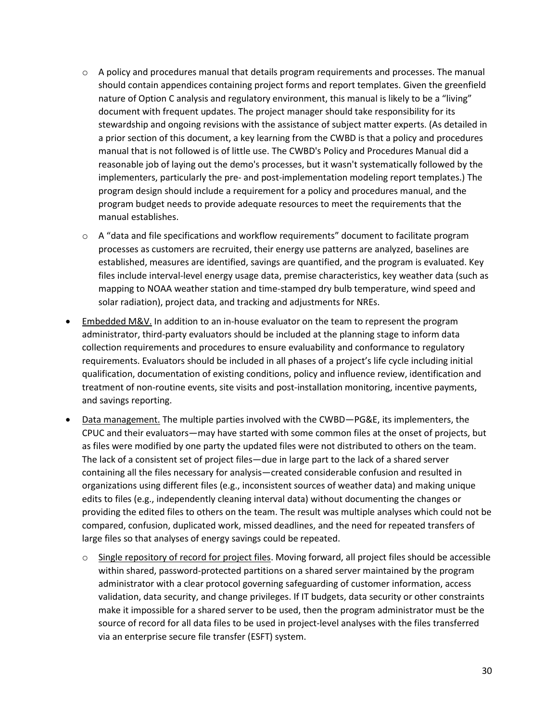- $\circ$  A policy and procedures manual that details program requirements and processes. The manual should contain appendices containing project forms and report templates. Given the greenfield nature of Option C analysis and regulatory environment, this manual is likely to be a "living" document with frequent updates. The project manager should take responsibility for its stewardship and ongoing revisions with the assistance of subject matter experts. (As detailed in a prior section of this document, a key learning from the CWBD is that a policy and procedures manual that is not followed is of little use. The CWBD's Policy and Procedures Manual did a reasonable job of laying out the demo's processes, but it wasn't systematically followed by the implementers, particularly the pre- and post-implementation modeling report templates.) The program design should include a requirement for a policy and procedures manual, and the program budget needs to provide adequate resources to meet the requirements that the manual establishes.
- $\circ$  A "data and file specifications and workflow requirements" document to facilitate program processes as customers are recruited, their energy use patterns are analyzed, baselines are established, measures are identified, savings are quantified, and the program is evaluated. Key files include interval-level energy usage data, premise characteristics, key weather data (such as mapping to NOAA weather station and time-stamped dry bulb temperature, wind speed and solar radiation), project data, and tracking and adjustments for NREs.
- Embedded M&V. In addition to an in-house evaluator on the team to represent the program administrator, third-party evaluators should be included at the planning stage to inform data collection requirements and procedures to ensure evaluability and conformance to regulatory requirements. Evaluators should be included in all phases of a project's life cycle including initial qualification, documentation of existing conditions, policy and influence review, identification and treatment of non-routine events, site visits and post-installation monitoring, incentive payments, and savings reporting.
- Data management. The multiple parties involved with the CWBD-PG&E, its implementers, the CPUC and their evaluators—may have started with some common files at the onset of projects, but as files were modified by one party the updated files were not distributed to others on the team. The lack of a consistent set of project files—due in large part to the lack of a shared server containing all the files necessary for analysis—created considerable confusion and resulted in organizations using different files (e.g., inconsistent sources of weather data) and making unique edits to files (e.g., independently cleaning interval data) without documenting the changes or providing the edited files to others on the team. The result was multiple analyses which could not be compared, confusion, duplicated work, missed deadlines, and the need for repeated transfers of large files so that analyses of energy savings could be repeated.
	- $\circ$  Single repository of record for project files. Moving forward, all project files should be accessible within shared, password-protected partitions on a shared server maintained by the program administrator with a clear protocol governing safeguarding of customer information, access validation, data security, and change privileges. If IT budgets, data security or other constraints make it impossible for a shared server to be used, then the program administrator must be the source of record for all data files to be used in project-level analyses with the files transferred via an enterprise secure file transfer (ESFT) system.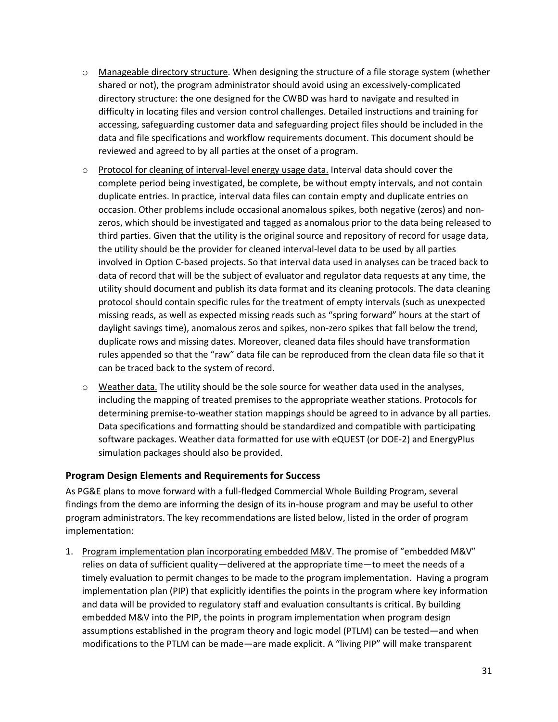- $\circ$  Manageable directory structure. When designing the structure of a file storage system (whether shared or not), the program administrator should avoid using an excessively-complicated directory structure: the one designed for the CWBD was hard to navigate and resulted in difficulty in locating files and version control challenges. Detailed instructions and training for accessing, safeguarding customer data and safeguarding project files should be included in the data and file specifications and workflow requirements document. This document should be reviewed and agreed to by all parties at the onset of a program.
- o Protocol for cleaning of interval-level energy usage data. Interval data should cover the complete period being investigated, be complete, be without empty intervals, and not contain duplicate entries. In practice, interval data files can contain empty and duplicate entries on occasion. Other problems include occasional anomalous spikes, both negative (zeros) and nonzeros, which should be investigated and tagged as anomalous prior to the data being released to third parties. Given that the utility is the original source and repository of record for usage data, the utility should be the provider for cleaned interval-level data to be used by all parties involved in Option C-based projects. So that interval data used in analyses can be traced back to data of record that will be the subject of evaluator and regulator data requests at any time, the utility should document and publish its data format and its cleaning protocols. The data cleaning protocol should contain specific rules for the treatment of empty intervals (such as unexpected missing reads, as well as expected missing reads such as "spring forward" hours at the start of daylight savings time), anomalous zeros and spikes, non-zero spikes that fall below the trend, duplicate rows and missing dates. Moreover, cleaned data files should have transformation rules appended so that the "raw" data file can be reproduced from the clean data file so that it can be traced back to the system of record.
- $\circ$  Weather data. The utility should be the sole source for weather data used in the analyses, including the mapping of treated premises to the appropriate weather stations. Protocols for determining premise-to-weather station mappings should be agreed to in advance by all parties. Data specifications and formatting should be standardized and compatible with participating software packages. Weather data formatted for use with eQUEST (or DOE-2) and EnergyPlus simulation packages should also be provided.

## **Program Design Elements and Requirements for Success**

As PG&E plans to move forward with a full-fledged Commercial Whole Building Program, several findings from the demo are informing the design of its in-house program and may be useful to other program administrators. The key recommendations are listed below, listed in the order of program implementation:

1. Program implementation plan incorporating embedded M&V. The promise of "embedded M&V" relies on data of sufficient quality—delivered at the appropriate time—to meet the needs of a timely evaluation to permit changes to be made to the program implementation. Having a program implementation plan (PIP) that explicitly identifies the points in the program where key information and data will be provided to regulatory staff and evaluation consultants is critical. By building embedded M&V into the PIP, the points in program implementation when program design assumptions established in the program theory and logic model (PTLM) can be tested—and when modifications to the PTLM can be made—are made explicit. A "living PIP" will make transparent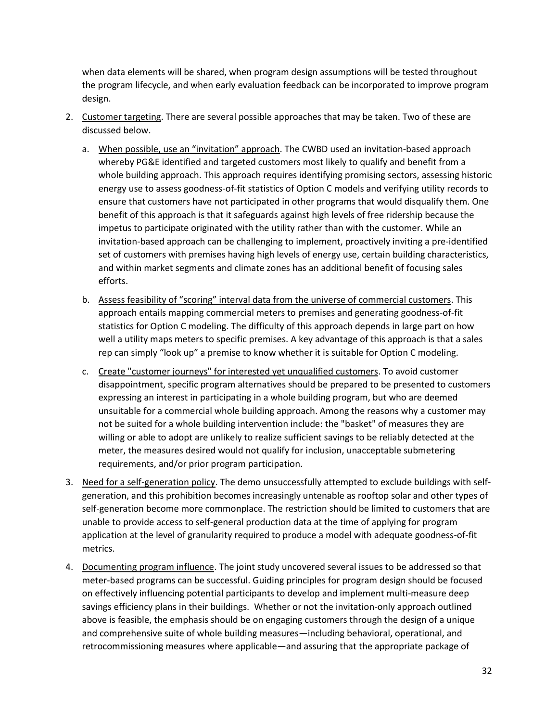when data elements will be shared, when program design assumptions will be tested throughout the program lifecycle, and when early evaluation feedback can be incorporated to improve program design.

- 2. Customer targeting. There are several possible approaches that may be taken. Two of these are discussed below.
	- a. When possible, use an "invitation" approach. The CWBD used an invitation-based approach whereby PG&E identified and targeted customers most likely to qualify and benefit from a whole building approach. This approach requires identifying promising sectors, assessing historic energy use to assess goodness-of-fit statistics of Option C models and verifying utility records to ensure that customers have not participated in other programs that would disqualify them. One benefit of this approach is that it safeguards against high levels of free ridership because the impetus to participate originated with the utility rather than with the customer. While an invitation-based approach can be challenging to implement, proactively inviting a pre-identified set of customers with premises having high levels of energy use, certain building characteristics, and within market segments and climate zones has an additional benefit of focusing sales efforts.
	- b. Assess feasibility of "scoring" interval data from the universe of commercial customers. This approach entails mapping commercial meters to premises and generating goodness-of-fit statistics for Option C modeling. The difficulty of this approach depends in large part on how well a utility maps meters to specific premises. A key advantage of this approach is that a sales rep can simply "look up" a premise to know whether it is suitable for Option C modeling.
	- c. Create "customer journeys" for interested yet unqualified customers. To avoid customer disappointment, specific program alternatives should be prepared to be presented to customers expressing an interest in participating in a whole building program, but who are deemed unsuitable for a commercial whole building approach. Among the reasons why a customer may not be suited for a whole building intervention include: the "basket" of measures they are willing or able to adopt are unlikely to realize sufficient savings to be reliably detected at the meter, the measures desired would not qualify for inclusion, unacceptable submetering requirements, and/or prior program participation.
- 3. Need for a self-generation policy. The demo unsuccessfully attempted to exclude buildings with selfgeneration, and this prohibition becomes increasingly untenable as rooftop solar and other types of self-generation become more commonplace. The restriction should be limited to customers that are unable to provide access to self-general production data at the time of applying for program application at the level of granularity required to produce a model with adequate goodness-of-fit metrics.
- 4. Documenting program influence. The joint study uncovered several issues to be addressed so that meter-based programs can be successful. Guiding principles for program design should be focused on effectively influencing potential participants to develop and implement multi-measure deep savings efficiency plans in their buildings. Whether or not the invitation-only approach outlined above is feasible, the emphasis should be on engaging customers through the design of a unique and comprehensive suite of whole building measures—including behavioral, operational, and retrocommissioning measures where applicable—and assuring that the appropriate package of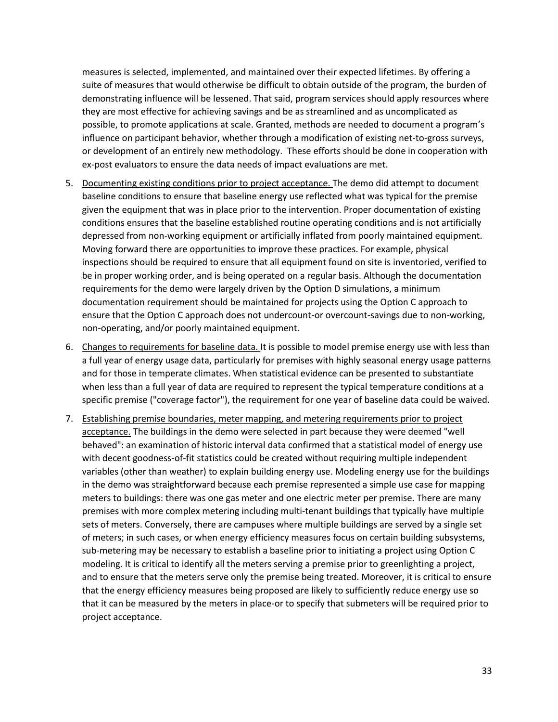measures is selected, implemented, and maintained over their expected lifetimes. By offering a suite of measures that would otherwise be difficult to obtain outside of the program, the burden of demonstrating influence will be lessened. That said, program services should apply resources where they are most effective for achieving savings and be as streamlined and as uncomplicated as possible, to promote applications at scale. Granted, methods are needed to document a program's influence on participant behavior, whether through a modification of existing net-to-gross surveys, or development of an entirely new methodology. These efforts should be done in cooperation with ex-post evaluators to ensure the data needs of impact evaluations are met.

- 5. Documenting existing conditions prior to project acceptance. The demo did attempt to document baseline conditions to ensure that baseline energy use reflected what was typical for the premise given the equipment that was in place prior to the intervention. Proper documentation of existing conditions ensures that the baseline established routine operating conditions and is not artificially depressed from non-working equipment or artificially inflated from poorly maintained equipment. Moving forward there are opportunities to improve these practices. For example, physical inspections should be required to ensure that all equipment found on site is inventoried, verified to be in proper working order, and is being operated on a regular basis. Although the documentation requirements for the demo were largely driven by the Option D simulations, a minimum documentation requirement should be maintained for projects using the Option C approach to ensure that the Option C approach does not undercount-or overcount-savings due to non-working, non-operating, and/or poorly maintained equipment.
- 6. Changes to requirements for baseline data. It is possible to model premise energy use with less than a full year of energy usage data, particularly for premises with highly seasonal energy usage patterns and for those in temperate climates. When statistical evidence can be presented to substantiate when less than a full year of data are required to represent the typical temperature conditions at a specific premise ("coverage factor"), the requirement for one year of baseline data could be waived.
- 7. Establishing premise boundaries, meter mapping, and metering requirements prior to project acceptance. The buildings in the demo were selected in part because they were deemed "well behaved": an examination of historic interval data confirmed that a statistical model of energy use with decent goodness-of-fit statistics could be created without requiring multiple independent variables (other than weather) to explain building energy use. Modeling energy use for the buildings in the demo was straightforward because each premise represented a simple use case for mapping meters to buildings: there was one gas meter and one electric meter per premise. There are many premises with more complex metering including multi-tenant buildings that typically have multiple sets of meters. Conversely, there are campuses where multiple buildings are served by a single set of meters; in such cases, or when energy efficiency measures focus on certain building subsystems, sub-metering may be necessary to establish a baseline prior to initiating a project using Option C modeling. It is critical to identify all the meters serving a premise prior to greenlighting a project, and to ensure that the meters serve only the premise being treated. Moreover, it is critical to ensure that the energy efficiency measures being proposed are likely to sufficiently reduce energy use so that it can be measured by the meters in place-or to specify that submeters will be required prior to project acceptance.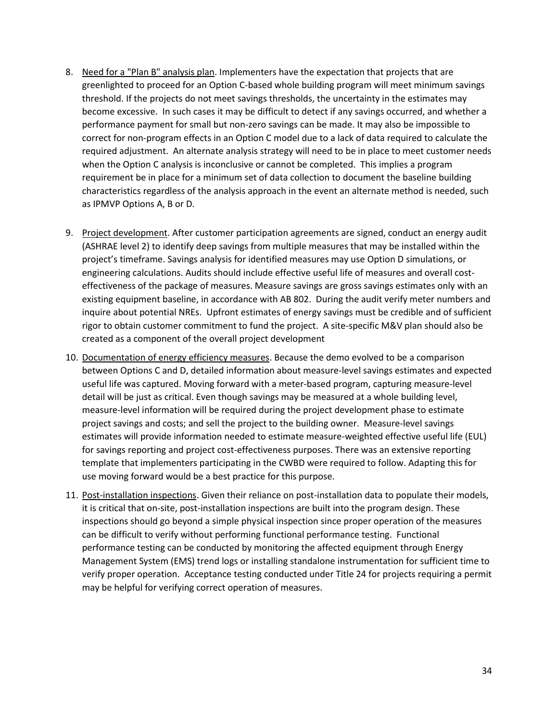- 8. Need for a "Plan B" analysis plan. Implementers have the expectation that projects that are greenlighted to proceed for an Option C-based whole building program will meet minimum savings threshold. If the projects do not meet savings thresholds, the uncertainty in the estimates may become excessive. In such cases it may be difficult to detect if any savings occurred, and whether a performance payment for small but non-zero savings can be made. It may also be impossible to correct for non-program effects in an Option C model due to a lack of data required to calculate the required adjustment. An alternate analysis strategy will need to be in place to meet customer needs when the Option C analysis is inconclusive or cannot be completed. This implies a program requirement be in place for a minimum set of data collection to document the baseline building characteristics regardless of the analysis approach in the event an alternate method is needed, such as IPMVP Options A, B or D.
- 9. Project development. After customer participation agreements are signed, conduct an energy audit (ASHRAE level 2) to identify deep savings from multiple measures that may be installed within the project's timeframe. Savings analysis for identified measures may use Option D simulations, or engineering calculations. Audits should include effective useful life of measures and overall costeffectiveness of the package of measures. Measure savings are gross savings estimates only with an existing equipment baseline, in accordance with AB 802. During the audit verify meter numbers and inquire about potential NREs. Upfront estimates of energy savings must be credible and of sufficient rigor to obtain customer commitment to fund the project. A site-specific M&V plan should also be created as a component of the overall project development
- 10. Documentation of energy efficiency measures. Because the demo evolved to be a comparison between Options C and D, detailed information about measure-level savings estimates and expected useful life was captured. Moving forward with a meter-based program, capturing measure-level detail will be just as critical. Even though savings may be measured at a whole building level, measure-level information will be required during the project development phase to estimate project savings and costs; and sell the project to the building owner. Measure-level savings estimates will provide information needed to estimate measure-weighted effective useful life (EUL) for savings reporting and project cost-effectiveness purposes. There was an extensive reporting template that implementers participating in the CWBD were required to follow. Adapting this for use moving forward would be a best practice for this purpose.
- 11. Post-installation inspections. Given their reliance on post-installation data to populate their models, it is critical that on-site, post-installation inspections are built into the program design. These inspections should go beyond a simple physical inspection since proper operation of the measures can be difficult to verify without performing functional performance testing. Functional performance testing can be conducted by monitoring the affected equipment through Energy Management System (EMS) trend logs or installing standalone instrumentation for sufficient time to verify proper operation. Acceptance testing conducted under Title 24 for projects requiring a permit may be helpful for verifying correct operation of measures.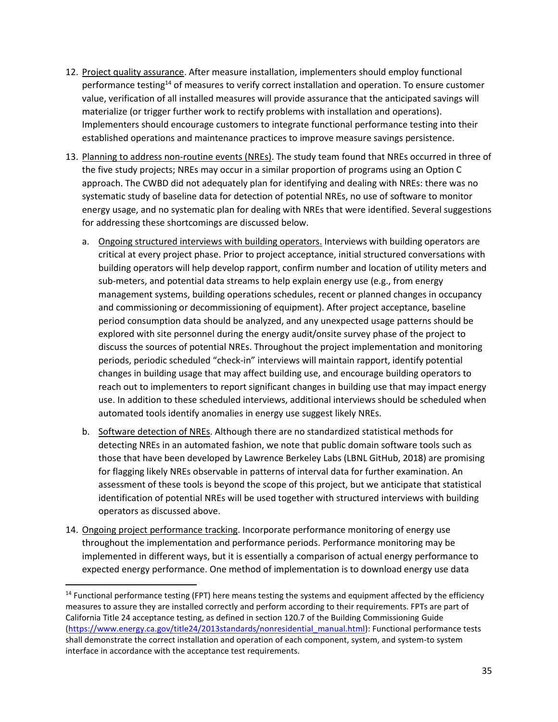- 12. Project quality assurance. After measure installation, implementers should employ functional performance testing<sup>14</sup> of measures to verify correct installation and operation. To ensure customer value, verification of all installed measures will provide assurance that the anticipated savings will materialize (or trigger further work to rectify problems with installation and operations). Implementers should encourage customers to integrate functional performance testing into their established operations and maintenance practices to improve measure savings persistence.
- 13. Planning to address non-routine events (NREs). The study team found that NREs occurred in three of the five study projects; NREs may occur in a similar proportion of programs using an Option C approach. The CWBD did not adequately plan for identifying and dealing with NREs: there was no systematic study of baseline data for detection of potential NREs, no use of software to monitor energy usage, and no systematic plan for dealing with NREs that were identified. Several suggestions for addressing these shortcomings are discussed below.
	- a. Ongoing structured interviews with building operators. Interviews with building operators are critical at every project phase. Prior to project acceptance, initial structured conversations with building operators will help develop rapport, confirm number and location of utility meters and sub-meters, and potential data streams to help explain energy use (e.g., from energy management systems, building operations schedules, recent or planned changes in occupancy and commissioning or decommissioning of equipment). After project acceptance, baseline period consumption data should be analyzed, and any unexpected usage patterns should be explored with site personnel during the energy audit/onsite survey phase of the project to discuss the sources of potential NREs. Throughout the project implementation and monitoring periods, periodic scheduled "check-in" interviews will maintain rapport, identify potential changes in building usage that may affect building use, and encourage building operators to reach out to implementers to report significant changes in building use that may impact energy use. In addition to these scheduled interviews, additional interviews should be scheduled when automated tools identify anomalies in energy use suggest likely NREs.
	- b. Software detection of NREs. Although there are no standardized statistical methods for detecting NREs in an automated fashion, we note that public domain software tools such as those that have been developed by Lawrence Berkeley Labs (LBNL GitHub, 2018) are promising for flagging likely NREs observable in patterns of interval data for further examination. An assessment of these tools is beyond the scope of this project, but we anticipate that statistical identification of potential NREs will be used together with structured interviews with building operators as discussed above.
- 14. Ongoing project performance tracking. Incorporate performance monitoring of energy use throughout the implementation and performance periods. Performance monitoring may be implemented in different ways, but it is essentially a comparison of actual energy performance to expected energy performance. One method of implementation is to download energy use data

l

<sup>&</sup>lt;sup>14</sup> Functional performance testing (FPT) here means testing the systems and equipment affected by the efficiency measures to assure they are installed correctly and perform according to their requirements. FPTs are part of California Title 24 acceptance testing, as defined in section 120.7 of the Building Commissioning Guide [\(https://www.energy.ca.gov/title24/2013standards/nonresidential\\_manual.html\)](https://www.energy.ca.gov/title24/2013standards/nonresidential_manual.html): Functional performance tests shall demonstrate the correct installation and operation of each component, system, and system-to system interface in accordance with the acceptance test requirements.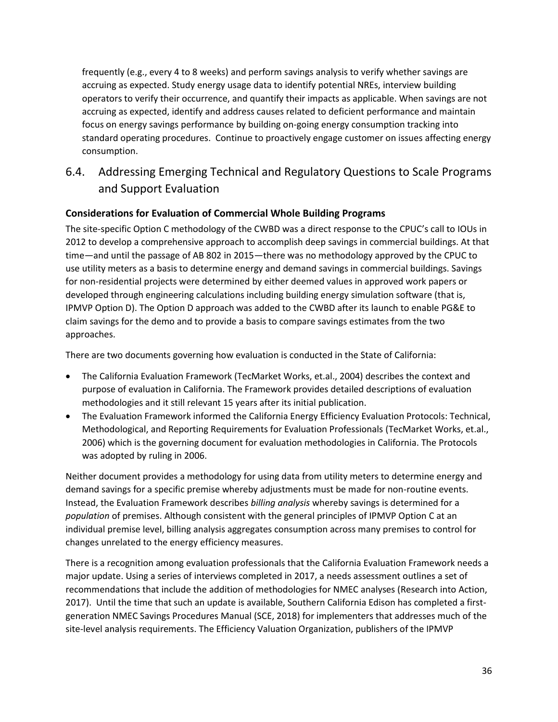frequently (e.g., every 4 to 8 weeks) and perform savings analysis to verify whether savings are accruing as expected. Study energy usage data to identify potential NREs, interview building operators to verify their occurrence, and quantify their impacts as applicable. When savings are not accruing as expected, identify and address causes related to deficient performance and maintain focus on energy savings performance by building on-going energy consumption tracking into standard operating procedures. Continue to proactively engage customer on issues affecting energy consumption.

## <span id="page-49-0"></span>6.4. Addressing Emerging Technical and Regulatory Questions to Scale Programs and Support Evaluation

## **Considerations for Evaluation of Commercial Whole Building Programs**

The site-specific Option C methodology of the CWBD was a direct response to the CPUC's call to IOUs in 2012 to develop a comprehensive approach to accomplish deep savings in commercial buildings. At that time—and until the passage of AB 802 in 2015—there was no methodology approved by the CPUC to use utility meters as a basis to determine energy and demand savings in commercial buildings. Savings for non-residential projects were determined by either deemed values in approved work papers or developed through engineering calculations including building energy simulation software (that is, IPMVP Option D). The Option D approach was added to the CWBD after its launch to enable PG&E to claim savings for the demo and to provide a basis to compare savings estimates from the two approaches.

There are two documents governing how evaluation is conducted in the State of California:

- The California Evaluation Framework (TecMarket Works, et.al., 2004) describes the context and purpose of evaluation in California. The Framework provides detailed descriptions of evaluation methodologies and it still relevant 15 years after its initial publication.
- The Evaluation Framework informed the California Energy Efficiency Evaluation Protocols: Technical, Methodological, and Reporting Requirements for Evaluation Professionals (TecMarket Works, et.al., 2006) which is the governing document for evaluation methodologies in California. The Protocols was adopted by ruling in 2006.

Neither document provides a methodology for using data from utility meters to determine energy and demand savings for a specific premise whereby adjustments must be made for non-routine events. Instead, the Evaluation Framework describes *billing analysis* whereby savings is determined for a *population* of premises. Although consistent with the general principles of IPMVP Option C at an individual premise level, billing analysis aggregates consumption across many premises to control for changes unrelated to the energy efficiency measures.

There is a recognition among evaluation professionals that the California Evaluation Framework needs a major update. Using a series of interviews completed in 2017, a needs assessment outlines a set of recommendations that include the addition of methodologies for NMEC analyses (Research into Action, 2017). Until the time that such an update is available, Southern California Edison has completed a firstgeneration NMEC Savings Procedures Manual (SCE, 2018) for implementers that addresses much of the site-level analysis requirements. The Efficiency Valuation Organization, publishers of the IPMVP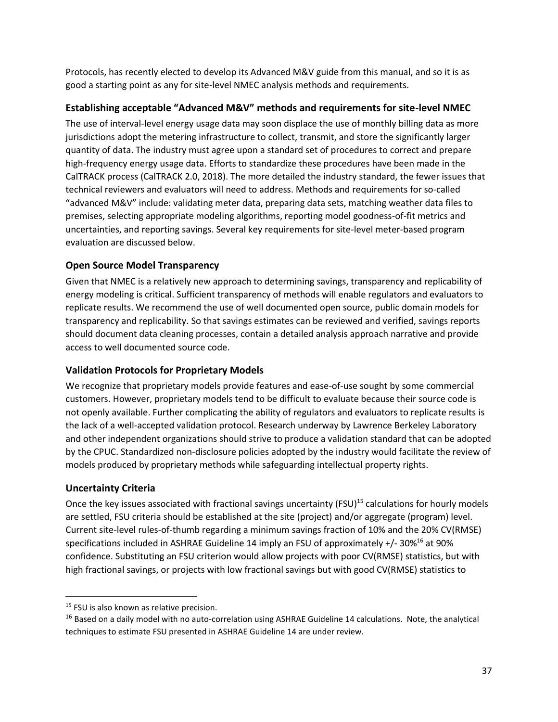Protocols, has recently elected to develop its Advanced M&V guide from this manual, and so it is as good a starting point as any for site-level NMEC analysis methods and requirements.

## **Establishing acceptable "Advanced M&V" methods and requirements for site-level NMEC**

The use of interval-level energy usage data may soon displace the use of monthly billing data as more jurisdictions adopt the metering infrastructure to collect, transmit, and store the significantly larger quantity of data. The industry must agree upon a standard set of procedures to correct and prepare high-frequency energy usage data. Efforts to standardize these procedures have been made in the CalTRACK process (CalTRACK 2.0, 2018). The more detailed the industry standard, the fewer issues that technical reviewers and evaluators will need to address. Methods and requirements for so-called "advanced M&V" include: validating meter data, preparing data sets, matching weather data files to premises, selecting appropriate modeling algorithms, reporting model goodness-of-fit metrics and uncertainties, and reporting savings. Several key requirements for site-level meter-based program evaluation are discussed below.

## **Open Source Model Transparency**

Given that NMEC is a relatively new approach to determining savings, transparency and replicability of energy modeling is critical. Sufficient transparency of methods will enable regulators and evaluators to replicate results. We recommend the use of well documented open source, public domain models for transparency and replicability. So that savings estimates can be reviewed and verified, savings reports should document data cleaning processes, contain a detailed analysis approach narrative and provide access to well documented source code.

## **Validation Protocols for Proprietary Models**

We recognize that proprietary models provide features and ease-of-use sought by some commercial customers. However, proprietary models tend to be difficult to evaluate because their source code is not openly available. Further complicating the ability of regulators and evaluators to replicate results is the lack of a well-accepted validation protocol. Research underway by Lawrence Berkeley Laboratory and other independent organizations should strive to produce a validation standard that can be adopted by the CPUC. Standardized non-disclosure policies adopted by the industry would facilitate the review of models produced by proprietary methods while safeguarding intellectual property rights.

## **Uncertainty Criteria**

l

Once the key issues associated with fractional savings uncertainty (FSU)<sup>15</sup> calculations for hourly models are settled, FSU criteria should be established at the site (project) and/or aggregate (program) level. Current site-level rules-of-thumb regarding a minimum savings fraction of 10% and the 20% CV(RMSE) specifications included in ASHRAE Guideline 14 imply an FSU of approximately  $+/-30\%$ <sup>16</sup> at 90% confidence. Substituting an FSU criterion would allow projects with poor CV(RMSE) statistics, but with high fractional savings, or projects with low fractional savings but with good CV(RMSE) statistics to

<sup>&</sup>lt;sup>15</sup> FSU is also known as relative precision.

<sup>&</sup>lt;sup>16</sup> Based on a daily model with no auto-correlation using ASHRAE Guideline 14 calculations. Note, the analytical techniques to estimate FSU presented in ASHRAE Guideline 14 are under review.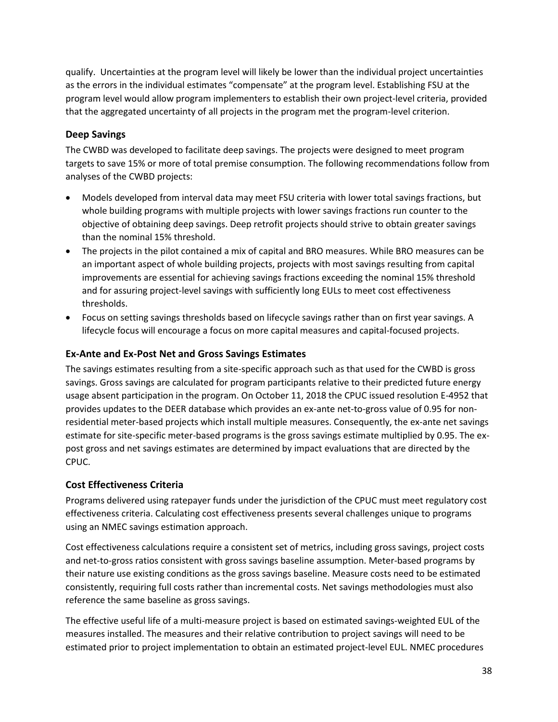qualify. Uncertainties at the program level will likely be lower than the individual project uncertainties as the errors in the individual estimates "compensate" at the program level. Establishing FSU at the program level would allow program implementers to establish their own project-level criteria, provided that the aggregated uncertainty of all projects in the program met the program-level criterion.

## **Deep Savings**

The CWBD was developed to facilitate deep savings. The projects were designed to meet program targets to save 15% or more of total premise consumption. The following recommendations follow from analyses of the CWBD projects:

- Models developed from interval data may meet FSU criteria with lower total savings fractions, but whole building programs with multiple projects with lower savings fractions run counter to the objective of obtaining deep savings. Deep retrofit projects should strive to obtain greater savings than the nominal 15% threshold.
- The projects in the pilot contained a mix of capital and BRO measures. While BRO measures can be an important aspect of whole building projects, projects with most savings resulting from capital improvements are essential for achieving savings fractions exceeding the nominal 15% threshold and for assuring project-level savings with sufficiently long EULs to meet cost effectiveness thresholds.
- Focus on setting savings thresholds based on lifecycle savings rather than on first year savings. A lifecycle focus will encourage a focus on more capital measures and capital-focused projects.

## **Ex-Ante and Ex-Post Net and Gross Savings Estimates**

The savings estimates resulting from a site-specific approach such as that used for the CWBD is gross savings. Gross savings are calculated for program participants relative to their predicted future energy usage absent participation in the program. On October 11, 2018 the CPUC issued resolution E-4952 that provides updates to the DEER database which provides an ex-ante net-to-gross value of 0.95 for nonresidential meter-based projects which install multiple measures. Consequently, the ex-ante net savings estimate for site-specific meter-based programs is the gross savings estimate multiplied by 0.95. The expost gross and net savings estimates are determined by impact evaluations that are directed by the CPUC.

## **Cost Effectiveness Criteria**

Programs delivered using ratepayer funds under the jurisdiction of the CPUC must meet regulatory cost effectiveness criteria. Calculating cost effectiveness presents several challenges unique to programs using an NMEC savings estimation approach.

Cost effectiveness calculations require a consistent set of metrics, including gross savings, project costs and net-to-gross ratios consistent with gross savings baseline assumption. Meter-based programs by their nature use existing conditions as the gross savings baseline. Measure costs need to be estimated consistently, requiring full costs rather than incremental costs. Net savings methodologies must also reference the same baseline as gross savings.

The effective useful life of a multi-measure project is based on estimated savings-weighted EUL of the measures installed. The measures and their relative contribution to project savings will need to be estimated prior to project implementation to obtain an estimated project-level EUL. NMEC procedures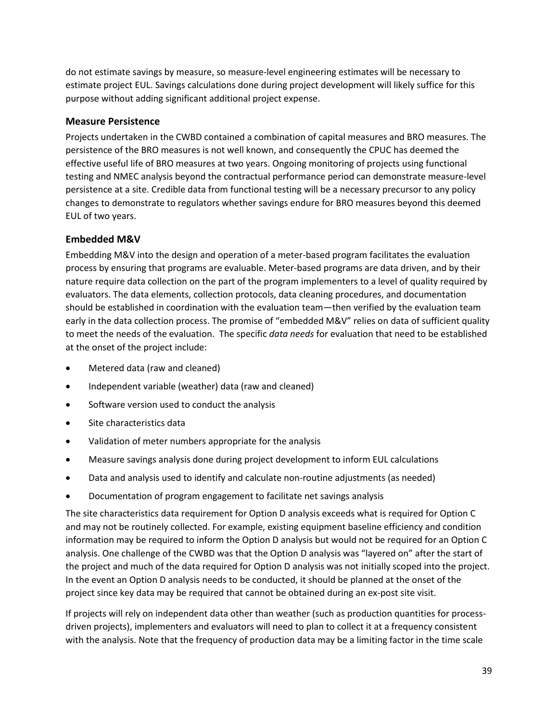do not estimate savings by measure, so measure-level engineering estimates will be necessary to estimate project EUL. Savings calculations done during project development will likely suffice for this purpose without adding significant additional project expense.

#### **Measure Persistence**

Projects undertaken in the CWBD contained a combination of capital measures and BRO measures. The persistence of the BRO measures is not well known, and consequently the CPUC has deemed the effective useful life of BRO measures at two years. Ongoing monitoring of projects using functional testing and NMEC analysis beyond the contractual performance period can demonstrate measure-level persistence at a site. Credible data from functional testing will be a necessary precursor to any policy changes to demonstrate to regulators whether savings endure for BRO measures beyond this deemed EUL of two years.

## **Embedded M&V**

Embedding M&V into the design and operation of a meter-based program facilitates the evaluation process by ensuring that programs are evaluable. Meter-based programs are data driven, and by their nature require data collection on the part of the program implementers to a level of quality required by evaluators. The data elements, collection protocols, data cleaning procedures, and documentation should be established in coordination with the evaluation team—then verified by the evaluation team early in the data collection process. The promise of "embedded M&V" relies on data of sufficient quality to meet the needs of the evaluation. The specific *data needs* for evaluation that need to be established at the onset of the project include:

- Metered data (raw and cleaned)
- Independent variable (weather) data (raw and cleaned)
- Software version used to conduct the analysis
- Site characteristics data
- Validation of meter numbers appropriate for the analysis
- Measure savings analysis done during project development to inform EUL calculations
- Data and analysis used to identify and calculate non-routine adjustments (as needed)
- Documentation of program engagement to facilitate net savings analysis

The site characteristics data requirement for Option D analysis exceeds what is required for Option C and may not be routinely collected. For example, existing equipment baseline efficiency and condition information may be required to inform the Option D analysis but would not be required for an Option C analysis. One challenge of the CWBD was that the Option D analysis was "layered on" after the start of the project and much of the data required for Option D analysis was not initially scoped into the project. In the event an Option D analysis needs to be conducted, it should be planned at the onset of the project since key data may be required that cannot be obtained during an ex-post site visit.

If projects will rely on independent data other than weather (such as production quantities for processdriven projects), implementers and evaluators will need to plan to collect it at a frequency consistent with the analysis. Note that the frequency of production data may be a limiting factor in the time scale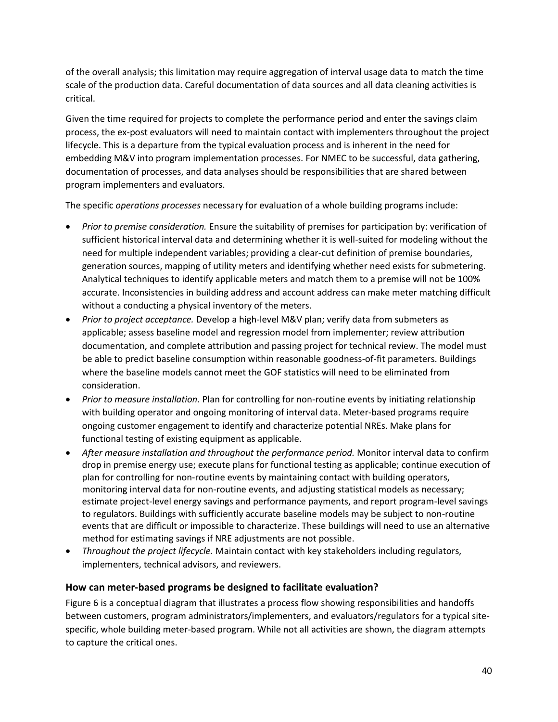of the overall analysis; this limitation may require aggregation of interval usage data to match the time scale of the production data. Careful documentation of data sources and all data cleaning activities is critical.

Given the time required for projects to complete the performance period and enter the savings claim process, the ex-post evaluators will need to maintain contact with implementers throughout the project lifecycle. This is a departure from the typical evaluation process and is inherent in the need for embedding M&V into program implementation processes. For NMEC to be successful, data gathering, documentation of processes, and data analyses should be responsibilities that are shared between program implementers and evaluators.

The specific *operations processes* necessary for evaluation of a whole building programs include:

- *Prior to premise consideration.* Ensure the suitability of premises for participation by: verification of sufficient historical interval data and determining whether it is well-suited for modeling without the need for multiple independent variables; providing a clear-cut definition of premise boundaries, generation sources, mapping of utility meters and identifying whether need exists for submetering. Analytical techniques to identify applicable meters and match them to a premise will not be 100% accurate. Inconsistencies in building address and account address can make meter matching difficult without a conducting a physical inventory of the meters.
- *Prior to project acceptance.* Develop a high-level M&V plan; verify data from submeters as applicable; assess baseline model and regression model from implementer; review attribution documentation, and complete attribution and passing project for technical review. The model must be able to predict baseline consumption within reasonable goodness-of-fit parameters. Buildings where the baseline models cannot meet the GOF statistics will need to be eliminated from consideration.
- *Prior to measure installation.* Plan for controlling for non-routine events by initiating relationship with building operator and ongoing monitoring of interval data. Meter-based programs require ongoing customer engagement to identify and characterize potential NREs. Make plans for functional testing of existing equipment as applicable.
- *After measure installation and throughout the performance period.* Monitor interval data to confirm drop in premise energy use; execute plans for functional testing as applicable; continue execution of plan for controlling for non-routine events by maintaining contact with building operators, monitoring interval data for non-routine events, and adjusting statistical models as necessary; estimate project-level energy savings and performance payments, and report program-level savings to regulators. Buildings with sufficiently accurate baseline models may be subject to non-routine events that are difficult or impossible to characterize. These buildings will need to use an alternative method for estimating savings if NRE adjustments are not possible.
- *Throughout the project lifecycle.* Maintain contact with key stakeholders including regulators, implementers, technical advisors, and reviewers.

## **How can meter-based programs be designed to facilitate evaluation?**

Figure 6 is a conceptual diagram that illustrates a process flow showing responsibilities and handoffs between customers, program administrators/implementers, and evaluators/regulators for a typical sitespecific, whole building meter-based program. While not all activities are shown, the diagram attempts to capture the critical ones.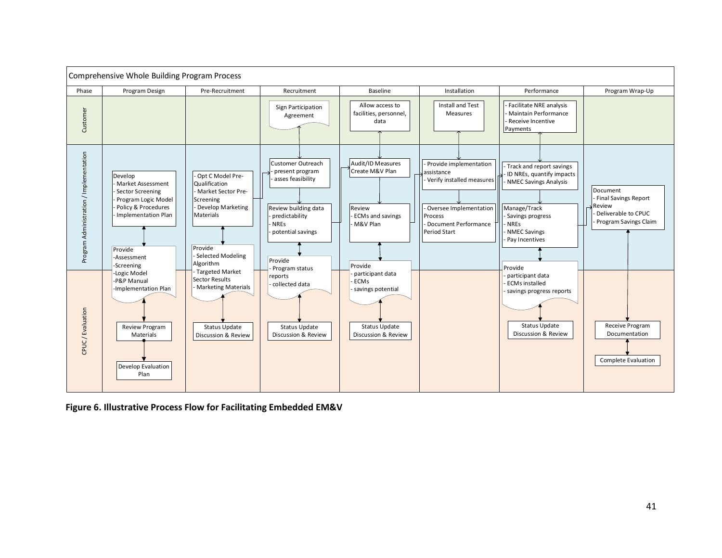

**Figure 6. Illustrative Process Flow for Facilitating Embedded EM&V**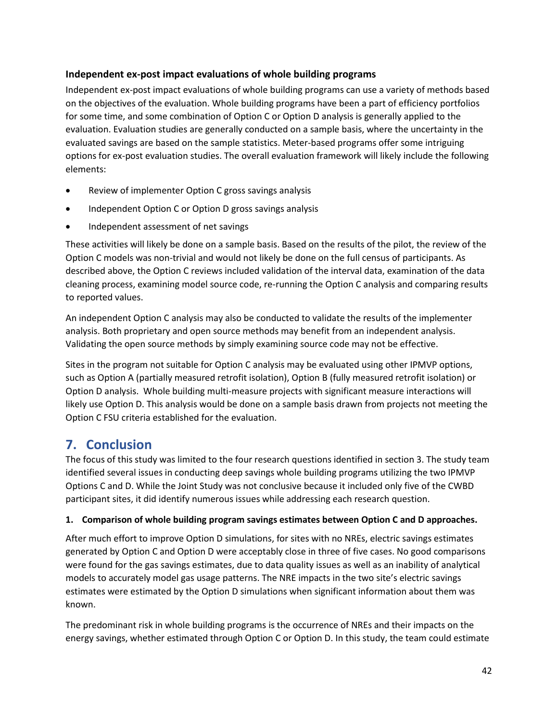## **Independent ex-post impact evaluations of whole building programs**

Independent ex-post impact evaluations of whole building programs can use a variety of methods based on the objectives of the evaluation. Whole building programs have been a part of efficiency portfolios for some time, and some combination of Option C or Option D analysis is generally applied to the evaluation. Evaluation studies are generally conducted on a sample basis, where the uncertainty in the evaluated savings are based on the sample statistics. Meter-based programs offer some intriguing options for ex-post evaluation studies. The overall evaluation framework will likely include the following elements:

- Review of implementer Option C gross savings analysis
- Independent Option C or Option D gross savings analysis
- Independent assessment of net savings

These activities will likely be done on a sample basis. Based on the results of the pilot, the review of the Option C models was non-trivial and would not likely be done on the full census of participants. As described above, the Option C reviews included validation of the interval data, examination of the data cleaning process, examining model source code, re-running the Option C analysis and comparing results to reported values.

An independent Option C analysis may also be conducted to validate the results of the implementer analysis. Both proprietary and open source methods may benefit from an independent analysis. Validating the open source methods by simply examining source code may not be effective.

Sites in the program not suitable for Option C analysis may be evaluated using other IPMVP options, such as Option A (partially measured retrofit isolation), Option B (fully measured retrofit isolation) or Option D analysis. Whole building multi-measure projects with significant measure interactions will likely use Option D. This analysis would be done on a sample basis drawn from projects not meeting the Option C FSU criteria established for the evaluation.

## <span id="page-55-0"></span>**7. Conclusion**

The focus of this study was limited to the four research questions identified in section 3. The study team identified several issues in conducting deep savings whole building programs utilizing the two IPMVP Options C and D. While the Joint Study was not conclusive because it included only five of the CWBD participant sites, it did identify numerous issues while addressing each research question.

## **1. Comparison of whole building program savings estimates between Option C and D approaches.**

After much effort to improve Option D simulations, for sites with no NREs, electric savings estimates generated by Option C and Option D were acceptably close in three of five cases. No good comparisons were found for the gas savings estimates, due to data quality issues as well as an inability of analytical models to accurately model gas usage patterns. The NRE impacts in the two site's electric savings estimates were estimated by the Option D simulations when significant information about them was known.

The predominant risk in whole building programs is the occurrence of NREs and their impacts on the energy savings, whether estimated through Option C or Option D. In this study, the team could estimate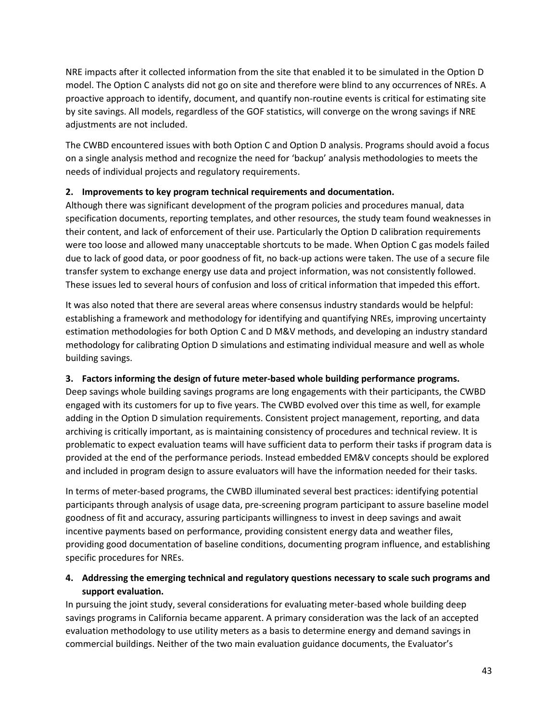NRE impacts after it collected information from the site that enabled it to be simulated in the Option D model. The Option C analysts did not go on site and therefore were blind to any occurrences of NREs. A proactive approach to identify, document, and quantify non-routine events is critical for estimating site by site savings. All models, regardless of the GOF statistics, will converge on the wrong savings if NRE adjustments are not included.

The CWBD encountered issues with both Option C and Option D analysis. Programs should avoid a focus on a single analysis method and recognize the need for 'backup' analysis methodologies to meets the needs of individual projects and regulatory requirements.

## **2. Improvements to key program technical requirements and documentation.**

Although there was significant development of the program policies and procedures manual, data specification documents, reporting templates, and other resources, the study team found weaknesses in their content, and lack of enforcement of their use. Particularly the Option D calibration requirements were too loose and allowed many unacceptable shortcuts to be made. When Option C gas models failed due to lack of good data, or poor goodness of fit, no back-up actions were taken. The use of a secure file transfer system to exchange energy use data and project information, was not consistently followed. These issues led to several hours of confusion and loss of critical information that impeded this effort.

It was also noted that there are several areas where consensus industry standards would be helpful: establishing a framework and methodology for identifying and quantifying NREs, improving uncertainty estimation methodologies for both Option C and D M&V methods, and developing an industry standard methodology for calibrating Option D simulations and estimating individual measure and well as whole building savings.

## **3. Factors informing the design of future meter-based whole building performance programs.**

Deep savings whole building savings programs are long engagements with their participants, the CWBD engaged with its customers for up to five years. The CWBD evolved over this time as well, for example adding in the Option D simulation requirements. Consistent project management, reporting, and data archiving is critically important, as is maintaining consistency of procedures and technical review. It is problematic to expect evaluation teams will have sufficient data to perform their tasks if program data is provided at the end of the performance periods. Instead embedded EM&V concepts should be explored and included in program design to assure evaluators will have the information needed for their tasks.

In terms of meter-based programs, the CWBD illuminated several best practices: identifying potential participants through analysis of usage data, pre-screening program participant to assure baseline model goodness of fit and accuracy, assuring participants willingness to invest in deep savings and await incentive payments based on performance, providing consistent energy data and weather files, providing good documentation of baseline conditions, documenting program influence, and establishing specific procedures for NREs.

## **4. Addressing the emerging technical and regulatory questions necessary to scale such programs and support evaluation.**

In pursuing the joint study, several considerations for evaluating meter-based whole building deep savings programs in California became apparent. A primary consideration was the lack of an accepted evaluation methodology to use utility meters as a basis to determine energy and demand savings in commercial buildings. Neither of the two main evaluation guidance documents, the Evaluator's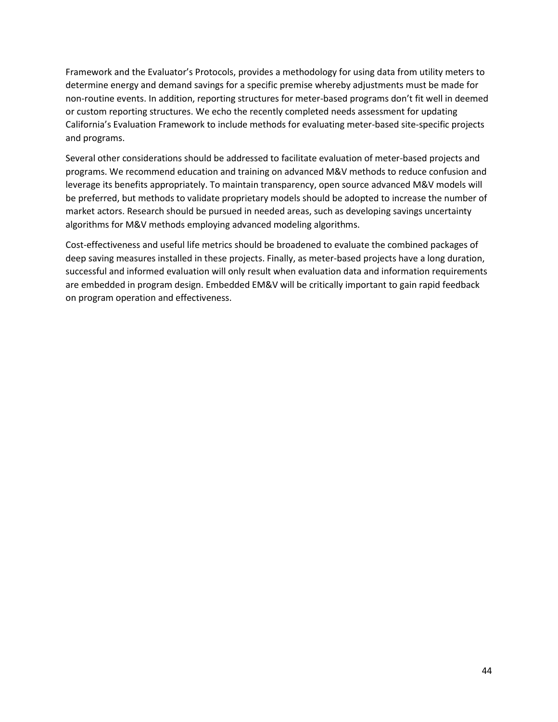Framework and the Evaluator's Protocols, provides a methodology for using data from utility meters to determine energy and demand savings for a specific premise whereby adjustments must be made for non-routine events. In addition, reporting structures for meter-based programs don't fit well in deemed or custom reporting structures. We echo the recently completed needs assessment for updating California's Evaluation Framework to include methods for evaluating meter-based site-specific projects and programs.

Several other considerations should be addressed to facilitate evaluation of meter-based projects and programs. We recommend education and training on advanced M&V methods to reduce confusion and leverage its benefits appropriately. To maintain transparency, open source advanced M&V models will be preferred, but methods to validate proprietary models should be adopted to increase the number of market actors. Research should be pursued in needed areas, such as developing savings uncertainty algorithms for M&V methods employing advanced modeling algorithms.

Cost-effectiveness and useful life metrics should be broadened to evaluate the combined packages of deep saving measures installed in these projects. Finally, as meter-based projects have a long duration, successful and informed evaluation will only result when evaluation data and information requirements are embedded in program design. Embedded EM&V will be critically important to gain rapid feedback on program operation and effectiveness.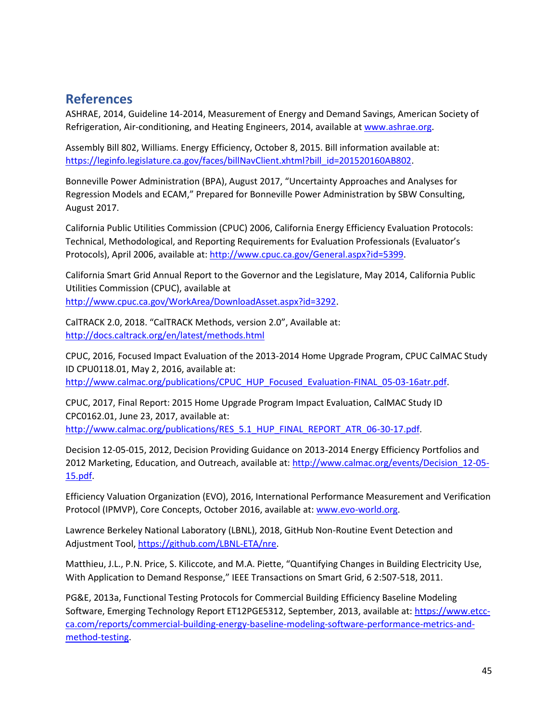## <span id="page-58-0"></span>**References**

ASHRAE, 2014, Guideline 14-2014, Measurement of Energy and Demand Savings, American Society of Refrigeration, Air-conditioning, and Heating Engineers, 2014, available a[t www.ashrae.org.](http://www.ashrae.org/)

Assembly Bill 802, Williams. Energy Efficiency, October 8, 2015. Bill information available at: [https://leginfo.legislature.ca.gov/faces/billNavClient.xhtml?bill\\_id=201520160AB802.](https://leginfo.legislature.ca.gov/faces/billNavClient.xhtml?bill_id=201520160AB802)

Bonneville Power Administration (BPA), August 2017, "Uncertainty Approaches and Analyses for Regression Models and ECAM," Prepared for Bonneville Power Administration by SBW Consulting, August 2017.

California Public Utilities Commission (CPUC) 2006, California Energy Efficiency Evaluation Protocols: Technical, Methodological, and Reporting Requirements for Evaluation Professionals (Evaluator's Protocols), April 2006, available at: [http://www.cpuc.ca.gov/General.aspx?id=5399.](http://www.cpuc.ca.gov/General.aspx?id=5399)

California Smart Grid Annual Report to the Governor and the Legislature, May 2014, California Public Utilities Commission (CPUC), available at [http://www.cpuc.ca.gov/WorkArea/DownloadAsset.aspx?id=3292.](http://www.cpuc.ca.gov/WorkArea/DownloadAsset.aspx?id=3292)

CalTRACK 2.0, 2018. "CalTRACK Methods, version 2.0", Available at: <http://docs.caltrack.org/en/latest/methods.html>

CPUC, 2016, Focused Impact Evaluation of the 2013-2014 Home Upgrade Program, CPUC CalMAC Study ID CPU0118.01, May 2, 2016, available at:

[http://www.calmac.org/publications/CPUC\\_HUP\\_Focused\\_Evaluation-FINAL\\_05-03-16atr.pdf.](http://www.calmac.org/publications/CPUC_HUP_Focused_Evaluation-FINAL_05-03-16atr.pdf)

CPUC, 2017, Final Report: 2015 Home Upgrade Program Impact Evaluation, CalMAC Study ID CPC0162.01, June 23, 2017, available at: [http://www.calmac.org/publications/RES\\_5.1\\_HUP\\_FINAL\\_REPORT\\_ATR\\_06-30-17.pdf.](http://www.calmac.org/publications/RES_5.1_HUP_FINAL_REPORT_ATR_06-30-17.pdf)

Decision 12-05-015, 2012, Decision Providing Guidance on 2013-2014 Energy Efficiency Portfolios and 2012 Marketing, Education, and Outreach, available at: [http://www.calmac.org/events/Decision\\_12-05-](http://www.calmac.org/events/Decision_12-05-15.pdf) [15.pdf.](http://www.calmac.org/events/Decision_12-05-15.pdf)

Efficiency Valuation Organization (EVO), 2016, International Performance Measurement and Verification Protocol (IPMVP), Core Concepts, October 2016, available at: [www.evo-world.org.](http://www.evo-world.org/)

Lawrence Berkeley National Laboratory (LBNL), 2018, GitHub Non-Routine Event Detection and Adjustment Tool[, https://github.com/LBNL-ETA/nre.](https://github.com/LBNL-ETA/nre)

Matthieu, J.L., P.N. Price, S. Kiliccote, and M.A. Piette, "Quantifying Changes in Building Electricity Use, With Application to Demand Response," IEEE Transactions on Smart Grid, 6 2:507-518, 2011.

PG&E, 2013a, Functional Testing Protocols for Commercial Building Efficiency Baseline Modeling Software, Emerging Technology Report ET12PGE5312, September, 2013, available at: [https://www.etcc](https://www.etcc-ca.com/reports/commercial-building-energy-baseline-modeling-software-performance-metrics-and-method-testing)[ca.com/reports/commercial-building-energy-baseline-modeling-software-performance-metrics-and](https://www.etcc-ca.com/reports/commercial-building-energy-baseline-modeling-software-performance-metrics-and-method-testing)[method-testing.](https://www.etcc-ca.com/reports/commercial-building-energy-baseline-modeling-software-performance-metrics-and-method-testing)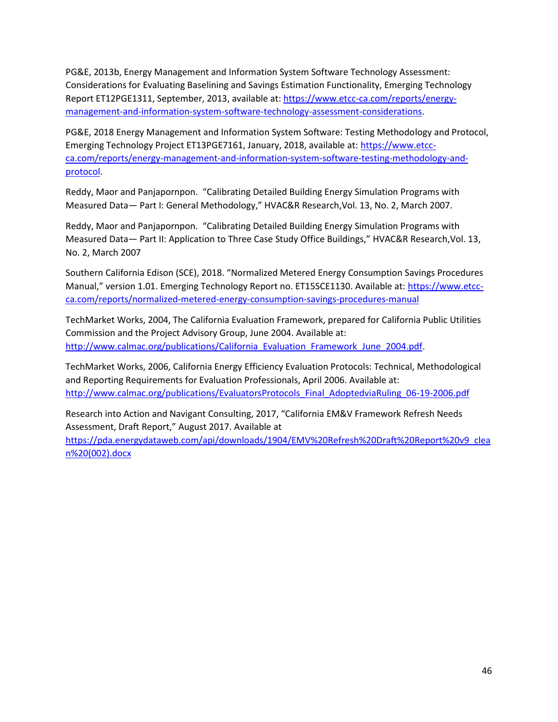PG&E, 2013b, Energy Management and Information System Software Technology Assessment: Considerations for Evaluating Baselining and Savings Estimation Functionality, Emerging Technology Report ET12PGE1311, September, 2013, available at: [https://www.etcc-ca.com/reports/energy](https://www.etcc-ca.com/reports/energy-management-and-information-system-software-technology-assessment-considerations)[management-and-information-system-software-technology-assessment-considerations.](https://www.etcc-ca.com/reports/energy-management-and-information-system-software-technology-assessment-considerations)

PG&E, 2018 Energy Management and Information System Software: Testing Methodology and Protocol, Emerging Technology Project ET13PGE7161, January, 2018, available at[: https://www.etcc](https://www.etcc-ca.com/reports/energy-management-and-information-system-software-testing-methodology-and-protocol)[ca.com/reports/energy-management-and-information-system-software-testing-methodology-and](https://www.etcc-ca.com/reports/energy-management-and-information-system-software-testing-methodology-and-protocol)[protocol.](https://www.etcc-ca.com/reports/energy-management-and-information-system-software-testing-methodology-and-protocol)

Reddy, Maor and Panjapornpon. "Calibrating Detailed Building Energy Simulation Programs with Measured Data— Part I: General Methodology," HVAC&R Research,Vol. 13, No. 2, March 2007.

Reddy, Maor and Panjapornpon. "Calibrating Detailed Building Energy Simulation Programs with Measured Data— Part II: Application to Three Case Study Office Buildings," HVAC&R Research,Vol. 13, No. 2, March 2007

Southern California Edison (SCE), 2018. "Normalized Metered Energy Consumption Savings Procedures Manual," version 1.01. Emerging Technology Report no. ET15SCE1130. Available at: [https://www.etcc](https://www.etcc-ca.com/reports/normalized-metered-energy-consumption-savings-procedures-manual)[ca.com/reports/normalized-metered-energy-consumption-savings-procedures-manual](https://www.etcc-ca.com/reports/normalized-metered-energy-consumption-savings-procedures-manual)

TechMarket Works, 2004, The California Evaluation Framework, prepared for California Public Utilities Commission and the Project Advisory Group, June 2004. Available at: [http://www.calmac.org/publications/California\\_Evaluation\\_Framework\\_June\\_2004.pdf.](http://www.calmac.org/publications/California_Evaluation_Framework_June_2004.pdf)

TechMarket Works, 2006, California Energy Efficiency Evaluation Protocols: Technical, Methodological and Reporting Requirements for Evaluation Professionals, April 2006. Available at: [http://www.calmac.org/publications/EvaluatorsProtocols\\_Final\\_AdoptedviaRuling\\_06-19-2006.pdf](http://www.calmac.org/publications/EvaluatorsProtocols_Final_AdoptedviaRuling_06-19-2006.pdf)

Research into Action and Navigant Consulting, 2017, "California EM&V Framework Refresh Needs Assessment, Draft Report," August 2017. Available at

[https://pda.energydataweb.com/api/downloads/1904/EMV%20Refresh%20Draft%20Report%20v9\\_clea](https://pda.energydataweb.com/api/downloads/1904/EMV%20Refresh%20Draft%20Report%20v9_clean%20(002).docx) [n%20\(002\).docx](https://pda.energydataweb.com/api/downloads/1904/EMV%20Refresh%20Draft%20Report%20v9_clean%20(002).docx)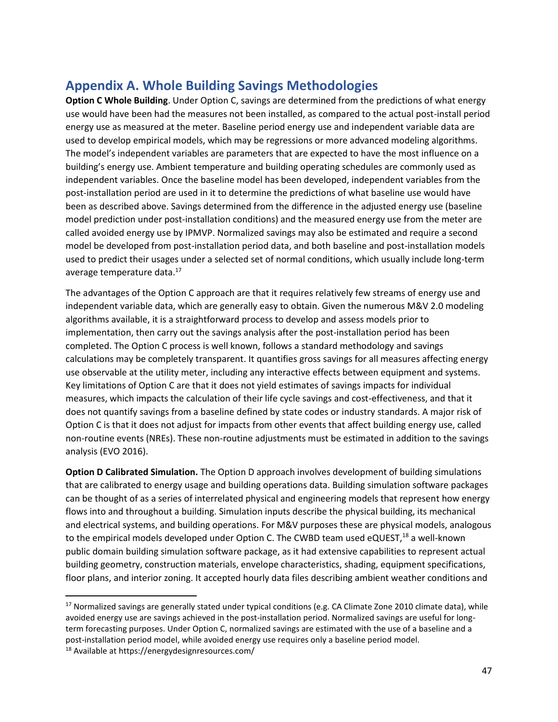# <span id="page-60-0"></span>**Appendix A. Whole Building Savings Methodologies**

**Option C Whole Building**. Under Option C, savings are determined from the predictions of what energy use would have been had the measures not been installed, as compared to the actual post-install period energy use as measured at the meter. Baseline period energy use and independent variable data are used to develop empirical models, which may be regressions or more advanced modeling algorithms. The model's independent variables are parameters that are expected to have the most influence on a building's energy use. Ambient temperature and building operating schedules are commonly used as independent variables. Once the baseline model has been developed, independent variables from the post-installation period are used in it to determine the predictions of what baseline use would have been as described above. Savings determined from the difference in the adjusted energy use (baseline model prediction under post-installation conditions) and the measured energy use from the meter are called avoided energy use by IPMVP. Normalized savings may also be estimated and require a second model be developed from post-installation period data, and both baseline and post-installation models used to predict their usages under a selected set of normal conditions, which usually include long-term average temperature data.<sup>17</sup>

The advantages of the Option C approach are that it requires relatively few streams of energy use and independent variable data, which are generally easy to obtain. Given the numerous M&V 2.0 modeling algorithms available, it is a straightforward process to develop and assess models prior to implementation, then carry out the savings analysis after the post-installation period has been completed. The Option C process is well known, follows a standard methodology and savings calculations may be completely transparent. It quantifies gross savings for all measures affecting energy use observable at the utility meter, including any interactive effects between equipment and systems. Key limitations of Option C are that it does not yield estimates of savings impacts for individual measures, which impacts the calculation of their life cycle savings and cost-effectiveness, and that it does not quantify savings from a baseline defined by state codes or industry standards. A major risk of Option C is that it does not adjust for impacts from other events that affect building energy use, called non-routine events (NREs). These non-routine adjustments must be estimated in addition to the savings analysis (EVO 2016).

**Option D Calibrated Simulation.** The Option D approach involves development of building simulations that are calibrated to energy usage and building operations data. Building simulation software packages can be thought of as a series of interrelated physical and engineering models that represent how energy flows into and throughout a building. Simulation inputs describe the physical building, its mechanical and electrical systems, and building operations. For M&V purposes these are physical models, analogous to the empirical models developed under Option C. The CWBD team used eQUEST,<sup>18</sup> a well-known public domain building simulation software package, as it had extensive capabilities to represent actual building geometry, construction materials, envelope characteristics, shading, equipment specifications, floor plans, and interior zoning. It accepted hourly data files describing ambient weather conditions and

 $\overline{\phantom{a}}$ 

<sup>&</sup>lt;sup>17</sup> Normalized savings are generally stated under typical conditions (e.g. CA Climate Zone 2010 climate data), while avoided energy use are savings achieved in the post-installation period. Normalized savings are useful for longterm forecasting purposes. Under Option C, normalized savings are estimated with the use of a baseline and a post-installation period model, while avoided energy use requires only a baseline period model.

<sup>18</sup> Available at https://energydesignresources.com/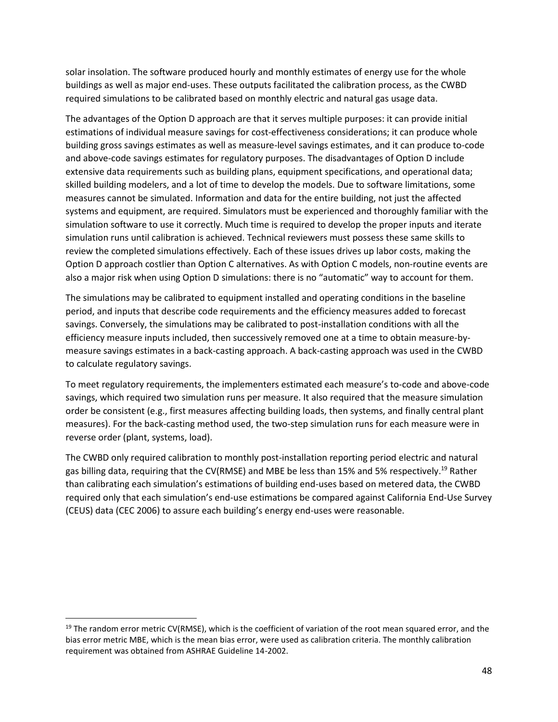solar insolation. The software produced hourly and monthly estimates of energy use for the whole buildings as well as major end-uses. These outputs facilitated the calibration process, as the CWBD required simulations to be calibrated based on monthly electric and natural gas usage data.

The advantages of the Option D approach are that it serves multiple purposes: it can provide initial estimations of individual measure savings for cost-effectiveness considerations; it can produce whole building gross savings estimates as well as measure-level savings estimates, and it can produce to-code and above-code savings estimates for regulatory purposes. The disadvantages of Option D include extensive data requirements such as building plans, equipment specifications, and operational data; skilled building modelers, and a lot of time to develop the models. Due to software limitations, some measures cannot be simulated. Information and data for the entire building, not just the affected systems and equipment, are required. Simulators must be experienced and thoroughly familiar with the simulation software to use it correctly. Much time is required to develop the proper inputs and iterate simulation runs until calibration is achieved. Technical reviewers must possess these same skills to review the completed simulations effectively. Each of these issues drives up labor costs, making the Option D approach costlier than Option C alternatives. As with Option C models, non-routine events are also a major risk when using Option D simulations: there is no "automatic" way to account for them.

The simulations may be calibrated to equipment installed and operating conditions in the baseline period, and inputs that describe code requirements and the efficiency measures added to forecast savings. Conversely, the simulations may be calibrated to post-installation conditions with all the efficiency measure inputs included, then successively removed one at a time to obtain measure-bymeasure savings estimates in a back-casting approach. A back-casting approach was used in the CWBD to calculate regulatory savings.

To meet regulatory requirements, the implementers estimated each measure's to-code and above-code savings, which required two simulation runs per measure. It also required that the measure simulation order be consistent (e.g., first measures affecting building loads, then systems, and finally central plant measures). For the back-casting method used, the two-step simulation runs for each measure were in reverse order (plant, systems, load).

The CWBD only required calibration to monthly post-installation reporting period electric and natural gas billing data, requiring that the CV(RMSE) and MBE be less than 15% and 5% respectively.<sup>19</sup> Rather than calibrating each simulation's estimations of building end-uses based on metered data, the CWBD required only that each simulation's end-use estimations be compared against California End-Use Survey (CEUS) data (CEC 2006) to assure each building's energy end-uses were reasonable.

 $\overline{a}$ 

 $19$  The random error metric CV(RMSE), which is the coefficient of variation of the root mean squared error, and the bias error metric MBE, which is the mean bias error, were used as calibration criteria. The monthly calibration requirement was obtained from ASHRAE Guideline 14-2002.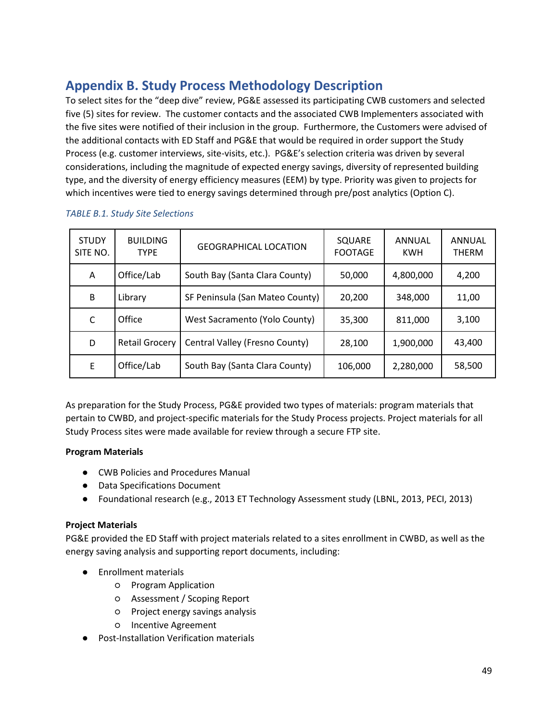# <span id="page-62-0"></span>**Appendix B. Study Process Methodology Description**

To select sites for the "deep dive" review, PG&E assessed its participating CWB customers and selected five (5) sites for review. The customer contacts and the associated CWB Implementers associated with the five sites were notified of their inclusion in the group. Furthermore, the Customers were advised of the additional contacts with ED Staff and PG&E that would be required in order support the Study Process (e.g. customer interviews, site-visits, etc.). PG&E's selection criteria was driven by several considerations, including the magnitude of expected energy savings, diversity of represented building type, and the diversity of energy efficiency measures (EEM) by type. Priority was given to projects for which incentives were tied to energy savings determined through pre/post analytics (Option C).

| <b>STUDY</b><br>SITE NO. | <b>BUILDING</b><br><b>TYPF</b> | <b>GEOGRAPHICAL LOCATION</b>    | SQUARE<br><b>FOOTAGE</b> | ANNUAL<br><b>KWH</b> | ANNUAL<br><b>THERM</b> |
|--------------------------|--------------------------------|---------------------------------|--------------------------|----------------------|------------------------|
| A                        | Office/Lab                     | South Bay (Santa Clara County)  | 50,000                   | 4,800,000            | 4,200                  |
| B                        | Library                        | SF Peninsula (San Mateo County) | 20,200                   | 348,000              | 11,00                  |
| C                        | Office                         | West Sacramento (Yolo County)   | 35,300                   | 811,000              | 3,100                  |
| D                        | <b>Retail Grocery</b>          | Central Valley (Fresno County)  | 28,100                   | 1,900,000            | 43,400                 |
| E                        | Office/Lab                     | South Bay (Santa Clara County)  | 106,000                  | 2,280,000            | 58,500                 |

#### *TABLE B.1. Study Site Selections*

As preparation for the Study Process, PG&E provided two types of materials: program materials that pertain to CWBD, and project-specific materials for the Study Process projects. Project materials for all Study Process sites were made available for review through a secure FTP site.

## **Program Materials**

- CWB Policies and Procedures Manual
- Data Specifications Document
- Foundational research (e.g., 2013 ET Technology Assessment study (LBNL, 2013, PECI, 2013)

## **Project Materials**

PG&E provided the ED Staff with project materials related to a sites enrollment in CWBD, as well as the energy saving analysis and supporting report documents, including:

- Enrollment materials
	- Program Application
	- Assessment / Scoping Report
	- Project energy savings analysis
	- Incentive Agreement
- **Post-Installation Verification materials**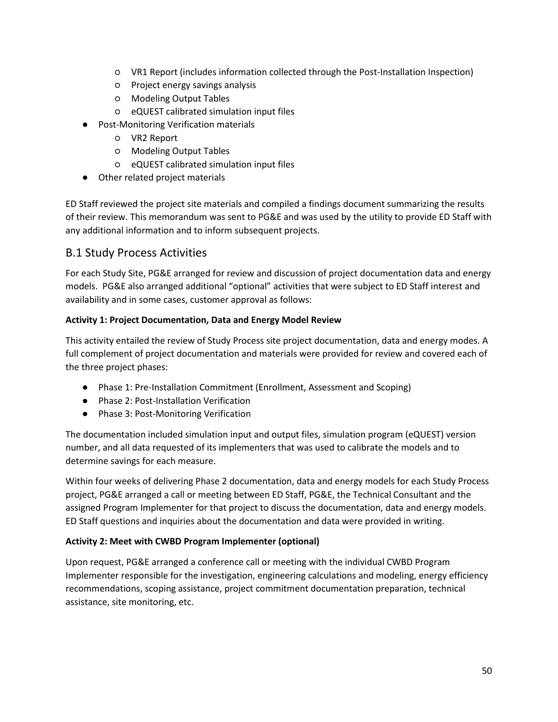- VR1 Report (includes information collected through the Post-Installation Inspection)
- Project energy savings analysis
- Modeling Output Tables
- eQUEST calibrated simulation input files
- Post-Monitoring Verification materials
	- VR2 Report
	- Modeling Output Tables
	- eQUEST calibrated simulation input files
- Other related project materials

ED Staff reviewed the project site materials and compiled a findings document summarizing the results of their review. This memorandum was sent to PG&E and was used by the utility to provide ED Staff with any additional information and to inform subsequent projects.

## <span id="page-63-0"></span>B.1 Study Process Activities

For each Study Site, PG&E arranged for review and discussion of project documentation data and energy models. PG&E also arranged additional "optional" activities that were subject to ED Staff interest and availability and in some cases, customer approval as follows:

#### **Activity 1: Project Documentation, Data and Energy Model Review**

This activity entailed the review of Study Process site project documentation, data and energy modes. A full complement of project documentation and materials were provided for review and covered each of the three project phases:

- Phase 1: Pre-Installation Commitment (Enrollment, Assessment and Scoping)
- Phase 2: Post-Installation Verification
- Phase 3: Post-Monitoring Verification

The documentation included simulation input and output files, simulation program (eQUEST) version number, and all data requested of its implementers that was used to calibrate the models and to determine savings for each measure.

Within four weeks of delivering Phase 2 documentation, data and energy models for each Study Process project, PG&E arranged a call or meeting between ED Staff, PG&E, the Technical Consultant and the assigned Program Implementer for that project to discuss the documentation, data and energy models. ED Staff questions and inquiries about the documentation and data were provided in writing.

#### **Activity 2: Meet with CWBD Program Implementer (optional)**

Upon request, PG&E arranged a conference call or meeting with the individual CWBD Program Implementer responsible for the investigation, engineering calculations and modeling, energy efficiency recommendations, scoping assistance, project commitment documentation preparation, technical assistance, site monitoring, etc.